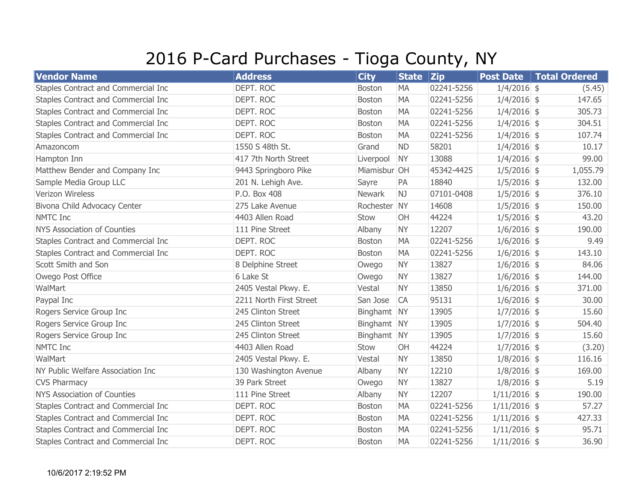## 2016 P-Card Purchases - Tioga County, NY

| <b>Vendor Name</b>                  | <b>Address</b>          | <b>City</b>   | <b>State</b> | $ _{\mathsf{Zip}}$ | <b>Post Date</b> | Total Ordered |
|-------------------------------------|-------------------------|---------------|--------------|--------------------|------------------|---------------|
| Staples Contract and Commercial Inc | DEPT. ROC               | <b>Boston</b> | <b>MA</b>    | 02241-5256         | $1/4/2016$ \$    | (5.45)        |
| Staples Contract and Commercial Inc | DEPT. ROC               | Boston        | <b>MA</b>    | 02241-5256         | $1/4/2016$ \$    | 147.65        |
| Staples Contract and Commercial Inc | DEPT. ROC               | <b>Boston</b> | <b>MA</b>    | 02241-5256         | $1/4/2016$ \$    | 305.73        |
| Staples Contract and Commercial Inc | DEPT. ROC               | <b>Boston</b> | <b>MA</b>    | 02241-5256         | $1/4/2016$ \$    | 304.51        |
| Staples Contract and Commercial Inc | DEPT. ROC               | <b>Boston</b> | <b>MA</b>    | 02241-5256         | $1/4/2016$ \$    | 107.74        |
| Amazoncom                           | 1550 S 48th St.         | Grand         | <b>ND</b>    | 58201              | $1/4/2016$ \$    | 10.17         |
| Hampton Inn                         | 417 7th North Street    | Liverpool     | <b>NY</b>    | 13088              | $1/4/2016$ \$    | 99.00         |
| Matthew Bender and Company Inc      | 9443 Springboro Pike    | Miamisbur OH  |              | 45342-4425         | $1/5/2016$ \$    | 1,055.79      |
| Sample Media Group LLC              | 201 N. Lehigh Ave.      | Sayre         | PA           | 18840              | $1/5/2016$ \$    | 132.00        |
| Verizon Wireless                    | P.O. Box 408            | Newark        | NJ           | 07101-0408         | $1/5/2016$ \$    | 376.10        |
| Bivona Child Advocacy Center        | 275 Lake Avenue         | Rochester NY  |              | 14608              | $1/5/2016$ \$    | 150.00        |
| <b>NMTC Inc</b>                     | 4403 Allen Road         | Stow          | OH           | 44224              | $1/5/2016$ \$    | 43.20         |
| <b>NYS Association of Counties</b>  | 111 Pine Street         | Albany        | <b>NY</b>    | 12207              | $1/6/2016$ \$    | 190.00        |
| Staples Contract and Commercial Inc | DEPT. ROC               | <b>Boston</b> | <b>MA</b>    | 02241-5256         | $1/6/2016$ \$    | 9.49          |
| Staples Contract and Commercial Inc | DEPT. ROC               | <b>Boston</b> | <b>MA</b>    | 02241-5256         | $1/6/2016$ \$    | 143.10        |
| Scott Smith and Son                 | 8 Delphine Street       | Owego         | <b>NY</b>    | 13827              | $1/6/2016$ \$    | 84.06         |
| Owego Post Office                   | 6 Lake St               | Owego         | <b>NY</b>    | 13827              | $1/6/2016$ \$    | 144.00        |
| WalMart                             | 2405 Vestal Pkwy. E.    | Vestal        | <b>NY</b>    | 13850              | $1/6/2016$ \$    | 371.00        |
| Paypal Inc                          | 2211 North First Street | San Jose      | <b>CA</b>    | 95131              | $1/6/2016$ \$    | 30.00         |
| Rogers Service Group Inc            | 245 Clinton Street      | Binghamt NY   |              | 13905              | $1/7/2016$ \$    | 15.60         |
| Rogers Service Group Inc            | 245 Clinton Street      | Binghamt NY   |              | 13905              | $1/7/2016$ \$    | 504.40        |
| Rogers Service Group Inc            | 245 Clinton Street      | Binghamt NY   |              | 13905              | $1/7/2016$ \$    | 15.60         |
| <b>NMTC Inc</b>                     | 4403 Allen Road         | Stow          | OH           | 44224              | $1/7/2016$ \$    | (3.20)        |
| WalMart                             | 2405 Vestal Pkwy. E.    | Vestal        | <b>NY</b>    | 13850              | $1/8/2016$ \$    | 116.16        |
| NY Public Welfare Association Inc   | 130 Washington Avenue   | Albany        | <b>NY</b>    | 12210              | $1/8/2016$ \$    | 169.00        |
| <b>CVS Pharmacy</b>                 | 39 Park Street          | Owego         | <b>NY</b>    | 13827              | $1/8/2016$ \$    | 5.19          |
| <b>NYS Association of Counties</b>  | 111 Pine Street         | Albany        | <b>NY</b>    | 12207              | $1/11/2016$ \$   | 190.00        |
| Staples Contract and Commercial Inc | DEPT. ROC               | Boston        | <b>MA</b>    | 02241-5256         | $1/11/2016$ \$   | 57.27         |
| Staples Contract and Commercial Inc | DEPT. ROC               | <b>Boston</b> | <b>MA</b>    | 02241-5256         | $1/11/2016$ \$   | 427.33        |
| Staples Contract and Commercial Inc | DEPT. ROC               | Boston        | <b>MA</b>    | 02241-5256         | $1/11/2016$ \$   | 95.71         |
| Staples Contract and Commercial Inc | DEPT. ROC               | <b>Boston</b> | <b>MA</b>    | 02241-5256         | $1/11/2016$ \$   | 36.90         |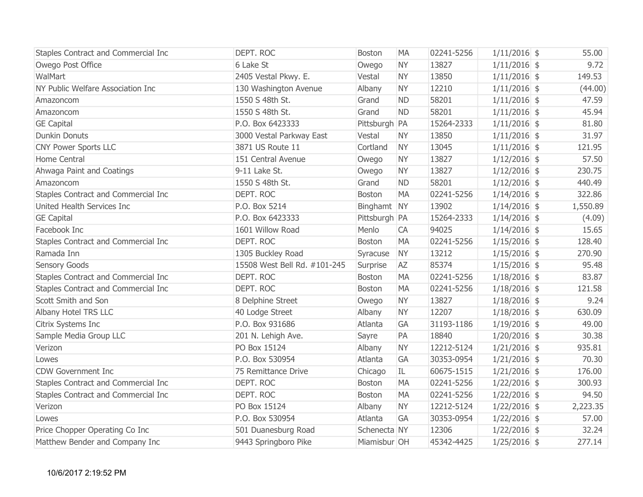| Staples Contract and Commercial Inc | DEPT. ROC                    | <b>Boston</b> | <b>MA</b> | 02241-5256 | $1/11/2016$ \$ | 55.00    |
|-------------------------------------|------------------------------|---------------|-----------|------------|----------------|----------|
| Owego Post Office                   | 6 Lake St                    | Owego         | <b>NY</b> | 13827      | $1/11/2016$ \$ | 9.72     |
| WalMart                             | 2405 Vestal Pkwy. E.         | Vestal        | <b>NY</b> | 13850      | $1/11/2016$ \$ | 149.53   |
| NY Public Welfare Association Inc   | 130 Washington Avenue        | Albany        | <b>NY</b> | 12210      | $1/11/2016$ \$ | (44.00)  |
| Amazoncom                           | 1550 S 48th St.              | Grand         | <b>ND</b> | 58201      | $1/11/2016$ \$ | 47.59    |
| Amazoncom                           | 1550 S 48th St.              | Grand         | <b>ND</b> | 58201      | $1/11/2016$ \$ | 45.94    |
| <b>GE Capital</b>                   | P.O. Box 6423333             | Pittsburgh PA |           | 15264-2333 | $1/11/2016$ \$ | 81.80    |
| <b>Dunkin Donuts</b>                | 3000 Vestal Parkway East     | Vestal        | <b>NY</b> | 13850      | $1/11/2016$ \$ | 31.97    |
| <b>CNY Power Sports LLC</b>         | 3871 US Route 11             | Cortland      | <b>NY</b> | 13045      | $1/11/2016$ \$ | 121.95   |
| Home Central                        | 151 Central Avenue           | Owego         | <b>NY</b> | 13827      | $1/12/2016$ \$ | 57.50    |
| Ahwaga Paint and Coatings           | 9-11 Lake St.                | Owego         | <b>NY</b> | 13827      | $1/12/2016$ \$ | 230.75   |
| Amazoncom                           | 1550 S 48th St.              | Grand         | <b>ND</b> | 58201      | $1/12/2016$ \$ | 440.49   |
| Staples Contract and Commercial Inc | DEPT. ROC                    | <b>Boston</b> | <b>MA</b> | 02241-5256 | $1/14/2016$ \$ | 322.86   |
| United Health Services Inc          | P.O. Box 5214                | Binghamt NY   |           | 13902      | $1/14/2016$ \$ | 1,550.89 |
| <b>GE Capital</b>                   | P.O. Box 6423333             | Pittsburgh PA |           | 15264-2333 | $1/14/2016$ \$ | (4.09)   |
| Facebook Inc                        | 1601 Willow Road             | Menlo         | CA        | 94025      | $1/14/2016$ \$ | 15.65    |
| Staples Contract and Commercial Inc | DEPT. ROC                    | <b>Boston</b> | <b>MA</b> | 02241-5256 | $1/15/2016$ \$ | 128.40   |
| Ramada Inn                          | 1305 Buckley Road            | Syracuse      | <b>NY</b> | 13212      | $1/15/2016$ \$ | 270.90   |
| Sensory Goods                       | 15508 West Bell Rd. #101-245 | Surprise      | <b>AZ</b> | 85374      | $1/15/2016$ \$ | 95.48    |
| Staples Contract and Commercial Inc | DEPT. ROC                    | <b>Boston</b> | <b>MA</b> | 02241-5256 | $1/18/2016$ \$ | 83.87    |
| Staples Contract and Commercial Inc | DEPT. ROC                    | Boston        | <b>MA</b> | 02241-5256 | $1/18/2016$ \$ | 121.58   |
| Scott Smith and Son                 | 8 Delphine Street            | Owego         | <b>NY</b> | 13827      | $1/18/2016$ \$ | 9.24     |
| Albany Hotel TRS LLC                | 40 Lodge Street              | Albany        | <b>NY</b> | 12207      | $1/18/2016$ \$ | 630.09   |
| Citrix Systems Inc                  | P.O. Box 931686              | Atlanta       | GA        | 31193-1186 | $1/19/2016$ \$ | 49.00    |
| Sample Media Group LLC              | 201 N. Lehigh Ave.           | Sayre         | PA        | 18840      | $1/20/2016$ \$ | 30.38    |
| Verizon                             | PO Box 15124                 | Albany        | <b>NY</b> | 12212-5124 | $1/21/2016$ \$ | 935.81   |
| Lowes                               | P.O. Box 530954              | Atlanta       | GA        | 30353-0954 | $1/21/2016$ \$ | 70.30    |
| <b>CDW Government Inc</b>           | 75 Remittance Drive          | Chicago       | IL        | 60675-1515 | $1/21/2016$ \$ | 176.00   |
| Staples Contract and Commercial Inc | DEPT. ROC                    | <b>Boston</b> | <b>MA</b> | 02241-5256 | $1/22/2016$ \$ | 300.93   |
| Staples Contract and Commercial Inc | DEPT. ROC                    | Boston        | <b>MA</b> | 02241-5256 | $1/22/2016$ \$ | 94.50    |
| Verizon                             | PO Box 15124                 | Albany        | <b>NY</b> | 12212-5124 | $1/22/2016$ \$ | 2,223.35 |
| Lowes                               | P.O. Box 530954              | Atlanta       | GA        | 30353-0954 | $1/22/2016$ \$ | 57.00    |
| Price Chopper Operating Co Inc      | 501 Duanesburg Road          | Schenecta NY  |           | 12306      | $1/22/2016$ \$ | 32.24    |
| Matthew Bender and Company Inc      | 9443 Springboro Pike         | Miamisbur OH  |           | 45342-4425 | $1/25/2016$ \$ | 277.14   |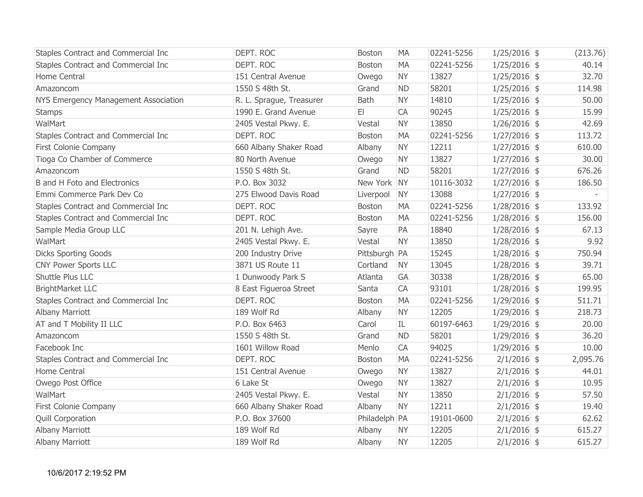| Staples Contract and Commercial Inc  | DEPT. ROC                | <b>Boston</b> | <b>MA</b> | 02241-5256 | $1/25/2016$ \$ | (213.76) |
|--------------------------------------|--------------------------|---------------|-----------|------------|----------------|----------|
| Staples Contract and Commercial Inc  | DEPT. ROC                | Boston        | <b>MA</b> | 02241-5256 | $1/25/2016$ \$ | 40.14    |
| Home Central                         | 151 Central Avenue       | Owego         | <b>NY</b> | 13827      | $1/25/2016$ \$ | 32.70    |
| Amazoncom                            | 1550 S 48th St.          | Grand         | <b>ND</b> | 58201      | $1/25/2016$ \$ | 114.98   |
| NYS Emergency Management Association | R. L. Sprague, Treasurer | <b>Bath</b>   | <b>NY</b> | 14810      | $1/25/2016$ \$ | 50.00    |
| <b>Stamps</b>                        | 1990 E. Grand Avenue     | E1            | <b>CA</b> | 90245      | $1/25/2016$ \$ | 15.99    |
| WalMart                              | 2405 Vestal Pkwy. E.     | Vestal        | <b>NY</b> | 13850      | $1/26/2016$ \$ | 42.69    |
| Staples Contract and Commercial Inc  | DEPT. ROC                | <b>Boston</b> | <b>MA</b> | 02241-5256 | $1/27/2016$ \$ | 113.72   |
| First Colonie Company                | 660 Albany Shaker Road   | Albany        | <b>NY</b> | 12211      | $1/27/2016$ \$ | 610.00   |
| Tioga Co Chamber of Commerce         | 80 North Avenue          | Owego         | <b>NY</b> | 13827      | $1/27/2016$ \$ | 30.00    |
| Amazoncom                            | 1550 S 48th St.          | Grand         | <b>ND</b> | 58201      | $1/27/2016$ \$ | 676.26   |
| <b>B</b> and H Foto and Electronics  | P.O. Box 3032            | New York NY   |           | 10116-3032 | $1/27/2016$ \$ | 186.50   |
| Emmi Commerce Park Dev Co            | 275 Elwood Davis Road    | Liverpool     | <b>NY</b> | 13088      | $1/27/2016$ \$ |          |
| Staples Contract and Commercial Inc  | DEPT. ROC                | <b>Boston</b> | <b>MA</b> | 02241-5256 | $1/28/2016$ \$ | 133.92   |
| Staples Contract and Commercial Inc  | DEPT. ROC                | Boston        | <b>MA</b> | 02241-5256 | $1/28/2016$ \$ | 156.00   |
| Sample Media Group LLC               | 201 N. Lehigh Ave.       | Sayre         | PA        | 18840      | $1/28/2016$ \$ | 67.13    |
| WalMart                              | 2405 Vestal Pkwy. E.     | Vestal        | <b>NY</b> | 13850      | $1/28/2016$ \$ | 9.92     |
| <b>Dicks Sporting Goods</b>          | 200 Industry Drive       | Pittsburgh PA |           | 15245      | $1/28/2016$ \$ | 750.94   |
| <b>CNY Power Sports LLC</b>          | 3871 US Route 11         | Cortland      | <b>NY</b> | 13045      | $1/28/2016$ \$ | 39.71    |
| Shuttle Plus LLC                     | 1 Dunwoody Park S        | Atlanta       | GA        | 30338      | $1/28/2016$ \$ | 65.00    |
| <b>BrightMarket LLC</b>              | 8 East Figueroa Street   | Santa         | CA        | 93101      | $1/28/2016$ \$ | 199.95   |
| Staples Contract and Commercial Inc  | DEPT. ROC                | Boston        | <b>MA</b> | 02241-5256 | $1/29/2016$ \$ | 511.71   |
| <b>Albany Marriott</b>               | 189 Wolf Rd              | Albany        | <b>NY</b> | 12205      | $1/29/2016$ \$ | 218.73   |
| AT and T Mobility II LLC             | P.O. Box 6463            | Carol         | IL        | 60197-6463 | $1/29/2016$ \$ | 20.00    |
| Amazoncom                            | 1550 S 48th St.          | Grand         | <b>ND</b> | 58201      | $1/29/2016$ \$ | 36.20    |
| Facebook Inc                         | 1601 Willow Road         | Menlo         | <b>CA</b> | 94025      | $1/29/2016$ \$ | 10.00    |
| Staples Contract and Commercial Inc  | DEPT. ROC                | Boston        | <b>MA</b> | 02241-5256 | $2/1/2016$ \$  | 2,095.76 |
| Home Central                         | 151 Central Avenue       | Owego         | <b>NY</b> | 13827      | $2/1/2016$ \$  | 44.01    |
| Owego Post Office                    | 6 Lake St                | Owego         | <b>NY</b> | 13827      | $2/1/2016$ \$  | 10.95    |
| WalMart                              | 2405 Vestal Pkwy. E.     | Vestal        | <b>NY</b> | 13850      | $2/1/2016$ \$  | 57.50    |
| First Colonie Company                | 660 Albany Shaker Road   | Albany        | <b>NY</b> | 12211      | $2/1/2016$ \$  | 19.40    |
| <b>Quill Corporation</b>             | P.O. Box 37600           | Philadelph PA |           | 19101-0600 | $2/1/2016$ \$  | 62.62    |
| Albany Marriott                      | 189 Wolf Rd              | Albany        | <b>NY</b> | 12205      | $2/1/2016$ \$  | 615.27   |
| <b>Albany Marriott</b>               | 189 Wolf Rd              | Albany        | <b>NY</b> | 12205      | $2/1/2016$ \$  | 615.27   |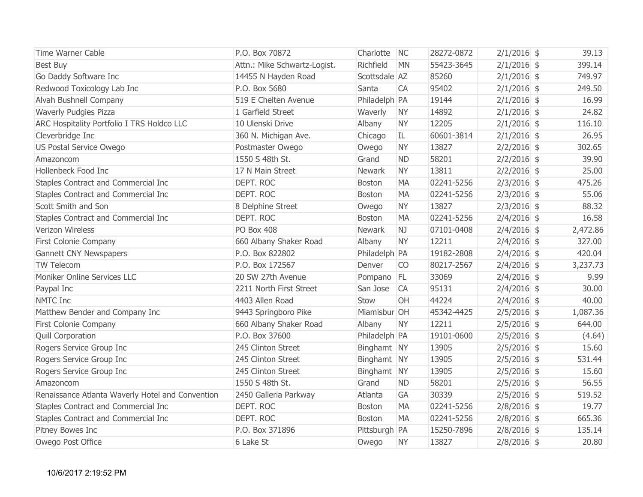| <b>Time Warner Cable</b>                         | P.O. Box 70872               | Charlotte     | NC        | 28272-0872 | $2/1/2016$ \$ | 39.13    |
|--------------------------------------------------|------------------------------|---------------|-----------|------------|---------------|----------|
| <b>Best Buy</b>                                  | Attn.: Mike Schwartz-Logist. | Richfield     | <b>MN</b> | 55423-3645 | $2/1/2016$ \$ | 399.14   |
| Go Daddy Software Inc                            | 14455 N Hayden Road          | Scottsdale AZ |           | 85260      | $2/1/2016$ \$ | 749.97   |
| Redwood Toxicology Lab Inc                       | P.O. Box 5680                | Santa         | <b>CA</b> | 95402      | $2/1/2016$ \$ | 249.50   |
| Alvah Bushnell Company                           | 519 E Chelten Avenue         | Philadelph PA |           | 19144      | $2/1/2016$ \$ | 16.99    |
| <b>Waverly Pudgies Pizza</b>                     | 1 Garfield Street            | Waverly       | <b>NY</b> | 14892      | $2/1/2016$ \$ | 24.82    |
| ARC Hospitality Portfolio I TRS Holdco LLC       | 10 Ulenski Drive             | Albany        | <b>NY</b> | 12205      | $2/1/2016$ \$ | 116.10   |
| Cleverbridge Inc                                 | 360 N. Michigan Ave.         | Chicago       | IL        | 60601-3814 | $2/1/2016$ \$ | 26.95    |
| US Postal Service Owego                          | Postmaster Owego             | Owego         | <b>NY</b> | 13827      | $2/2/2016$ \$ | 302.65   |
| Amazoncom                                        | 1550 S 48th St.              | Grand         | <b>ND</b> | 58201      | $2/2/2016$ \$ | 39.90    |
| Hollenbeck Food Inc                              | 17 N Main Street             | <b>Newark</b> | <b>NY</b> | 13811      | $2/2/2016$ \$ | 25.00    |
| Staples Contract and Commercial Inc              | DEPT. ROC                    | Boston        | <b>MA</b> | 02241-5256 | $2/3/2016$ \$ | 475.26   |
| Staples Contract and Commercial Inc              | DEPT. ROC                    | <b>Boston</b> | <b>MA</b> | 02241-5256 | $2/3/2016$ \$ | 55.06    |
| Scott Smith and Son                              | 8 Delphine Street            | Owego         | <b>NY</b> | 13827      | $2/3/2016$ \$ | 88.32    |
| Staples Contract and Commercial Inc              | DEPT. ROC                    | <b>Boston</b> | <b>MA</b> | 02241-5256 | $2/4/2016$ \$ | 16.58    |
| Verizon Wireless                                 | <b>PO Box 408</b>            | Newark        | NJ        | 07101-0408 | $2/4/2016$ \$ | 2,472.86 |
| First Colonie Company                            | 660 Albany Shaker Road       | Albany        | <b>NY</b> | 12211      | $2/4/2016$ \$ | 327.00   |
| Gannett CNY Newspapers                           | P.O. Box 822802              | Philadelph PA |           | 19182-2808 | $2/4/2016$ \$ | 420.04   |
| <b>TW Telecom</b>                                | P.O. Box 172567              | Denver        | <b>CO</b> | 80217-2567 | $2/4/2016$ \$ | 3,237.73 |
| Moniker Online Services LLC                      | 20 SW 27th Avenue            | Pompano FL    |           | 33069      | $2/4/2016$ \$ | 9.99     |
| Paypal Inc                                       | 2211 North First Street      | San Jose      | <b>CA</b> | 95131      | $2/4/2016$ \$ | 30.00    |
| <b>NMTC Inc</b>                                  | 4403 Allen Road              | Stow          | OH        | 44224      | $2/4/2016$ \$ | 40.00    |
| Matthew Bender and Company Inc                   | 9443 Springboro Pike         | Miamisbur OH  |           | 45342-4425 | $2/5/2016$ \$ | 1,087.36 |
| First Colonie Company                            | 660 Albany Shaker Road       | Albany        | <b>NY</b> | 12211      | $2/5/2016$ \$ | 644.00   |
| <b>Quill Corporation</b>                         | P.O. Box 37600               | Philadelph PA |           | 19101-0600 | $2/5/2016$ \$ | (4.64)   |
| Rogers Service Group Inc                         | 245 Clinton Street           | Binghamt NY   |           | 13905      | $2/5/2016$ \$ | 15.60    |
| Rogers Service Group Inc                         | 245 Clinton Street           | Binghamt NY   |           | 13905      | $2/5/2016$ \$ | 531.44   |
| Rogers Service Group Inc                         | 245 Clinton Street           | Binghamt NY   |           | 13905      | $2/5/2016$ \$ | 15.60    |
| Amazoncom                                        | 1550 S 48th St.              | Grand         | <b>ND</b> | 58201      | $2/5/2016$ \$ | 56.55    |
| Renaissance Atlanta Waverly Hotel and Convention | 2450 Galleria Parkway        | Atlanta       | <b>GA</b> | 30339      | $2/5/2016$ \$ | 519.52   |
| Staples Contract and Commercial Inc              | DEPT. ROC                    | <b>Boston</b> | <b>MA</b> | 02241-5256 | $2/8/2016$ \$ | 19.77    |
| Staples Contract and Commercial Inc              | DEPT. ROC                    | <b>Boston</b> | <b>MA</b> | 02241-5256 | $2/8/2016$ \$ | 665.36   |
| Pitney Bowes Inc                                 | P.O. Box 371896              | Pittsburgh PA |           | 15250-7896 | $2/8/2016$ \$ | 135.14   |
| Owego Post Office                                | 6 Lake St                    | Owego         | <b>NY</b> | 13827      | $2/8/2016$ \$ | 20.80    |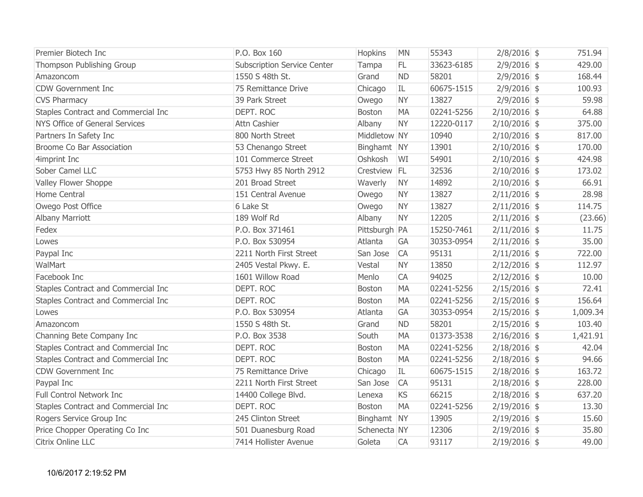| Premier Biotech Inc                 | P.O. Box 160                       | Hopkins       | <b>MN</b> | 55343      | $2/8/2016$ \$  | 751.94   |
|-------------------------------------|------------------------------------|---------------|-----------|------------|----------------|----------|
| Thompson Publishing Group           | <b>Subscription Service Center</b> | Tampa         | FL.       | 33623-6185 | $2/9/2016$ \$  | 429.00   |
| Amazoncom                           | 1550 S 48th St.                    | Grand         | <b>ND</b> | 58201      | $2/9/2016$ \$  | 168.44   |
| <b>CDW Government Inc</b>           | 75 Remittance Drive                | Chicago       | IL        | 60675-1515 | $2/9/2016$ \$  | 100.93   |
| <b>CVS Pharmacy</b>                 | 39 Park Street                     | Owego         | <b>NY</b> | 13827      | $2/9/2016$ \$  | 59.98    |
| Staples Contract and Commercial Inc | DEPT. ROC                          | <b>Boston</b> | <b>MA</b> | 02241-5256 | $2/10/2016$ \$ | 64.88    |
| NYS Office of General Services      | Attn Cashier                       | Albany        | <b>NY</b> | 12220-0117 | $2/10/2016$ \$ | 375.00   |
| Partners In Safety Inc              | 800 North Street                   | Middletow NY  |           | 10940      | $2/10/2016$ \$ | 817.00   |
| Broome Co Bar Association           | 53 Chenango Street                 | Binghamt NY   |           | 13901      | $2/10/2016$ \$ | 170.00   |
| 4imprint Inc                        | 101 Commerce Street                | Oshkosh       | WI        | 54901      | $2/10/2016$ \$ | 424.98   |
| Sober Camel LLC                     | 5753 Hwy 85 North 2912             | Crestview FL  |           | 32536      | $2/10/2016$ \$ | 173.02   |
| Valley Flower Shoppe                | 201 Broad Street                   | Waverly       | <b>NY</b> | 14892      | $2/10/2016$ \$ | 66.91    |
| Home Central                        | 151 Central Avenue                 | Owego         | <b>NY</b> | 13827      | $2/11/2016$ \$ | 28.98    |
| Owego Post Office                   | 6 Lake St                          | Owego         | <b>NY</b> | 13827      | $2/11/2016$ \$ | 114.75   |
| <b>Albany Marriott</b>              | 189 Wolf Rd                        | Albany        | <b>NY</b> | 12205      | $2/11/2016$ \$ | (23.66)  |
| Fedex                               | P.O. Box 371461                    | Pittsburgh PA |           | 15250-7461 | $2/11/2016$ \$ | 11.75    |
| Lowes                               | P.O. Box 530954                    | Atlanta       | GA        | 30353-0954 | $2/11/2016$ \$ | 35.00    |
| Paypal Inc                          | 2211 North First Street            | San Jose      | <b>CA</b> | 95131      | $2/11/2016$ \$ | 722.00   |
| WalMart                             | 2405 Vestal Pkwy. E.               | Vestal        | <b>NY</b> | 13850      | $2/12/2016$ \$ | 112.97   |
| Facebook Inc                        | 1601 Willow Road                   | Menlo         | CA        | 94025      | $2/12/2016$ \$ | 10.00    |
| Staples Contract and Commercial Inc | DEPT. ROC                          | <b>Boston</b> | <b>MA</b> | 02241-5256 | $2/15/2016$ \$ | 72.41    |
| Staples Contract and Commercial Inc | DEPT. ROC                          | <b>Boston</b> | <b>MA</b> | 02241-5256 | $2/15/2016$ \$ | 156.64   |
| Lowes                               | P.O. Box 530954                    | Atlanta       | GA        | 30353-0954 | $2/15/2016$ \$ | 1,009.34 |
| Amazoncom                           | 1550 S 48th St.                    | Grand         | <b>ND</b> | 58201      | $2/15/2016$ \$ | 103.40   |
| Channing Bete Company Inc           | P.O. Box 3538                      | South         | <b>MA</b> | 01373-3538 | $2/16/2016$ \$ | 1,421.91 |
| Staples Contract and Commercial Inc | DEPT. ROC                          | Boston        | <b>MA</b> | 02241-5256 | $2/18/2016$ \$ | 42.04    |
| Staples Contract and Commercial Inc | DEPT. ROC                          | <b>Boston</b> | <b>MA</b> | 02241-5256 | $2/18/2016$ \$ | 94.66    |
| <b>CDW Government Inc</b>           | 75 Remittance Drive                | Chicago       | IL        | 60675-1515 | $2/18/2016$ \$ | 163.72   |
| Paypal Inc                          | 2211 North First Street            | San Jose      | <b>CA</b> | 95131      | $2/18/2016$ \$ | 228.00   |
| Full Control Network Inc            | 14400 College Blvd.                | Lenexa        | <b>KS</b> | 66215      | $2/18/2016$ \$ | 637.20   |
| Staples Contract and Commercial Inc | DEPT. ROC                          | <b>Boston</b> | <b>MA</b> | 02241-5256 | $2/19/2016$ \$ | 13.30    |
| Rogers Service Group Inc            | 245 Clinton Street                 | Binghamt NY   |           | 13905      | $2/19/2016$ \$ | 15.60    |
| Price Chopper Operating Co Inc      | 501 Duanesburg Road                | Schenecta NY  |           | 12306      | $2/19/2016$ \$ | 35.80    |
| Citrix Online LLC                   | 7414 Hollister Avenue              | Goleta        | CA        | 93117      | $2/19/2016$ \$ | 49.00    |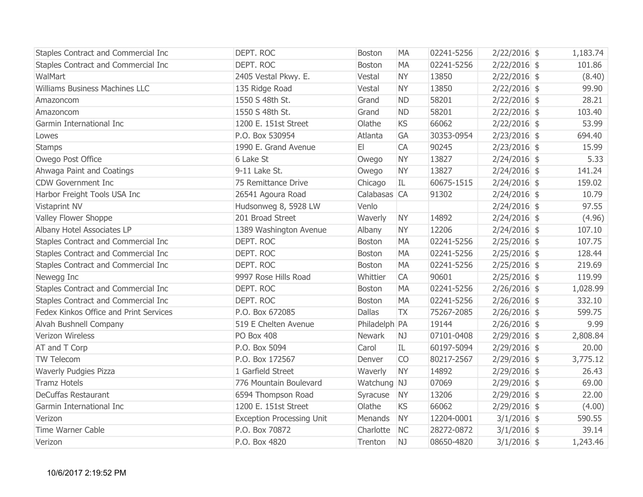| Staples Contract and Commercial Inc    | DEPT. ROC                        | <b>Boston</b> | <b>MA</b> | 02241-5256 | $2/22/2016$ \$ | 1,183.74 |
|----------------------------------------|----------------------------------|---------------|-----------|------------|----------------|----------|
| Staples Contract and Commercial Inc    | DEPT. ROC                        | Boston        | <b>MA</b> | 02241-5256 | $2/22/2016$ \$ | 101.86   |
| <b>WalMart</b>                         | 2405 Vestal Pkwy. E.             | Vestal        | <b>NY</b> | 13850      | $2/22/2016$ \$ | (8.40)   |
| Williams Business Machines LLC         | 135 Ridge Road                   | Vestal        | <b>NY</b> | 13850      | $2/22/2016$ \$ | 99.90    |
| Amazoncom                              | 1550 S 48th St.                  | Grand         | <b>ND</b> | 58201      | $2/22/2016$ \$ | 28.21    |
| Amazoncom                              | 1550 S 48th St.                  | Grand         | <b>ND</b> | 58201      | $2/22/2016$ \$ | 103.40   |
| Garmin International Inc               | 1200 E. 151st Street             | Olathe        | <b>KS</b> | 66062      | $2/22/2016$ \$ | 53.99    |
| Lowes                                  | P.O. Box 530954                  | Atlanta       | GA        | 30353-0954 | $2/23/2016$ \$ | 694.40   |
| <b>Stamps</b>                          | 1990 E. Grand Avenue             | E             | <b>CA</b> | 90245      | $2/23/2016$ \$ | 15.99    |
| Owego Post Office                      | 6 Lake St                        | Owego         | <b>NY</b> | 13827      | $2/24/2016$ \$ | 5.33     |
| Ahwaga Paint and Coatings              | 9-11 Lake St.                    | Owego         | <b>NY</b> | 13827      | $2/24/2016$ \$ | 141.24   |
| <b>CDW Government Inc</b>              | 75 Remittance Drive              | Chicago       | IL        | 60675-1515 | $2/24/2016$ \$ | 159.02   |
| Harbor Freight Tools USA Inc           | 26541 Agoura Road                | Calabasas CA  |           | 91302      | $2/24/2016$ \$ | 10.79    |
| Vistaprint NV                          | Hudsonweg 8, 5928 LW             | Venlo         |           |            | $2/24/2016$ \$ | 97.55    |
| Valley Flower Shoppe                   | 201 Broad Street                 | Waverly       | <b>NY</b> | 14892      | $2/24/2016$ \$ | (4.96)   |
| Albany Hotel Associates LP             | 1389 Washington Avenue           | Albany        | <b>NY</b> | 12206      | $2/24/2016$ \$ | 107.10   |
| Staples Contract and Commercial Inc    | DEPT. ROC                        | Boston        | <b>MA</b> | 02241-5256 | $2/25/2016$ \$ | 107.75   |
| Staples Contract and Commercial Inc    | DEPT. ROC                        | <b>Boston</b> | <b>MA</b> | 02241-5256 | $2/25/2016$ \$ | 128.44   |
| Staples Contract and Commercial Inc    | DEPT. ROC                        | <b>Boston</b> | <b>MA</b> | 02241-5256 | $2/25/2016$ \$ | 219.69   |
| Newegg Inc                             | 9997 Rose Hills Road             | Whittier      | <b>CA</b> | 90601      | $2/25/2016$ \$ | 119.99   |
| Staples Contract and Commercial Inc    | DEPT. ROC                        | Boston        | <b>MA</b> | 02241-5256 | $2/26/2016$ \$ | 1,028.99 |
| Staples Contract and Commercial Inc    | DEPT. ROC                        | Boston        | <b>MA</b> | 02241-5256 | $2/26/2016$ \$ | 332.10   |
| Fedex Kinkos Office and Print Services | P.O. Box 672085                  | <b>Dallas</b> | <b>TX</b> | 75267-2085 | $2/26/2016$ \$ | 599.75   |
| Alvah Bushnell Company                 | 519 E Chelten Avenue             | Philadelph PA |           | 19144      | $2/26/2016$ \$ | 9.99     |
| Verizon Wireless                       | PO Box 408                       | Newark        | NJ        | 07101-0408 | $2/29/2016$ \$ | 2,808.84 |
| AT and T Corp                          | P.O. Box 5094                    | Carol         | IL        | 60197-5094 | $2/29/2016$ \$ | 20.00    |
| TW Telecom                             | P.O. Box 172567                  | Denver        | <b>CO</b> | 80217-2567 | $2/29/2016$ \$ | 3,775.12 |
| <b>Waverly Pudgies Pizza</b>           | 1 Garfield Street                | Waverly       | <b>NY</b> | 14892      | $2/29/2016$ \$ | 26.43    |
| <b>Tramz Hotels</b>                    | 776 Mountain Boulevard           | Watchung NJ   |           | 07069      | $2/29/2016$ \$ | 69.00    |
| <b>DeCuffas Restaurant</b>             | 6594 Thompson Road               | Syracuse      | <b>NY</b> | 13206      | $2/29/2016$ \$ | 22.00    |
| Garmin International Inc               | 1200 E. 151st Street             | Olathe        | <b>KS</b> | 66062      | $2/29/2016$ \$ | (4.00)   |
| Verizon                                | <b>Exception Processing Unit</b> | Menands       | <b>NY</b> | 12204-0001 | $3/1/2016$ \$  | 590.55   |
| <b>Time Warner Cable</b>               | P.O. Box 70872                   | Charlotte     | <b>NC</b> | 28272-0872 | $3/1/2016$ \$  | 39.14    |
| Verizon                                | P.O. Box 4820                    | Trenton       | NJ        | 08650-4820 | $3/1/2016$ \$  | 1,243.46 |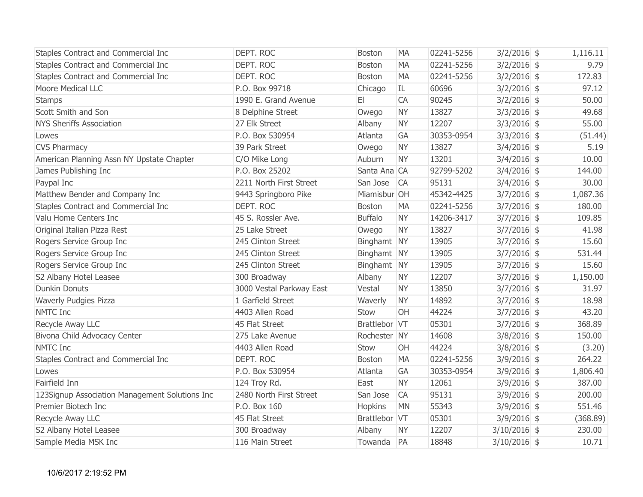| Staples Contract and Commercial Inc            | DEPT. ROC                | <b>Boston</b>  | <b>MA</b> | 02241-5256 | $3/2/2016$ \$  | 1,116.11 |
|------------------------------------------------|--------------------------|----------------|-----------|------------|----------------|----------|
| Staples Contract and Commercial Inc            | DEPT. ROC                | Boston         | <b>MA</b> | 02241-5256 | $3/2/2016$ \$  | 9.79     |
| Staples Contract and Commercial Inc            | DEPT. ROC                | <b>Boston</b>  | <b>MA</b> | 02241-5256 | $3/2/2016$ \$  | 172.83   |
| Moore Medical LLC                              | P.O. Box 99718           | Chicago        | IL        | 60696      | $3/2/2016$ \$  | 97.12    |
| <b>Stamps</b>                                  | 1990 E. Grand Avenue     | E              | <b>CA</b> | 90245      | $3/2/2016$ \$  | 50.00    |
| Scott Smith and Son                            | 8 Delphine Street        | Owego          | <b>NY</b> | 13827      | $3/3/2016$ \$  | 49.68    |
| <b>NYS Sheriffs Association</b>                | 27 Elk Street            | Albany         | <b>NY</b> | 12207      | $3/3/2016$ \$  | 55.00    |
| Lowes                                          | P.O. Box 530954          | Atlanta        | GA        | 30353-0954 | $3/3/2016$ \$  | (51.44)  |
| <b>CVS Pharmacy</b>                            | 39 Park Street           | Owego          | <b>NY</b> | 13827      | $3/4/2016$ \$  | 5.19     |
| American Planning Assn NY Upstate Chapter      | C/O Mike Long            | Auburn         | <b>NY</b> | 13201      | $3/4/2016$ \$  | 10.00    |
| James Publishing Inc                           | P.O. Box 25202           | Santa Ana CA   |           | 92799-5202 | $3/4/2016$ \$  | 144.00   |
| Paypal Inc                                     | 2211 North First Street  | San Jose       | <b>CA</b> | 95131      | $3/4/2016$ \$  | 30.00    |
| Matthew Bender and Company Inc                 | 9443 Springboro Pike     | Miamisbur OH   |           | 45342-4425 | $3/7/2016$ \$  | 1,087.36 |
| Staples Contract and Commercial Inc            | DEPT. ROC                | Boston         | <b>MA</b> | 02241-5256 | $3/7/2016$ \$  | 180.00   |
| Valu Home Centers Inc                          | 45 S. Rossler Ave.       | <b>Buffalo</b> | <b>NY</b> | 14206-3417 | $3/7/2016$ \$  | 109.85   |
| Original Italian Pizza Rest                    | 25 Lake Street           | Owego          | <b>NY</b> | 13827      | $3/7/2016$ \$  | 41.98    |
| Rogers Service Group Inc                       | 245 Clinton Street       | Binghamt NY    |           | 13905      | $3/7/2016$ \$  | 15.60    |
| Rogers Service Group Inc                       | 245 Clinton Street       | Binghamt NY    |           | 13905      | $3/7/2016$ \$  | 531.44   |
| Rogers Service Group Inc                       | 245 Clinton Street       | Binghamt NY    |           | 13905      | $3/7/2016$ \$  | 15.60    |
| S2 Albany Hotel Leasee                         | 300 Broadway             | Albany         | <b>NY</b> | 12207      | $3/7/2016$ \$  | 1,150.00 |
| <b>Dunkin Donuts</b>                           | 3000 Vestal Parkway East | Vestal         | <b>NY</b> | 13850      | $3/7/2016$ \$  | 31.97    |
| <b>Waverly Pudgies Pizza</b>                   | 1 Garfield Street        | Waverly        | <b>NY</b> | 14892      | $3/7/2016$ \$  | 18.98    |
| NMTC Inc                                       | 4403 Allen Road          | Stow           | OH        | 44224      | $3/7/2016$ \$  | 43.20    |
| Recycle Away LLC                               | 45 Flat Street           | Brattlebor VT  |           | 05301      | $3/7/2016$ \$  | 368.89   |
| Bivona Child Advocacy Center                   | 275 Lake Avenue          | Rochester NY   |           | 14608      | $3/8/2016$ \$  | 150.00   |
| NMTC Inc                                       | 4403 Allen Road          | Stow           | OH        | 44224      | $3/8/2016$ \$  | (3.20)   |
| Staples Contract and Commercial Inc            | DEPT. ROC                | <b>Boston</b>  | <b>MA</b> | 02241-5256 | $3/9/2016$ \$  | 264.22   |
| Lowes                                          | P.O. Box 530954          | Atlanta        | GA        | 30353-0954 | $3/9/2016$ \$  | 1,806.40 |
| Fairfield Inn                                  | 124 Troy Rd.             | East           | <b>NY</b> | 12061      | $3/9/2016$ \$  | 387.00   |
| 123Signup Association Management Solutions Inc | 2480 North First Street  | San Jose       | <b>CA</b> | 95131      | $3/9/2016$ \$  | 200.00   |
| Premier Biotech Inc                            | P.O. Box 160             | Hopkins        | <b>MN</b> | 55343      | $3/9/2016$ \$  | 551.46   |
| Recycle Away LLC                               | 45 Flat Street           | Brattlebor VT  |           | 05301      | $3/9/2016$ \$  | (368.89) |
| S2 Albany Hotel Leasee                         | 300 Broadway             | Albany         | <b>NY</b> | 12207      | $3/10/2016$ \$ | 230.00   |
| Sample Media MSK Inc                           | 116 Main Street          | Towanda        | PA        | 18848      | $3/10/2016$ \$ | 10.71    |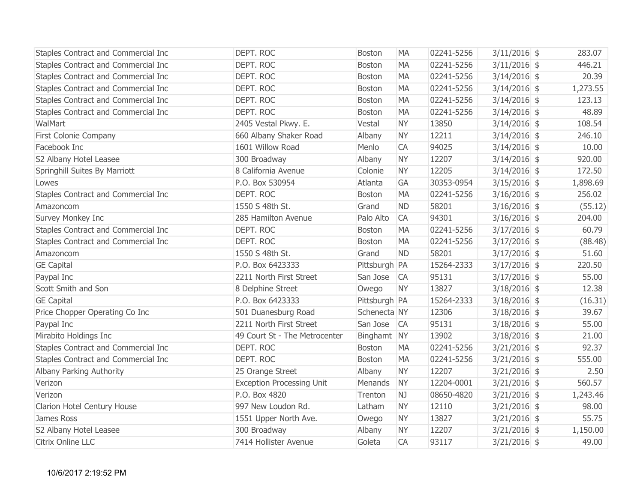| Staples Contract and Commercial Inc | DEPT. ROC                        | <b>Boston</b> | <b>MA</b> | 02241-5256 | $3/11/2016$ \$ | 283.07   |
|-------------------------------------|----------------------------------|---------------|-----------|------------|----------------|----------|
| Staples Contract and Commercial Inc | DEPT. ROC                        | <b>Boston</b> | <b>MA</b> | 02241-5256 | $3/11/2016$ \$ | 446.21   |
| Staples Contract and Commercial Inc | DEPT. ROC                        | Boston        | <b>MA</b> | 02241-5256 | $3/14/2016$ \$ | 20.39    |
| Staples Contract and Commercial Inc | DEPT. ROC                        | Boston        | <b>MA</b> | 02241-5256 | $3/14/2016$ \$ | 1,273.55 |
| Staples Contract and Commercial Inc | DEPT. ROC                        | Boston        | <b>MA</b> | 02241-5256 | $3/14/2016$ \$ | 123.13   |
| Staples Contract and Commercial Inc | DEPT. ROC                        | Boston        | <b>MA</b> | 02241-5256 | $3/14/2016$ \$ | 48.89    |
| WalMart                             | 2405 Vestal Pkwy. E.             | Vestal        | <b>NY</b> | 13850      | $3/14/2016$ \$ | 108.54   |
| First Colonie Company               | 660 Albany Shaker Road           | Albany        | <b>NY</b> | 12211      | $3/14/2016$ \$ | 246.10   |
| Facebook Inc                        | 1601 Willow Road                 | Menlo         | CA        | 94025      | $3/14/2016$ \$ | 10.00    |
| S2 Albany Hotel Leasee              | 300 Broadway                     | Albany        | <b>NY</b> | 12207      | $3/14/2016$ \$ | 920.00   |
| Springhill Suites By Marriott       | 8 California Avenue              | Colonie       | <b>NY</b> | 12205      | $3/14/2016$ \$ | 172.50   |
| Lowes                               | P.O. Box 530954                  | Atlanta       | GA        | 30353-0954 | $3/15/2016$ \$ | 1,898.69 |
| Staples Contract and Commercial Inc | DEPT. ROC                        | Boston        | <b>MA</b> | 02241-5256 | $3/16/2016$ \$ | 256.02   |
| Amazoncom                           | 1550 S 48th St.                  | Grand         | <b>ND</b> | 58201      | $3/16/2016$ \$ | (55.12)  |
| Survey Monkey Inc                   | 285 Hamilton Avenue              | Palo Alto     | <b>CA</b> | 94301      | $3/16/2016$ \$ | 204.00   |
| Staples Contract and Commercial Inc | DEPT. ROC                        | Boston        | <b>MA</b> | 02241-5256 | $3/17/2016$ \$ | 60.79    |
| Staples Contract and Commercial Inc | DEPT. ROC                        | Boston        | <b>MA</b> | 02241-5256 | $3/17/2016$ \$ | (88.48)  |
| Amazoncom                           | 1550 S 48th St.                  | Grand         | <b>ND</b> | 58201      | $3/17/2016$ \$ | 51.60    |
| <b>GE Capital</b>                   | P.O. Box 6423333                 | Pittsburgh PA |           | 15264-2333 | $3/17/2016$ \$ | 220.50   |
| Paypal Inc                          | 2211 North First Street          | San Jose      | CA        | 95131      | $3/17/2016$ \$ | 55.00    |
| Scott Smith and Son                 | 8 Delphine Street                | Owego         | <b>NY</b> | 13827      | $3/18/2016$ \$ | 12.38    |
| <b>GE Capital</b>                   | P.O. Box 6423333                 | Pittsburgh PA |           | 15264-2333 | $3/18/2016$ \$ | (16.31)  |
| Price Chopper Operating Co Inc      | 501 Duanesburg Road              | Schenecta NY  |           | 12306      | $3/18/2016$ \$ | 39.67    |
| Paypal Inc                          | 2211 North First Street          | San Jose      | CA        | 95131      | $3/18/2016$ \$ | 55.00    |
| Mirabito Holdings Inc               | 49 Court St - The Metrocenter    | Binghamt NY   |           | 13902      | $3/18/2016$ \$ | 21.00    |
| Staples Contract and Commercial Inc | DEPT. ROC                        | Boston        | <b>MA</b> | 02241-5256 | $3/21/2016$ \$ | 92.37    |
| Staples Contract and Commercial Inc | DEPT. ROC                        | <b>Boston</b> | <b>MA</b> | 02241-5256 | $3/21/2016$ \$ | 555.00   |
| Albany Parking Authority            | 25 Orange Street                 | Albany        | <b>NY</b> | 12207      | $3/21/2016$ \$ | 2.50     |
| Verizon                             | <b>Exception Processing Unit</b> | Menands       | <b>NY</b> | 12204-0001 | $3/21/2016$ \$ | 560.57   |
| Verizon                             | P.O. Box 4820                    | Trenton       | NJ        | 08650-4820 | $3/21/2016$ \$ | 1,243.46 |
| Clarion Hotel Century House         | 997 New Loudon Rd.               | Latham        | <b>NY</b> | 12110      | $3/21/2016$ \$ | 98.00    |
| James Ross                          | 1551 Upper North Ave.            | Owego         | <b>NY</b> | 13827      | $3/21/2016$ \$ | 55.75    |
| S2 Albany Hotel Leasee              | 300 Broadway                     | Albany        | <b>NY</b> | 12207      | $3/21/2016$ \$ | 1,150.00 |
| Citrix Online LLC                   | 7414 Hollister Avenue            | Goleta        | CA        | 93117      | $3/21/2016$ \$ | 49.00    |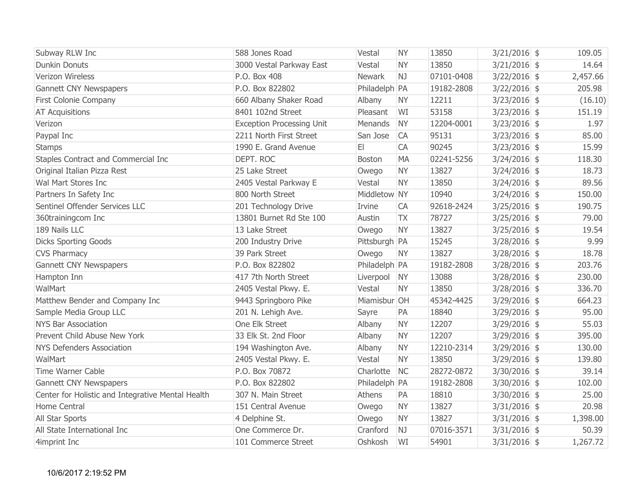| Subway RLW Inc                                    | 588 Jones Road                   | Vestal        | <b>NY</b>      | 13850      | $3/21/2016$ \$ | 109.05   |
|---------------------------------------------------|----------------------------------|---------------|----------------|------------|----------------|----------|
| <b>Dunkin Donuts</b>                              | 3000 Vestal Parkway East         | Vestal        | <b>NY</b>      | 13850      | $3/21/2016$ \$ | 14.64    |
| Verizon Wireless                                  | P.O. Box 408                     | <b>Newark</b> | N <sub>J</sub> | 07101-0408 | $3/22/2016$ \$ | 2,457.66 |
| <b>Gannett CNY Newspapers</b>                     | P.O. Box 822802                  | Philadelph PA |                | 19182-2808 | $3/22/2016$ \$ | 205.98   |
| First Colonie Company                             | 660 Albany Shaker Road           | Albany        | <b>NY</b>      | 12211      | $3/23/2016$ \$ | (16.10)  |
| <b>AT Acquisitions</b>                            | 8401 102nd Street                | Pleasant      | WI             | 53158      | $3/23/2016$ \$ | 151.19   |
| Verizon                                           | <b>Exception Processing Unit</b> | Menands       | <b>NY</b>      | 12204-0001 | $3/23/2016$ \$ | 1.97     |
| Paypal Inc                                        | 2211 North First Street          | San Jose      | <b>CA</b>      | 95131      | $3/23/2016$ \$ | 85.00    |
| <b>Stamps</b>                                     | 1990 E. Grand Avenue             | E             | <b>CA</b>      | 90245      | $3/23/2016$ \$ | 15.99    |
| Staples Contract and Commercial Inc               | DEPT. ROC                        | <b>Boston</b> | <b>MA</b>      | 02241-5256 | $3/24/2016$ \$ | 118.30   |
| Original Italian Pizza Rest                       | 25 Lake Street                   | Owego         | <b>NY</b>      | 13827      | $3/24/2016$ \$ | 18.73    |
| Wal Mart Stores Inc                               | 2405 Vestal Parkway E            | Vestal        | <b>NY</b>      | 13850      | $3/24/2016$ \$ | 89.56    |
| Partners In Safety Inc                            | 800 North Street                 | Middletow NY  |                | 10940      | $3/24/2016$ \$ | 150.00   |
| Sentinel Offender Services LLC                    | 201 Technology Drive             | Irvine        | <b>CA</b>      | 92618-2424 | $3/25/2016$ \$ | 190.75   |
| 360trainingcom Inc                                | 13801 Burnet Rd Ste 100          | Austin        | <b>TX</b>      | 78727      | $3/25/2016$ \$ | 79.00    |
| 189 Nails LLC                                     | 13 Lake Street                   | Owego         | <b>NY</b>      | 13827      | $3/25/2016$ \$ | 19.54    |
| <b>Dicks Sporting Goods</b>                       | 200 Industry Drive               | Pittsburgh PA |                | 15245      | $3/28/2016$ \$ | 9.99     |
| <b>CVS Pharmacy</b>                               | 39 Park Street                   | Owego         | <b>NY</b>      | 13827      | $3/28/2016$ \$ | 18.78    |
| <b>Gannett CNY Newspapers</b>                     | P.O. Box 822802                  | Philadelph PA |                | 19182-2808 | $3/28/2016$ \$ | 203.76   |
| Hampton Inn                                       | 417 7th North Street             | Liverpool     | <b>NY</b>      | 13088      | $3/28/2016$ \$ | 230.00   |
| WalMart                                           | 2405 Vestal Pkwy. E.             | Vestal        | <b>NY</b>      | 13850      | $3/28/2016$ \$ | 336.70   |
| Matthew Bender and Company Inc                    | 9443 Springboro Pike             | Miamisbur OH  |                | 45342-4425 | $3/29/2016$ \$ | 664.23   |
| Sample Media Group LLC                            | 201 N. Lehigh Ave.               | Sayre         | PA             | 18840      | $3/29/2016$ \$ | 95.00    |
| <b>NYS Bar Association</b>                        | One Elk Street                   | Albany        | <b>NY</b>      | 12207      | $3/29/2016$ \$ | 55.03    |
| Prevent Child Abuse New York                      | 33 Elk St. 2nd Floor             | Albany        | <b>NY</b>      | 12207      | $3/29/2016$ \$ | 395.00   |
| <b>NYS Defenders Association</b>                  | 194 Washington Ave.              | Albany        | <b>NY</b>      | 12210-2314 | $3/29/2016$ \$ | 130.00   |
| WalMart                                           | 2405 Vestal Pkwy. E.             | Vestal        | <b>NY</b>      | 13850      | $3/29/2016$ \$ | 139.80   |
| <b>Time Warner Cable</b>                          | P.O. Box 70872                   | Charlotte     | <b>NC</b>      | 28272-0872 | $3/30/2016$ \$ | 39.14    |
| <b>Gannett CNY Newspapers</b>                     | P.O. Box 822802                  | Philadelph PA |                | 19182-2808 | $3/30/2016$ \$ | 102.00   |
| Center for Holistic and Integrative Mental Health | 307 N. Main Street               | Athens        | PA             | 18810      | $3/30/2016$ \$ | 25.00    |
| Home Central                                      | 151 Central Avenue               | Owego         | <b>NY</b>      | 13827      | $3/31/2016$ \$ | 20.98    |
| All Star Sports                                   | 4 Delphine St.                   | Owego         | <b>NY</b>      | 13827      | $3/31/2016$ \$ | 1,398.00 |
| All State International Inc                       | One Commerce Dr.                 | Cranford      | NJ             | 07016-3571 | $3/31/2016$ \$ | 50.39    |
| 4imprint Inc                                      | 101 Commerce Street              | Oshkosh       | WI             | 54901      | $3/31/2016$ \$ | 1,267.72 |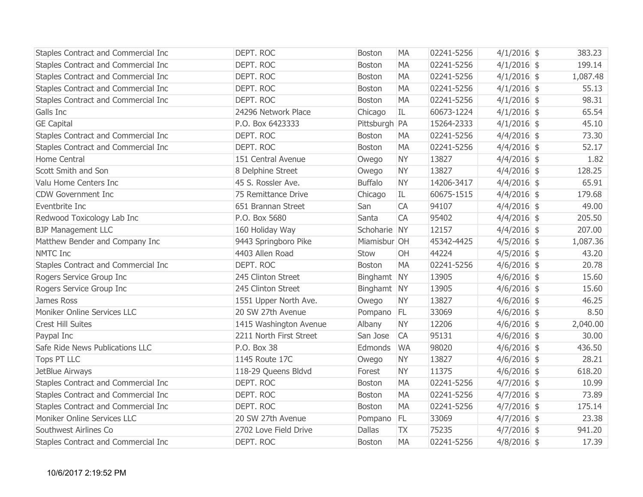| Staples Contract and Commercial Inc | DEPT. ROC               | <b>Boston</b>  | <b>MA</b> | 02241-5256 | $4/1/2016$ \$ | 383.23   |
|-------------------------------------|-------------------------|----------------|-----------|------------|---------------|----------|
| Staples Contract and Commercial Inc | DEPT. ROC               | Boston         | <b>MA</b> | 02241-5256 | $4/1/2016$ \$ | 199.14   |
| Staples Contract and Commercial Inc | DEPT. ROC               | <b>Boston</b>  | <b>MA</b> | 02241-5256 | $4/1/2016$ \$ | 1,087.48 |
| Staples Contract and Commercial Inc | DEPT. ROC               | <b>Boston</b>  | <b>MA</b> | 02241-5256 | $4/1/2016$ \$ | 55.13    |
| Staples Contract and Commercial Inc | DEPT. ROC               | <b>Boston</b>  | <b>MA</b> | 02241-5256 | $4/1/2016$ \$ | 98.31    |
| Galls Inc                           | 24296 Network Place     | Chicago        | IL        | 60673-1224 | $4/1/2016$ \$ | 65.54    |
| <b>GE Capital</b>                   | P.O. Box 6423333        | Pittsburgh PA  |           | 15264-2333 | $4/1/2016$ \$ | 45.10    |
| Staples Contract and Commercial Inc | DEPT. ROC               | <b>Boston</b>  | <b>MA</b> | 02241-5256 | $4/4/2016$ \$ | 73.30    |
| Staples Contract and Commercial Inc | DEPT. ROC               | <b>Boston</b>  | <b>MA</b> | 02241-5256 | $4/4/2016$ \$ | 52.17    |
| Home Central                        | 151 Central Avenue      | Owego          | <b>NY</b> | 13827      | $4/4/2016$ \$ | 1.82     |
| Scott Smith and Son                 | 8 Delphine Street       | Owego          | <b>NY</b> | 13827      | $4/4/2016$ \$ | 128.25   |
| Valu Home Centers Inc               | 45 S. Rossler Ave.      | <b>Buffalo</b> | <b>NY</b> | 14206-3417 | $4/4/2016$ \$ | 65.91    |
| <b>CDW Government Inc.</b>          | 75 Remittance Drive     | Chicago        | IL        | 60675-1515 | $4/4/2016$ \$ | 179.68   |
| Eventbrite Inc                      | 651 Brannan Street      | San            | CA        | 94107      | $4/4/2016$ \$ | 49.00    |
| Redwood Toxicology Lab Inc          | P.O. Box 5680           | Santa          | CA        | 95402      | $4/4/2016$ \$ | 205.50   |
| <b>BJP Management LLC</b>           | 160 Holiday Way         | Schoharie NY   |           | 12157      | $4/4/2016$ \$ | 207.00   |
| Matthew Bender and Company Inc      | 9443 Springboro Pike    | Miamisbur OH   |           | 45342-4425 | $4/5/2016$ \$ | 1,087.36 |
| <b>NMTC Inc</b>                     | 4403 Allen Road         | Stow           | OH        | 44224      | $4/5/2016$ \$ | 43.20    |
| Staples Contract and Commercial Inc | DEPT. ROC               | <b>Boston</b>  | <b>MA</b> | 02241-5256 | $4/6/2016$ \$ | 20.78    |
| Rogers Service Group Inc            | 245 Clinton Street      | Binghamt NY    |           | 13905      | $4/6/2016$ \$ | 15.60    |
| Rogers Service Group Inc            | 245 Clinton Street      | Binghamt NY    |           | 13905      | $4/6/2016$ \$ | 15.60    |
| James Ross                          | 1551 Upper North Ave.   | Owego          | <b>NY</b> | 13827      | $4/6/2016$ \$ | 46.25    |
| Moniker Online Services LLC         | 20 SW 27th Avenue       | Pompano        | FL.       | 33069      | $4/6/2016$ \$ | 8.50     |
| <b>Crest Hill Suites</b>            | 1415 Washington Avenue  | Albany         | <b>NY</b> | 12206      | $4/6/2016$ \$ | 2,040.00 |
| Paypal Inc                          | 2211 North First Street | San Jose       | <b>CA</b> | 95131      | $4/6/2016$ \$ | 30.00    |
| Safe Ride News Publications LLC     | P.O. Box 38             | Edmonds        | <b>WA</b> | 98020      | $4/6/2016$ \$ | 436.50   |
| <b>Tops PT LLC</b>                  | 1145 Route 17C          | Owego          | <b>NY</b> | 13827      | $4/6/2016$ \$ | 28.21    |
| JetBlue Airways                     | 118-29 Queens Bldvd     | Forest         | <b>NY</b> | 11375      | $4/6/2016$ \$ | 618.20   |
| Staples Contract and Commercial Inc | DEPT. ROC               | <b>Boston</b>  | <b>MA</b> | 02241-5256 | $4/7/2016$ \$ | 10.99    |
| Staples Contract and Commercial Inc | DEPT. ROC               | <b>Boston</b>  | <b>MA</b> | 02241-5256 | $4/7/2016$ \$ | 73.89    |
| Staples Contract and Commercial Inc | DEPT. ROC               | <b>Boston</b>  | <b>MA</b> | 02241-5256 | $4/7/2016$ \$ | 175.14   |
| Moniker Online Services LLC         | 20 SW 27th Avenue       | Pompano        | FL.       | 33069      | $4/7/2016$ \$ | 23.38    |
| Southwest Airlines Co               | 2702 Love Field Drive   | <b>Dallas</b>  | <b>TX</b> | 75235      | $4/7/2016$ \$ | 941.20   |
| Staples Contract and Commercial Inc | DEPT. ROC               | <b>Boston</b>  | <b>MA</b> | 02241-5256 | $4/8/2016$ \$ | 17.39    |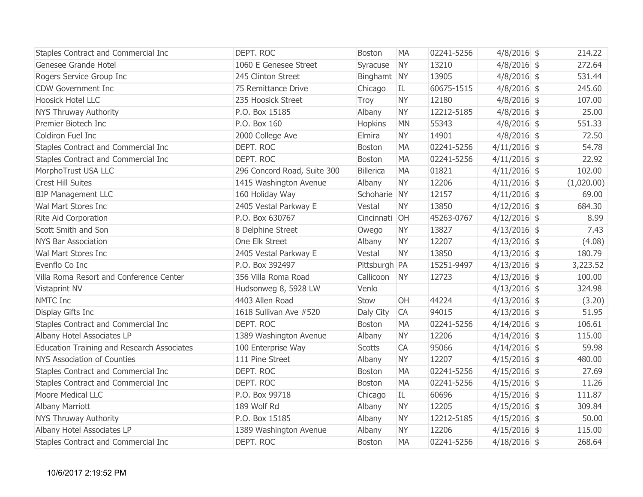| Staples Contract and Commercial Inc        | DEPT. ROC                   | <b>Boston</b>    | <b>MA</b> | 02241-5256 | $4/8/2016$ \$  | 214.22     |
|--------------------------------------------|-----------------------------|------------------|-----------|------------|----------------|------------|
| Genesee Grande Hotel                       | 1060 E Genesee Street       | Syracuse         | <b>NY</b> | 13210      | $4/8/2016$ \$  | 272.64     |
| Rogers Service Group Inc                   | 245 Clinton Street          | Binghamt NY      |           | 13905      | $4/8/2016$ \$  | 531.44     |
| <b>CDW Government Inc</b>                  | 75 Remittance Drive         | Chicago          | IL        | 60675-1515 | $4/8/2016$ \$  | 245.60     |
| <b>Hoosick Hotel LLC</b>                   | 235 Hoosick Street          | Troy             | <b>NY</b> | 12180      | $4/8/2016$ \$  | 107.00     |
| NYS Thruway Authority                      | P.O. Box 15185              | Albany           | <b>NY</b> | 12212-5185 | $4/8/2016$ \$  | 25.00      |
| Premier Biotech Inc                        | P.O. Box 160                | Hopkins          | <b>MN</b> | 55343      | $4/8/2016$ \$  | 551.33     |
| Coldiron Fuel Inc                          | 2000 College Ave            | Elmira           | <b>NY</b> | 14901      | $4/8/2016$ \$  | 72.50      |
| Staples Contract and Commercial Inc        | DEPT. ROC                   | Boston           | <b>MA</b> | 02241-5256 | $4/11/2016$ \$ | 54.78      |
| Staples Contract and Commercial Inc        | DEPT. ROC                   | <b>Boston</b>    | <b>MA</b> | 02241-5256 | $4/11/2016$ \$ | 22.92      |
| MorphoTrust USA LLC                        | 296 Concord Road, Suite 300 | <b>Billerica</b> | <b>MA</b> | 01821      | $4/11/2016$ \$ | 102.00     |
| <b>Crest Hill Suites</b>                   | 1415 Washington Avenue      | Albany           | <b>NY</b> | 12206      | $4/11/2016$ \$ | (1,020.00) |
| <b>BJP Management LLC</b>                  | 160 Holiday Way             | Schoharie NY     |           | 12157      | $4/11/2016$ \$ | 69.00      |
| Wal Mart Stores Inc                        | 2405 Vestal Parkway E       | Vestal           | <b>NY</b> | 13850      | $4/12/2016$ \$ | 684.30     |
| Rite Aid Corporation                       | P.O. Box 630767             | Cincinnati OH    |           | 45263-0767 | $4/12/2016$ \$ | 8.99       |
| Scott Smith and Son                        | 8 Delphine Street           | Owego            | <b>NY</b> | 13827      | $4/13/2016$ \$ | 7.43       |
| <b>NYS Bar Association</b>                 | One Elk Street              | Albany           | <b>NY</b> | 12207      | $4/13/2016$ \$ | (4.08)     |
| Wal Mart Stores Inc                        | 2405 Vestal Parkway E       | Vestal           | <b>NY</b> | 13850      | $4/13/2016$ \$ | 180.79     |
| Evenflo Co Inc                             | P.O. Box 392497             | Pittsburgh PA    |           | 15251-9497 | $4/13/2016$ \$ | 3,223.52   |
| Villa Roma Resort and Conference Center    | 356 Villa Roma Road         | Callicoon NY     |           | 12723      | $4/13/2016$ \$ | 100.00     |
| Vistaprint NV                              | Hudsonweg 8, 5928 LW        | Venlo            |           |            | $4/13/2016$ \$ | 324.98     |
| NMTC Inc                                   | 4403 Allen Road             | Stow             | OH        | 44224      | $4/13/2016$ \$ | (3.20)     |
| Display Gifts Inc                          | 1618 Sullivan Ave #520      | Daly City        | <b>CA</b> | 94015      | $4/13/2016$ \$ | 51.95      |
| Staples Contract and Commercial Inc        | DEPT. ROC                   | Boston           | <b>MA</b> | 02241-5256 | $4/14/2016$ \$ | 106.61     |
| Albany Hotel Associates LP                 | 1389 Washington Avenue      | Albany           | <b>NY</b> | 12206      | $4/14/2016$ \$ | 115.00     |
| Education Training and Research Associates | 100 Enterprise Way          | Scotts           | CA        | 95066      | $4/14/2016$ \$ | 59.98      |
| <b>NYS Association of Counties</b>         | 111 Pine Street             | Albany           | <b>NY</b> | 12207      | $4/15/2016$ \$ | 480.00     |
| Staples Contract and Commercial Inc        | DEPT. ROC                   | <b>Boston</b>    | <b>MA</b> | 02241-5256 | $4/15/2016$ \$ | 27.69      |
| Staples Contract and Commercial Inc        | DEPT. ROC                   | Boston           | <b>MA</b> | 02241-5256 | $4/15/2016$ \$ | 11.26      |
| <b>Moore Medical LLC</b>                   | P.O. Box 99718              | Chicago          | IL        | 60696      | $4/15/2016$ \$ | 111.87     |
| Albany Marriott                            | 189 Wolf Rd                 | Albany           | <b>NY</b> | 12205      | $4/15/2016$ \$ | 309.84     |
| <b>NYS Thruway Authority</b>               | P.O. Box 15185              | Albany           | <b>NY</b> | 12212-5185 | $4/15/2016$ \$ | 50.00      |
| Albany Hotel Associates LP                 | 1389 Washington Avenue      | Albany           | <b>NY</b> | 12206      | $4/15/2016$ \$ | 115.00     |
| Staples Contract and Commercial Inc        | DEPT. ROC                   | <b>Boston</b>    | <b>MA</b> | 02241-5256 | $4/18/2016$ \$ | 268.64     |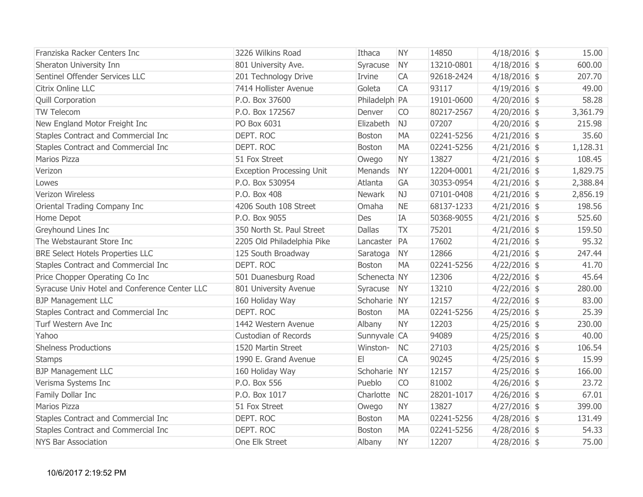| Franziska Racker Centers Inc                  | 3226 Wilkins Road                | Ithaca        | <b>NY</b> | 14850      | $4/18/2016$ \$ | 15.00    |
|-----------------------------------------------|----------------------------------|---------------|-----------|------------|----------------|----------|
| Sheraton University Inn                       | 801 University Ave.              | Syracuse      | <b>NY</b> | 13210-0801 | $4/18/2016$ \$ | 600.00   |
| Sentinel Offender Services LLC                | 201 Technology Drive             | Irvine        | <b>CA</b> | 92618-2424 | $4/18/2016$ \$ | 207.70   |
| Citrix Online LLC                             | 7414 Hollister Avenue            | Goleta        | <b>CA</b> | 93117      | $4/19/2016$ \$ | 49.00    |
| <b>Quill Corporation</b>                      | P.O. Box 37600                   | Philadelph PA |           | 19101-0600 | $4/20/2016$ \$ | 58.28    |
| <b>TW Telecom</b>                             | P.O. Box 172567                  | Denver        | <b>CO</b> | 80217-2567 | $4/20/2016$ \$ | 3,361.79 |
| New England Motor Freight Inc                 | PO Box 6031                      | Elizabeth     | NJ        | 07207      | $4/20/2016$ \$ | 215.98   |
| Staples Contract and Commercial Inc           | DEPT. ROC                        | <b>Boston</b> | <b>MA</b> | 02241-5256 | $4/21/2016$ \$ | 35.60    |
| Staples Contract and Commercial Inc           | DEPT. ROC                        | <b>Boston</b> | <b>MA</b> | 02241-5256 | $4/21/2016$ \$ | 1,128.31 |
| <b>Marios Pizza</b>                           | 51 Fox Street                    | Owego         | <b>NY</b> | 13827      | $4/21/2016$ \$ | 108.45   |
| Verizon                                       | <b>Exception Processing Unit</b> | Menands       | <b>NY</b> | 12204-0001 | $4/21/2016$ \$ | 1,829.75 |
| Lowes                                         | P.O. Box 530954                  | Atlanta       | GA        | 30353-0954 | $4/21/2016$ \$ | 2,388.84 |
| Verizon Wireless                              | P.O. Box 408                     | Newark        | NJ        | 07101-0408 | $4/21/2016$ \$ | 2,856.19 |
| Oriental Trading Company Inc                  | 4206 South 108 Street            | Omaha         | <b>NE</b> | 68137-1233 | $4/21/2016$ \$ | 198.56   |
| Home Depot                                    | P.O. Box 9055                    | Des           | IA        | 50368-9055 | $4/21/2016$ \$ | 525.60   |
| Greyhound Lines Inc                           | 350 North St. Paul Street        | <b>Dallas</b> | <b>TX</b> | 75201      | $4/21/2016$ \$ | 159.50   |
| The Webstaurant Store Inc                     | 2205 Old Philadelphia Pike       | Lancaster     | PA        | 17602      | $4/21/2016$ \$ | 95.32    |
| <b>BRE Select Hotels Properties LLC</b>       | 125 South Broadway               | Saratoga      | <b>NY</b> | 12866      | $4/21/2016$ \$ | 247.44   |
| Staples Contract and Commercial Inc           | DEPT. ROC                        | <b>Boston</b> | <b>MA</b> | 02241-5256 | $4/22/2016$ \$ | 41.70    |
| Price Chopper Operating Co Inc                | 501 Duanesburg Road              | Schenecta NY  |           | 12306      | $4/22/2016$ \$ | 45.64    |
| Syracuse Univ Hotel and Conference Center LLC | 801 University Avenue            | Syracuse      | <b>NY</b> | 13210      | $4/22/2016$ \$ | 280.00   |
| <b>BJP Management LLC</b>                     | 160 Holiday Way                  | Schoharie NY  |           | 12157      | $4/22/2016$ \$ | 83.00    |
| Staples Contract and Commercial Inc           | DEPT. ROC                        | Boston        | <b>MA</b> | 02241-5256 | $4/25/2016$ \$ | 25.39    |
| Turf Western Ave Inc                          | 1442 Western Avenue              | Albany        | <b>NY</b> | 12203      | $4/25/2016$ \$ | 230.00   |
| Yahoo                                         | <b>Custodian of Records</b>      | Sunnyvale CA  |           | 94089      | $4/25/2016$ \$ | 40.00    |
| <b>Shelness Productions</b>                   | 1520 Martin Street               | Winston-      | <b>NC</b> | 27103      | $4/25/2016$ \$ | 106.54   |
| <b>Stamps</b>                                 | 1990 E. Grand Avenue             | E1            | <b>CA</b> | 90245      | $4/25/2016$ \$ | 15.99    |
| <b>BJP Management LLC</b>                     | 160 Holiday Way                  | Schoharie NY  |           | 12157      | $4/25/2016$ \$ | 166.00   |
| Verisma Systems Inc                           | P.O. Box 556                     | Pueblo        | <b>CO</b> | 81002      | $4/26/2016$ \$ | 23.72    |
| Family Dollar Inc                             | P.O. Box 1017                    | Charlotte     | <b>NC</b> | 28201-1017 | $4/26/2016$ \$ | 67.01    |
| Marios Pizza                                  | 51 Fox Street                    | Owego         | <b>NY</b> | 13827      | $4/27/2016$ \$ | 399.00   |
| Staples Contract and Commercial Inc           | DEPT. ROC                        | Boston        | <b>MA</b> | 02241-5256 | $4/28/2016$ \$ | 131.49   |
| Staples Contract and Commercial Inc           | DEPT. ROC                        | <b>Boston</b> | <b>MA</b> | 02241-5256 | $4/28/2016$ \$ | 54.33    |
| <b>NYS Bar Association</b>                    | One Elk Street                   | Albany        | <b>NY</b> | 12207      | $4/28/2016$ \$ | 75.00    |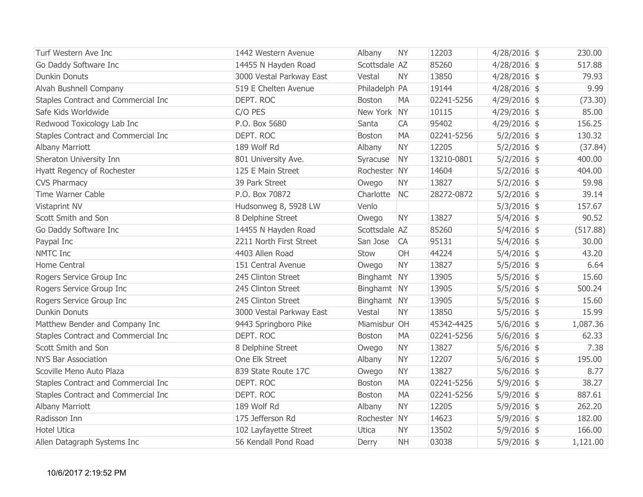| Turf Western Ave Inc                | 1442 Western Avenue      | Albany        | <b>NY</b> | 12203      | $4/28/2016$ \$ | 230.00   |
|-------------------------------------|--------------------------|---------------|-----------|------------|----------------|----------|
| Go Daddy Software Inc               | 14455 N Hayden Road      | Scottsdale AZ |           | 85260      | $4/28/2016$ \$ | 517.88   |
| <b>Dunkin Donuts</b>                | 3000 Vestal Parkway East | Vestal        | <b>NY</b> | 13850      | $4/28/2016$ \$ | 79.93    |
| Alvah Bushnell Company              | 519 E Chelten Avenue     | Philadelph PA |           | 19144      | $4/28/2016$ \$ | 9.99     |
| Staples Contract and Commercial Inc | DEPT. ROC                | <b>Boston</b> | <b>MA</b> | 02241-5256 | $4/29/2016$ \$ | (73.30)  |
| Safe Kids Worldwide                 | C/O PES                  | New York NY   |           | 10115      | $4/29/2016$ \$ | 85.00    |
| Redwood Toxicology Lab Inc          | P.O. Box 5680            | Santa         | CA        | 95402      | $4/29/2016$ \$ | 156.25   |
| Staples Contract and Commercial Inc | DEPT. ROC                | <b>Boston</b> | <b>MA</b> | 02241-5256 | $5/2/2016$ \$  | 130.32   |
| <b>Albany Marriott</b>              | 189 Wolf Rd              | Albany        | <b>NY</b> | 12205      | $5/2/2016$ \$  | (37.84)  |
| Sheraton University Inn             | 801 University Ave.      | Syracuse      | <b>NY</b> | 13210-0801 | $5/2/2016$ \$  | 400.00   |
| Hyatt Regency of Rochester          | 125 E Main Street        | Rochester NY  |           | 14604      | $5/2/2016$ \$  | 404.00   |
| <b>CVS Pharmacy</b>                 | 39 Park Street           | Owego         | <b>NY</b> | 13827      | $5/2/2016$ \$  | 59.98    |
| Time Warner Cable                   | P.O. Box 70872           | Charlotte     | <b>NC</b> | 28272-0872 | $5/2/2016$ \$  | 39.14    |
| Vistaprint NV                       | Hudsonweg 8, 5928 LW     | Venlo         |           |            | $5/3/2016$ \$  | 157.67   |
| Scott Smith and Son                 | 8 Delphine Street        | Owego         | <b>NY</b> | 13827      | $5/4/2016$ \$  | 90.52    |
| Go Daddy Software Inc               | 14455 N Hayden Road      | Scottsdale AZ |           | 85260      | $5/4/2016$ \$  | (517.88) |
| Paypal Inc                          | 2211 North First Street  | San Jose      | <b>CA</b> | 95131      | $5/4/2016$ \$  | 30.00    |
| NMTC Inc                            | 4403 Allen Road          | Stow          | OH        | 44224      | $5/4/2016$ \$  | 43.20    |
| Home Central                        | 151 Central Avenue       | Owego         | <b>NY</b> | 13827      | $5/5/2016$ \$  | 6.64     |
| Rogers Service Group Inc            | 245 Clinton Street       | Binghamt NY   |           | 13905      | $5/5/2016$ \$  | 15.60    |
| Rogers Service Group Inc            | 245 Clinton Street       | Binghamt NY   |           | 13905      | $5/5/2016$ \$  | 500.24   |
| Rogers Service Group Inc            | 245 Clinton Street       | Binghamt NY   |           | 13905      | $5/5/2016$ \$  | 15.60    |
| <b>Dunkin Donuts</b>                | 3000 Vestal Parkway East | Vestal        | <b>NY</b> | 13850      | $5/5/2016$ \$  | 15.99    |
| Matthew Bender and Company Inc      | 9443 Springboro Pike     | Miamisbur OH  |           | 45342-4425 | $5/6/2016$ \$  | 1,087.36 |
| Staples Contract and Commercial Inc | DEPT. ROC                | <b>Boston</b> | <b>MA</b> | 02241-5256 | $5/6/2016$ \$  | 62.33    |
| Scott Smith and Son                 | 8 Delphine Street        | Owego         | <b>NY</b> | 13827      | $5/6/2016$ \$  | 7.38     |
| <b>NYS Bar Association</b>          | One Elk Street           | Albany        | <b>NY</b> | 12207      | $5/6/2016$ \$  | 195.00   |
| Scoville Meno Auto Plaza            | 839 State Route 17C      | Owego         | <b>NY</b> | 13827      | $5/6/2016$ \$  | 8.77     |
| Staples Contract and Commercial Inc | DEPT. ROC                | <b>Boston</b> | <b>MA</b> | 02241-5256 | $5/9/2016$ \$  | 38.27    |
| Staples Contract and Commercial Inc | DEPT. ROC                | <b>Boston</b> | <b>MA</b> | 02241-5256 | $5/9/2016$ \$  | 887.61   |
| Albany Marriott                     | 189 Wolf Rd              | Albany        | <b>NY</b> | 12205      | $5/9/2016$ \$  | 262.20   |
| Radisson Inn                        | 175 Jefferson Rd         | Rochester NY  |           | 14623      | $5/9/2016$ \$  | 182.00   |
| <b>Hotel Utica</b>                  | 102 Layfayette Street    | <b>Utica</b>  | <b>NY</b> | 13502      | $5/9/2016$ \$  | 166.00   |
| Allen Datagraph Systems Inc         | 56 Kendall Pond Road     | Derry         | <b>NH</b> | 03038      | $5/9/2016$ \$  | 1,121.00 |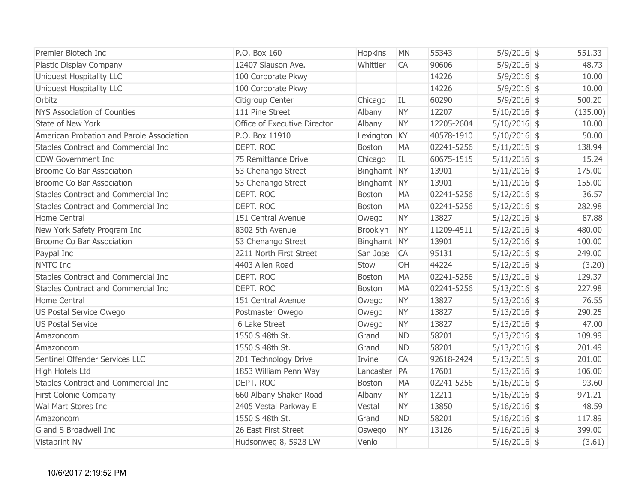| Premier Biotech Inc                       | P.O. Box 160                 | Hopkins       | <b>MN</b> | 55343      | $5/9/2016$ \$  | 551.33   |
|-------------------------------------------|------------------------------|---------------|-----------|------------|----------------|----------|
| Plastic Display Company                   | 12407 Slauson Ave.           | Whittier      | <b>CA</b> | 90606      | $5/9/2016$ \$  | 48.73    |
| Uniquest Hospitality LLC                  | 100 Corporate Pkwy           |               |           | 14226      | $5/9/2016$ \$  | 10.00    |
| Uniquest Hospitality LLC                  | 100 Corporate Pkwy           |               |           | 14226      | $5/9/2016$ \$  | 10.00    |
| Orbitz                                    | Citigroup Center             | Chicago       | IL        | 60290      | $5/9/2016$ \$  | 500.20   |
| <b>NYS Association of Counties</b>        | 111 Pine Street              | Albany        | <b>NY</b> | 12207      | $5/10/2016$ \$ | (135.00) |
| State of New York                         | Office of Executive Director | Albany        | <b>NY</b> | 12205-2604 | $5/10/2016$ \$ | 10.00    |
| American Probation and Parole Association | P.O. Box 11910               | Lexington KY  |           | 40578-1910 | $5/10/2016$ \$ | 50.00    |
| Staples Contract and Commercial Inc       | DEPT. ROC                    | Boston        | <b>MA</b> | 02241-5256 | $5/11/2016$ \$ | 138.94   |
| <b>CDW Government Inc</b>                 | 75 Remittance Drive          | Chicago       | IL.       | 60675-1515 | $5/11/2016$ \$ | 15.24    |
| <b>Broome Co Bar Association</b>          | 53 Chenango Street           | Binghamt NY   |           | 13901      | $5/11/2016$ \$ | 175.00   |
| <b>Broome Co Bar Association</b>          | 53 Chenango Street           | Binghamt NY   |           | 13901      | $5/11/2016$ \$ | 155.00   |
| Staples Contract and Commercial Inc       | DEPT. ROC                    | <b>Boston</b> | <b>MA</b> | 02241-5256 | $5/12/2016$ \$ | 36.57    |
| Staples Contract and Commercial Inc       | DEPT. ROC                    | <b>Boston</b> | <b>MA</b> | 02241-5256 | $5/12/2016$ \$ | 282.98   |
| Home Central                              | 151 Central Avenue           | Owego         | <b>NY</b> | 13827      | $5/12/2016$ \$ | 87.88    |
| New York Safety Program Inc               | 8302 5th Avenue              | Brooklyn      | <b>NY</b> | 11209-4511 | $5/12/2016$ \$ | 480.00   |
| <b>Broome Co Bar Association</b>          | 53 Chenango Street           | Binghamt NY   |           | 13901      | $5/12/2016$ \$ | 100.00   |
| Paypal Inc                                | 2211 North First Street      | San Jose      | <b>CA</b> | 95131      | $5/12/2016$ \$ | 249.00   |
| NMTC Inc                                  | 4403 Allen Road              | Stow          | OH        | 44224      | $5/12/2016$ \$ | (3.20)   |
| Staples Contract and Commercial Inc       | DEPT. ROC                    | <b>Boston</b> | <b>MA</b> | 02241-5256 | $5/13/2016$ \$ | 129.37   |
| Staples Contract and Commercial Inc       | DEPT. ROC                    | <b>Boston</b> | <b>MA</b> | 02241-5256 | $5/13/2016$ \$ | 227.98   |
| Home Central                              | 151 Central Avenue           | Owego         | <b>NY</b> | 13827      | $5/13/2016$ \$ | 76.55    |
| US Postal Service Owego                   | Postmaster Owego             | Owego         | <b>NY</b> | 13827      | $5/13/2016$ \$ | 290.25   |
| <b>US Postal Service</b>                  | 6 Lake Street                | Owego         | <b>NY</b> | 13827      | $5/13/2016$ \$ | 47.00    |
| Amazoncom                                 | 1550 S 48th St.              | Grand         | <b>ND</b> | 58201      | $5/13/2016$ \$ | 109.99   |
| Amazoncom                                 | 1550 S 48th St.              | Grand         | <b>ND</b> | 58201      | $5/13/2016$ \$ | 201.49   |
| Sentinel Offender Services LLC            | 201 Technology Drive         | Irvine        | <b>CA</b> | 92618-2424 | $5/13/2016$ \$ | 201.00   |
| <b>High Hotels Ltd</b>                    | 1853 William Penn Way        | Lancaster     | PA        | 17601      | $5/13/2016$ \$ | 106.00   |
| Staples Contract and Commercial Inc       | DEPT. ROC                    | Boston        | <b>MA</b> | 02241-5256 | $5/16/2016$ \$ | 93.60    |
| First Colonie Company                     | 660 Albany Shaker Road       | Albany        | <b>NY</b> | 12211      | $5/16/2016$ \$ | 971.21   |
| Wal Mart Stores Inc                       | 2405 Vestal Parkway E        | Vestal        | <b>NY</b> | 13850      | $5/16/2016$ \$ | 48.59    |
| Amazoncom                                 | 1550 S 48th St.              | Grand         | <b>ND</b> | 58201      | $5/16/2016$ \$ | 117.89   |
| G and S Broadwell Inc                     | 26 East First Street         | Oswego        | <b>NY</b> | 13126      | $5/16/2016$ \$ | 399.00   |
| Vistaprint NV                             | Hudsonweg 8, 5928 LW         | Venlo         |           |            | $5/16/2016$ \$ | (3.61)   |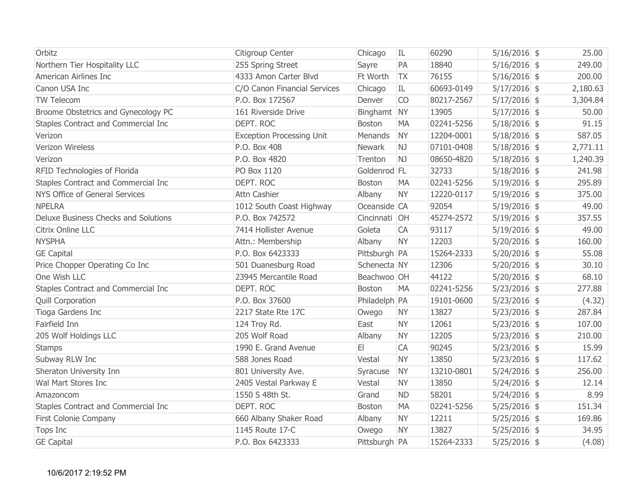| Orbitz                               | Citigroup Center                 | Chicago       | IL        | 60290      | $5/16/2016$ \$ | 25.00    |
|--------------------------------------|----------------------------------|---------------|-----------|------------|----------------|----------|
| Northern Tier Hospitality LLC        | 255 Spring Street                | Sayre         | PA        | 18840      | $5/16/2016$ \$ | 249.00   |
| American Airlines Inc                | 4333 Amon Carter Blvd            | Ft Worth      | <b>TX</b> | 76155      | $5/16/2016$ \$ | 200.00   |
| Canon USA Inc                        | C/O Canon Financial Services     | Chicago       | IL        | 60693-0149 | $5/17/2016$ \$ | 2,180.63 |
| TW Telecom                           | P.O. Box 172567                  | Denver        | <b>CO</b> | 80217-2567 | $5/17/2016$ \$ | 3,304.84 |
| Broome Obstetrics and Gynecology PC  | 161 Riverside Drive              | Binghamt NY   |           | 13905      | $5/17/2016$ \$ | 50.00    |
| Staples Contract and Commercial Inc  | DEPT. ROC                        | <b>Boston</b> | <b>MA</b> | 02241-5256 | $5/18/2016$ \$ | 91.15    |
| Verizon                              | <b>Exception Processing Unit</b> | Menands       | <b>NY</b> | 12204-0001 | $5/18/2016$ \$ | 587.05   |
| Verizon Wireless                     | P.O. Box 408                     | Newark        | NJ        | 07101-0408 | $5/18/2016$ \$ | 2,771.11 |
| Verizon                              | P.O. Box 4820                    | Trenton       | NJ        | 08650-4820 | $5/18/2016$ \$ | 1,240.39 |
| RFID Technologies of Florida         | PO Box 1120                      | Goldenrod FL  |           | 32733      | $5/18/2016$ \$ | 241.98   |
| Staples Contract and Commercial Inc  | DEPT. ROC                        | <b>Boston</b> | <b>MA</b> | 02241-5256 | $5/19/2016$ \$ | 295.89   |
| NYS Office of General Services       | Attn Cashier                     | Albany        | <b>NY</b> | 12220-0117 | $5/19/2016$ \$ | 375.00   |
| <b>NPELRA</b>                        | 1012 South Coast Highway         | Oceanside CA  |           | 92054      | $5/19/2016$ \$ | 49.00    |
| Deluxe Business Checks and Solutions | P.O. Box 742572                  | Cincinnati OH |           | 45274-2572 | $5/19/2016$ \$ | 357.55   |
| Citrix Online LLC                    | 7414 Hollister Avenue            | Goleta        | CA        | 93117      | $5/19/2016$ \$ | 49.00    |
| <b>NYSPHA</b>                        | Attn.: Membership                | Albany        | <b>NY</b> | 12203      | $5/20/2016$ \$ | 160.00   |
| <b>GE Capital</b>                    | P.O. Box 6423333                 | Pittsburgh PA |           | 15264-2333 | $5/20/2016$ \$ | 55.08    |
| Price Chopper Operating Co Inc       | 501 Duanesburg Road              | Schenecta NY  |           | 12306      | $5/20/2016$ \$ | 30.10    |
| One Wish LLC                         | 23945 Mercantile Road            | Beachwoo OH   |           | 44122      | $5/20/2016$ \$ | 68.10    |
| Staples Contract and Commercial Inc  | DEPT. ROC                        | <b>Boston</b> | <b>MA</b> | 02241-5256 | $5/23/2016$ \$ | 277.88   |
| <b>Quill Corporation</b>             | P.O. Box 37600                   | Philadelph PA |           | 19101-0600 | $5/23/2016$ \$ | (4.32)   |
| Tioga Gardens Inc                    | 2217 State Rte 17C               | Owego         | <b>NY</b> | 13827      | $5/23/2016$ \$ | 287.84   |
| Fairfield Inn                        | 124 Troy Rd.                     | East          | <b>NY</b> | 12061      | $5/23/2016$ \$ | 107.00   |
| 205 Wolf Holdings LLC                | 205 Wolf Road                    | Albany        | <b>NY</b> | 12205      | $5/23/2016$ \$ | 210.00   |
| <b>Stamps</b>                        | 1990 E. Grand Avenue             | EI            | <b>CA</b> | 90245      | $5/23/2016$ \$ | 15.99    |
| Subway RLW Inc                       | 588 Jones Road                   | Vestal        | <b>NY</b> | 13850      | $5/23/2016$ \$ | 117.62   |
| Sheraton University Inn              | 801 University Ave.              | Syracuse      | <b>NY</b> | 13210-0801 | $5/24/2016$ \$ | 256.00   |
| Wal Mart Stores Inc                  | 2405 Vestal Parkway E            | Vestal        | <b>NY</b> | 13850      | $5/24/2016$ \$ | 12.14    |
| Amazoncom                            | 1550 S 48th St.                  | Grand         | <b>ND</b> | 58201      | $5/24/2016$ \$ | 8.99     |
| Staples Contract and Commercial Inc  | DEPT. ROC                        | <b>Boston</b> | <b>MA</b> | 02241-5256 | $5/25/2016$ \$ | 151.34   |
| First Colonie Company                | 660 Albany Shaker Road           | Albany        | <b>NY</b> | 12211      | $5/25/2016$ \$ | 169.86   |
| Tops Inc                             | 1145 Route 17-C                  | Owego         | <b>NY</b> | 13827      | $5/25/2016$ \$ | 34.95    |
| <b>GE Capital</b>                    | P.O. Box 6423333                 | Pittsburgh PA |           | 15264-2333 | $5/25/2016$ \$ | (4.08)   |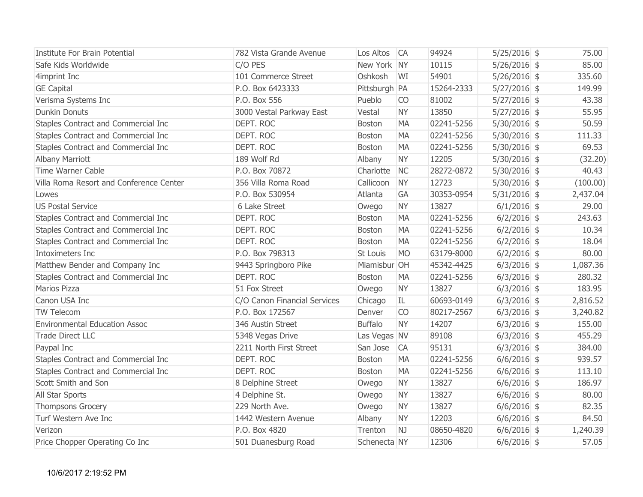| Institute For Brain Potential           | 782 Vista Grande Avenue      | Los Altos       | <b>CA</b> | 94924      | $5/25/2016$ \$ | 75.00    |
|-----------------------------------------|------------------------------|-----------------|-----------|------------|----------------|----------|
| Safe Kids Worldwide                     | C/O PES                      | New York NY     |           | 10115      | $5/26/2016$ \$ | 85.00    |
| 4imprint Inc                            | 101 Commerce Street          | Oshkosh         | WI        | 54901      | $5/26/2016$ \$ | 335.60   |
| <b>GE Capital</b>                       | P.O. Box 6423333             | Pittsburgh   PA |           | 15264-2333 | $5/27/2016$ \$ | 149.99   |
| Verisma Systems Inc                     | P.O. Box 556                 | Pueblo          | <b>CO</b> | 81002      | $5/27/2016$ \$ | 43.38    |
| <b>Dunkin Donuts</b>                    | 3000 Vestal Parkway East     | Vestal          | <b>NY</b> | 13850      | $5/27/2016$ \$ | 55.95    |
| Staples Contract and Commercial Inc     | DEPT. ROC                    | Boston          | <b>MA</b> | 02241-5256 | $5/30/2016$ \$ | 50.59    |
| Staples Contract and Commercial Inc     | DEPT. ROC                    | <b>Boston</b>   | <b>MA</b> | 02241-5256 | $5/30/2016$ \$ | 111.33   |
| Staples Contract and Commercial Inc     | DEPT. ROC                    | <b>Boston</b>   | <b>MA</b> | 02241-5256 | $5/30/2016$ \$ | 69.53    |
| <b>Albany Marriott</b>                  | 189 Wolf Rd                  | Albany          | <b>NY</b> | 12205      | $5/30/2016$ \$ | (32.20)  |
| Time Warner Cable                       | P.O. Box 70872               | Charlotte       | <b>NC</b> | 28272-0872 | $5/30/2016$ \$ | 40.43    |
| Villa Roma Resort and Conference Center | 356 Villa Roma Road          | Callicoon       | <b>NY</b> | 12723      | $5/30/2016$ \$ | (100.00) |
| Lowes                                   | P.O. Box 530954              | Atlanta         | GA        | 30353-0954 | $5/31/2016$ \$ | 2,437.04 |
| <b>US Postal Service</b>                | 6 Lake Street                | Owego           | <b>NY</b> | 13827      | $6/1/2016$ \$  | 29.00    |
| Staples Contract and Commercial Inc     | DEPT. ROC                    | <b>Boston</b>   | <b>MA</b> | 02241-5256 | $6/2/2016$ \$  | 243.63   |
| Staples Contract and Commercial Inc     | DEPT. ROC                    | <b>Boston</b>   | <b>MA</b> | 02241-5256 | $6/2/2016$ \$  | 10.34    |
| Staples Contract and Commercial Inc     | DEPT. ROC                    | Boston          | <b>MA</b> | 02241-5256 | $6/2/2016$ \$  | 18.04    |
| Intoximeters Inc                        | P.O. Box 798313              | St Louis        | <b>MO</b> | 63179-8000 | $6/2/2016$ \$  | 80.00    |
| Matthew Bender and Company Inc          | 9443 Springboro Pike         | Miamisbur OH    |           | 45342-4425 | $6/3/2016$ \$  | 1,087.36 |
| Staples Contract and Commercial Inc     | DEPT. ROC                    | <b>Boston</b>   | <b>MA</b> | 02241-5256 | $6/3/2016$ \$  | 280.32   |
| <b>Marios Pizza</b>                     | 51 Fox Street                | Owego           | <b>NY</b> | 13827      | $6/3/2016$ \$  | 183.95   |
| Canon USA Inc                           | C/O Canon Financial Services | Chicago         | IL        | 60693-0149 | $6/3/2016$ \$  | 2,816.52 |
| TW Telecom                              | P.O. Box 172567              | Denver          | <b>CO</b> | 80217-2567 | $6/3/2016$ \$  | 3,240.82 |
| <b>Environmental Education Assoc</b>    | 346 Austin Street            | <b>Buffalo</b>  | <b>NY</b> | 14207      | $6/3/2016$ \$  | 155.00   |
| <b>Trade Direct LLC</b>                 | 5348 Vegas Drive             | Las Vegas NV    |           | 89108      | $6/3/2016$ \$  | 455.29   |
| Paypal Inc                              | 2211 North First Street      | San Jose        | <b>CA</b> | 95131      | $6/3/2016$ \$  | 384.00   |
| Staples Contract and Commercial Inc     | DEPT. ROC                    | <b>Boston</b>   | <b>MA</b> | 02241-5256 | $6/6/2016$ \$  | 939.57   |
| Staples Contract and Commercial Inc     | DEPT. ROC                    | <b>Boston</b>   | MA        | 02241-5256 | $6/6/2016$ \$  | 113.10   |
| Scott Smith and Son                     | 8 Delphine Street            | Owego           | <b>NY</b> | 13827      | $6/6/2016$ \$  | 186.97   |
| All Star Sports                         | 4 Delphine St.               | Owego           | <b>NY</b> | 13827      | $6/6/2016$ \$  | 80.00    |
| <b>Thompsons Grocery</b>                | 229 North Ave.               | Owego           | <b>NY</b> | 13827      | $6/6/2016$ \$  | 82.35    |
| Turf Western Ave Inc                    | 1442 Western Avenue          | Albany          | <b>NY</b> | 12203      | $6/6/2016$ \$  | 84.50    |
| Verizon                                 | P.O. Box 4820                | Trenton         | NJ        | 08650-4820 | $6/6/2016$ \$  | 1,240.39 |
| Price Chopper Operating Co Inc          | 501 Duanesburg Road          | Schenecta NY    |           | 12306      | $6/6/2016$ \$  | 57.05    |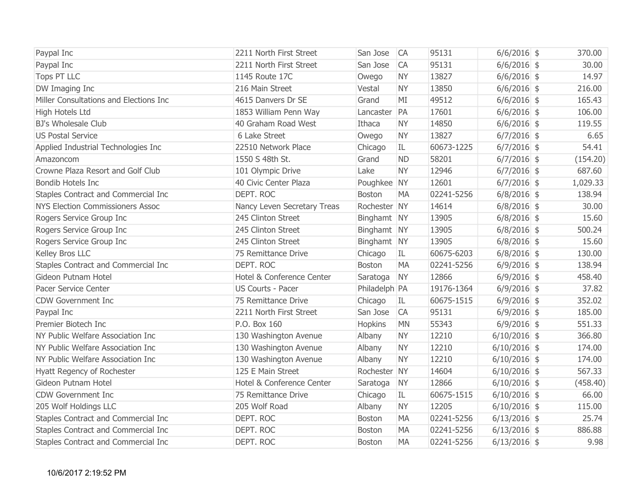| Paypal Inc                              | 2211 North First Street     | San Jose      | <b>CA</b> | 95131      | $6/6/2016$ \$  | 370.00   |  |
|-----------------------------------------|-----------------------------|---------------|-----------|------------|----------------|----------|--|
| Paypal Inc                              | 2211 North First Street     | San Jose      | <b>CA</b> | 95131      | $6/6/2016$ \$  | 30.00    |  |
| <b>Tops PT LLC</b>                      | 1145 Route 17C              | Owego         | <b>NY</b> | 13827      | $6/6/2016$ \$  | 14.97    |  |
| DW Imaging Inc                          | 216 Main Street             | Vestal        | <b>NY</b> | 13850      | $6/6/2016$ \$  | 216.00   |  |
| Miller Consultations and Elections Inc  | 4615 Danvers Dr SE          | Grand         | MI        | 49512      | $6/6/2016$ \$  | 165.43   |  |
| High Hotels Ltd                         | 1853 William Penn Way       | Lancaster     | PA        | 17601      | $6/6/2016$ \$  | 106.00   |  |
| <b>BJ's Wholesale Club</b>              | 40 Graham Road West         | Ithaca        | <b>NY</b> | 14850      | $6/6/2016$ \$  | 119.55   |  |
| <b>US Postal Service</b>                | 6 Lake Street               | Owego         | <b>NY</b> | 13827      | $6/7/2016$ \$  | 6.65     |  |
| Applied Industrial Technologies Inc     | 22510 Network Place         | Chicago       | IL.       | 60673-1225 | $6/7/2016$ \$  | 54.41    |  |
| Amazoncom                               | 1550 S 48th St.             | Grand         | <b>ND</b> | 58201      | $6/7/2016$ \$  | (154.20) |  |
| Crowne Plaza Resort and Golf Club       | 101 Olympic Drive           | Lake          | <b>NY</b> | 12946      | $6/7/2016$ \$  | 687.60   |  |
| <b>Bondib Hotels Inc</b>                | 40 Civic Center Plaza       | Poughkee NY   |           | 12601      | $6/7/2016$ \$  | 1,029.33 |  |
| Staples Contract and Commercial Inc     | DEPT. ROC                   | <b>Boston</b> | <b>MA</b> | 02241-5256 | $6/8/2016$ \$  | 138.94   |  |
| <b>NYS Election Commissioners Assoc</b> | Nancy Leven Secretary Treas | Rochester NY  |           | 14614      | $6/8/2016$ \$  | 30.00    |  |
| Rogers Service Group Inc                | 245 Clinton Street          | Binghamt NY   |           | 13905      | $6/8/2016$ \$  | 15.60    |  |
| Rogers Service Group Inc                | 245 Clinton Street          | Binghamt NY   |           | 13905      | $6/8/2016$ \$  | 500.24   |  |
| Rogers Service Group Inc                | 245 Clinton Street          | Binghamt NY   |           | 13905      | $6/8/2016$ \$  | 15.60    |  |
| Kelley Bros LLC                         | 75 Remittance Drive         | Chicago       | IL.       | 60675-6203 | $6/8/2016$ \$  | 130.00   |  |
| Staples Contract and Commercial Inc     | DEPT. ROC                   | <b>Boston</b> | <b>MA</b> | 02241-5256 | $6/9/2016$ \$  | 138.94   |  |
| Gideon Putnam Hotel                     | Hotel & Conference Center   | Saratoga      | <b>NY</b> | 12866      | $6/9/2016$ \$  | 458.40   |  |
| Pacer Service Center                    | <b>US Courts - Pacer</b>    | Philadelph PA |           | 19176-1364 | $6/9/2016$ \$  | 37.82    |  |
| <b>CDW Government Inc</b>               | 75 Remittance Drive         | Chicago       | IL.       | 60675-1515 | $6/9/2016$ \$  | 352.02   |  |
| Paypal Inc                              | 2211 North First Street     | San Jose      | <b>CA</b> | 95131      | $6/9/2016$ \$  | 185.00   |  |
| Premier Biotech Inc                     | P.O. Box 160                | Hopkins       | <b>MN</b> | 55343      | $6/9/2016$ \$  | 551.33   |  |
| NY Public Welfare Association Inc       | 130 Washington Avenue       | Albany        | <b>NY</b> | 12210      | $6/10/2016$ \$ | 366.80   |  |
| NY Public Welfare Association Inc       | 130 Washington Avenue       | Albany        | <b>NY</b> | 12210      | $6/10/2016$ \$ | 174.00   |  |
| NY Public Welfare Association Inc       | 130 Washington Avenue       | Albany        | <b>NY</b> | 12210      | $6/10/2016$ \$ | 174.00   |  |
| Hyatt Regency of Rochester              | 125 E Main Street           | Rochester NY  |           | 14604      | $6/10/2016$ \$ | 567.33   |  |
| Gideon Putnam Hotel                     | Hotel & Conference Center   | Saratoga      | <b>NY</b> | 12866      | $6/10/2016$ \$ | (458.40) |  |
| <b>CDW Government Inc</b>               | 75 Remittance Drive         | Chicago       | IL        | 60675-1515 | $6/10/2016$ \$ | 66.00    |  |
| 205 Wolf Holdings LLC                   | 205 Wolf Road               | Albany        | <b>NY</b> | 12205      | $6/10/2016$ \$ | 115.00   |  |
| Staples Contract and Commercial Inc     | DEPT. ROC                   | <b>Boston</b> | <b>MA</b> | 02241-5256 | $6/13/2016$ \$ | 25.74    |  |
| Staples Contract and Commercial Inc     | DEPT. ROC                   | Boston        | <b>MA</b> | 02241-5256 | $6/13/2016$ \$ | 886.88   |  |
| Staples Contract and Commercial Inc     | DEPT. ROC                   | <b>Boston</b> | <b>MA</b> | 02241-5256 | $6/13/2016$ \$ | 9.98     |  |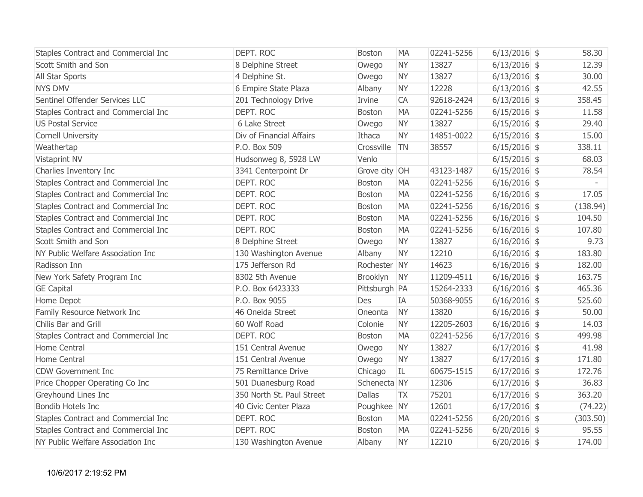| Staples Contract and Commercial Inc | DEPT. ROC                 | <b>Boston</b> | <b>MA</b> | 02241-5256 | $6/13/2016$ \$ | 58.30    |
|-------------------------------------|---------------------------|---------------|-----------|------------|----------------|----------|
| Scott Smith and Son                 | 8 Delphine Street         | Owego         | <b>NY</b> | 13827      | $6/13/2016$ \$ | 12.39    |
| All Star Sports                     | 4 Delphine St.            | Owego         | <b>NY</b> | 13827      | $6/13/2016$ \$ | 30.00    |
| <b>NYS DMV</b>                      | 6 Empire State Plaza      | Albany        | <b>NY</b> | 12228      | $6/13/2016$ \$ | 42.55    |
| Sentinel Offender Services LLC      | 201 Technology Drive      | Irvine        | CA        | 92618-2424 | $6/13/2016$ \$ | 358.45   |
| Staples Contract and Commercial Inc | DEPT. ROC                 | Boston        | <b>MA</b> | 02241-5256 | $6/15/2016$ \$ | 11.58    |
| <b>US Postal Service</b>            | 6 Lake Street             | Owego         | <b>NY</b> | 13827      | $6/15/2016$ \$ | 29.40    |
| Cornell University                  | Div of Financial Affairs  | Ithaca        | <b>NY</b> | 14851-0022 | $6/15/2016$ \$ | 15.00    |
| Weathertap                          | P.O. Box 509              | Crossville    | <b>TN</b> | 38557      | $6/15/2016$ \$ | 338.11   |
| Vistaprint NV                       | Hudsonweg 8, 5928 LW      | Venlo         |           |            | $6/15/2016$ \$ | 68.03    |
| Charlies Inventory Inc              | 3341 Centerpoint Dr       | Grove city OH |           | 43123-1487 | $6/15/2016$ \$ | 78.54    |
| Staples Contract and Commercial Inc | DEPT. ROC                 | <b>Boston</b> | <b>MA</b> | 02241-5256 | $6/16/2016$ \$ |          |
| Staples Contract and Commercial Inc | DEPT. ROC                 | Boston        | <b>MA</b> | 02241-5256 | $6/16/2016$ \$ | 17.05    |
| Staples Contract and Commercial Inc | DEPT. ROC                 | <b>Boston</b> | <b>MA</b> | 02241-5256 | $6/16/2016$ \$ | (138.94) |
| Staples Contract and Commercial Inc | DEPT. ROC                 | Boston        | <b>MA</b> | 02241-5256 | $6/16/2016$ \$ | 104.50   |
| Staples Contract and Commercial Inc | DEPT. ROC                 | <b>Boston</b> | <b>MA</b> | 02241-5256 | $6/16/2016$ \$ | 107.80   |
| Scott Smith and Son                 | 8 Delphine Street         | Owego         | <b>NY</b> | 13827      | $6/16/2016$ \$ | 9.73     |
| NY Public Welfare Association Inc   | 130 Washington Avenue     | Albany        | <b>NY</b> | 12210      | $6/16/2016$ \$ | 183.80   |
| Radisson Inn                        | 175 Jefferson Rd          | Rochester NY  |           | 14623      | $6/16/2016$ \$ | 182.00   |
| New York Safety Program Inc         | 8302 5th Avenue           | Brooklyn      | <b>NY</b> | 11209-4511 | $6/16/2016$ \$ | 163.75   |
| <b>GE Capital</b>                   | P.O. Box 6423333          | Pittsburgh PA |           | 15264-2333 | $6/16/2016$ \$ | 465.36   |
| Home Depot                          | P.O. Box 9055             | Des           | IA        | 50368-9055 | $6/16/2016$ \$ | 525.60   |
| Family Resource Network Inc         | 46 Oneida Street          | Oneonta       | <b>NY</b> | 13820      | $6/16/2016$ \$ | 50.00    |
| Chilis Bar and Grill                | 60 Wolf Road              | Colonie       | <b>NY</b> | 12205-2603 | $6/16/2016$ \$ | 14.03    |
| Staples Contract and Commercial Inc | DEPT. ROC                 | <b>Boston</b> | <b>MA</b> | 02241-5256 | $6/17/2016$ \$ | 499.98   |
| Home Central                        | 151 Central Avenue        | Owego         | <b>NY</b> | 13827      | $6/17/2016$ \$ | 41.98    |
| Home Central                        | 151 Central Avenue        | Owego         | <b>NY</b> | 13827      | $6/17/2016$ \$ | 171.80   |
| <b>CDW Government Inc</b>           | 75 Remittance Drive       | Chicago       | IL        | 60675-1515 | $6/17/2016$ \$ | 172.76   |
| Price Chopper Operating Co Inc      | 501 Duanesburg Road       | Schenecta NY  |           | 12306      | $6/17/2016$ \$ | 36.83    |
| Greyhound Lines Inc                 | 350 North St. Paul Street | <b>Dallas</b> | <b>TX</b> | 75201      | $6/17/2016$ \$ | 363.20   |
| Bondib Hotels Inc                   | 40 Civic Center Plaza     | Poughkee NY   |           | 12601      | $6/17/2016$ \$ | (74.22)  |
| Staples Contract and Commercial Inc | DEPT. ROC                 | <b>Boston</b> | <b>MA</b> | 02241-5256 | $6/20/2016$ \$ | (303.50) |
| Staples Contract and Commercial Inc | DEPT. ROC                 | <b>Boston</b> | <b>MA</b> | 02241-5256 | $6/20/2016$ \$ | 95.55    |
| NY Public Welfare Association Inc   | 130 Washington Avenue     | Albany        | <b>NY</b> | 12210      | $6/20/2016$ \$ | 174.00   |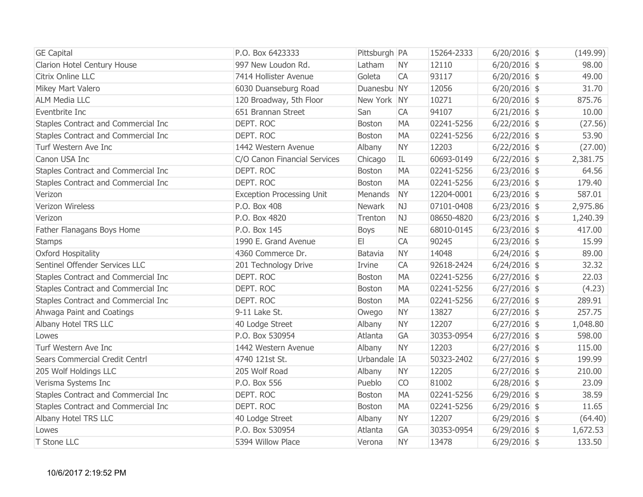| <b>GE Capital</b>                   | P.O. Box 6423333                 | Pittsburgh PA |           | 15264-2333 | $6/20/2016$ \$ | (149.99) |
|-------------------------------------|----------------------------------|---------------|-----------|------------|----------------|----------|
| Clarion Hotel Century House         | 997 New Loudon Rd.               | Latham        | <b>NY</b> | 12110      | $6/20/2016$ \$ | 98.00    |
| Citrix Online LLC                   | 7414 Hollister Avenue            | Goleta        | CA        | 93117      | $6/20/2016$ \$ | 49.00    |
| Mikey Mart Valero                   | 6030 Duanseburg Road             | Duanesbu NY   |           | 12056      | $6/20/2016$ \$ | 31.70    |
| <b>ALM Media LLC</b>                | 120 Broadway, 5th Floor          | New York NY   |           | 10271      | $6/20/2016$ \$ | 875.76   |
| Eventbrite Inc                      | 651 Brannan Street               | San           | CA        | 94107      | $6/21/2016$ \$ | 10.00    |
| Staples Contract and Commercial Inc | DEPT. ROC                        | <b>Boston</b> | <b>MA</b> | 02241-5256 | $6/22/2016$ \$ | (27.56)  |
| Staples Contract and Commercial Inc | DEPT. ROC                        | <b>Boston</b> | <b>MA</b> | 02241-5256 | $6/22/2016$ \$ | 53.90    |
| Turf Western Ave Inc                | 1442 Western Avenue              | Albany        | <b>NY</b> | 12203      | $6/22/2016$ \$ | (27.00)  |
| Canon USA Inc                       | C/O Canon Financial Services     | Chicago       | IL        | 60693-0149 | $6/22/2016$ \$ | 2,381.75 |
| Staples Contract and Commercial Inc | DEPT. ROC                        | <b>Boston</b> | <b>MA</b> | 02241-5256 | $6/23/2016$ \$ | 64.56    |
| Staples Contract and Commercial Inc | DEPT. ROC                        | <b>Boston</b> | <b>MA</b> | 02241-5256 | $6/23/2016$ \$ | 179.40   |
| Verizon                             | <b>Exception Processing Unit</b> | Menands       | <b>NY</b> | 12204-0001 | $6/23/2016$ \$ | 587.01   |
| Verizon Wireless                    | P.O. Box 408                     | <b>Newark</b> | <b>NJ</b> | 07101-0408 | $6/23/2016$ \$ | 2,975.86 |
| Verizon                             | P.O. Box 4820                    | Trenton       | NJ        | 08650-4820 | $6/23/2016$ \$ | 1,240.39 |
| Father Flanagans Boys Home          | P.O. Box 145                     | <b>Boys</b>   | <b>NE</b> | 68010-0145 | $6/23/2016$ \$ | 417.00   |
| <b>Stamps</b>                       | 1990 E. Grand Avenue             | E1            | CA        | 90245      | $6/23/2016$ \$ | 15.99    |
| Oxford Hospitality                  | 4360 Commerce Dr.                | Batavia       | <b>NY</b> | 14048      | $6/24/2016$ \$ | 89.00    |
| Sentinel Offender Services LLC      | 201 Technology Drive             | Irvine        | CA        | 92618-2424 | $6/24/2016$ \$ | 32.32    |
| Staples Contract and Commercial Inc | DEPT. ROC                        | <b>Boston</b> | <b>MA</b> | 02241-5256 | $6/27/2016$ \$ | 22.03    |
| Staples Contract and Commercial Inc | DEPT. ROC                        | Boston        | <b>MA</b> | 02241-5256 | $6/27/2016$ \$ | (4.23)   |
| Staples Contract and Commercial Inc | DEPT. ROC                        | Boston        | <b>MA</b> | 02241-5256 | $6/27/2016$ \$ | 289.91   |
| Ahwaga Paint and Coatings           | 9-11 Lake St.                    | Owego         | <b>NY</b> | 13827      | $6/27/2016$ \$ | 257.75   |
| Albany Hotel TRS LLC                | 40 Lodge Street                  | Albany        | <b>NY</b> | 12207      | $6/27/2016$ \$ | 1,048.80 |
| Lowes                               | P.O. Box 530954                  | Atlanta       | GA        | 30353-0954 | $6/27/2016$ \$ | 598.00   |
| Turf Western Ave Inc                | 1442 Western Avenue              | Albany        | <b>NY</b> | 12203      | $6/27/2016$ \$ | 115.00   |
| Sears Commercial Credit Centrl      | 4740 121st St.                   | Urbandale IA  |           | 50323-2402 | $6/27/2016$ \$ | 199.99   |
| 205 Wolf Holdings LLC               | 205 Wolf Road                    | Albany        | <b>NY</b> | 12205      | $6/27/2016$ \$ | 210.00   |
| Verisma Systems Inc                 | P.O. Box 556                     | Pueblo        | CO        | 81002      | $6/28/2016$ \$ | 23.09    |
| Staples Contract and Commercial Inc | DEPT. ROC                        | Boston        | <b>MA</b> | 02241-5256 | $6/29/2016$ \$ | 38.59    |
| Staples Contract and Commercial Inc | DEPT. ROC                        | <b>Boston</b> | <b>MA</b> | 02241-5256 | $6/29/2016$ \$ | 11.65    |
| Albany Hotel TRS LLC                | 40 Lodge Street                  | Albany        | <b>NY</b> | 12207      | $6/29/2016$ \$ | (64.40)  |
| Lowes                               | P.O. Box 530954                  | Atlanta       | GA        | 30353-0954 | $6/29/2016$ \$ | 1,672.53 |
| T Stone LLC                         | 5394 Willow Place                | Verona        | <b>NY</b> | 13478      | $6/29/2016$ \$ | 133.50   |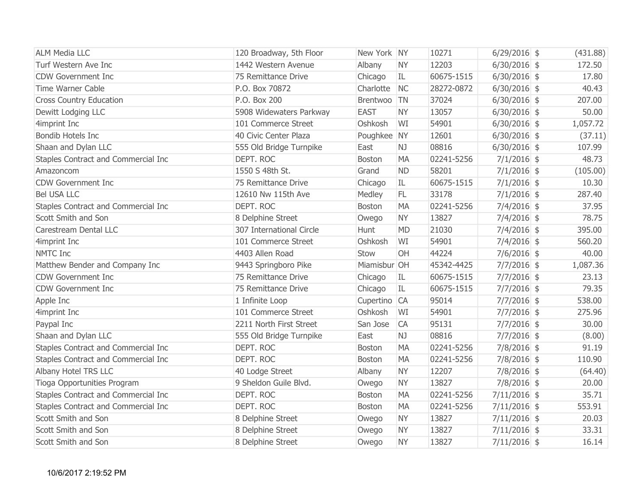| <b>ALM Media LLC</b>                | 120 Broadway, 5th Floor  | New York NY   |           | 10271      | $6/29/2016$ \$ | (431.88) |
|-------------------------------------|--------------------------|---------------|-----------|------------|----------------|----------|
| Turf Western Ave Inc                | 1442 Western Avenue      | Albany        | <b>NY</b> | 12203      | $6/30/2016$ \$ | 172.50   |
| <b>CDW Government Inc</b>           | 75 Remittance Drive      | Chicago       | IL        | 60675-1515 | $6/30/2016$ \$ | 17.80    |
| <b>Time Warner Cable</b>            | P.O. Box 70872           | Charlotte     | <b>NC</b> | 28272-0872 | $6/30/2016$ \$ | 40.43    |
| <b>Cross Country Education</b>      | P.O. Box 200             | Brentwoo      | <b>TN</b> | 37024      | $6/30/2016$ \$ | 207.00   |
| Dewitt Lodging LLC                  | 5908 Widewaters Parkway  | <b>EAST</b>   | <b>NY</b> | 13057      | $6/30/2016$ \$ | 50.00    |
| 4imprint Inc                        | 101 Commerce Street      | Oshkosh       | WI        | 54901      | $6/30/2016$ \$ | 1,057.72 |
| <b>Bondib Hotels Inc</b>            | 40 Civic Center Plaza    | Poughkee NY   |           | 12601      | $6/30/2016$ \$ | (37.11)  |
| Shaan and Dylan LLC                 | 555 Old Bridge Turnpike  | East          | <b>NJ</b> | 08816      | $6/30/2016$ \$ | 107.99   |
| Staples Contract and Commercial Inc | DEPT. ROC                | Boston        | MA        | 02241-5256 | $7/1/2016$ \$  | 48.73    |
| Amazoncom                           | 1550 S 48th St.          | Grand         | <b>ND</b> | 58201      | $7/1/2016$ \$  | (105.00) |
| <b>CDW Government Inc</b>           | 75 Remittance Drive      | Chicago       | IL        | 60675-1515 | $7/1/2016$ \$  | 10.30    |
| <b>Bel USA LLC</b>                  | 12610 Nw 115th Ave       | Medley        | FL        | 33178      | $7/1/2016$ \$  | 287.40   |
| Staples Contract and Commercial Inc | DEPT. ROC                | <b>Boston</b> | <b>MA</b> | 02241-5256 | $7/4/2016$ \$  | 37.95    |
| Scott Smith and Son                 | 8 Delphine Street        | Owego         | <b>NY</b> | 13827      | $7/4/2016$ \$  | 78.75    |
| Carestream Dental LLC               | 307 International Circle | Hunt          | <b>MD</b> | 21030      | $7/4/2016$ \$  | 395.00   |
| 4imprint Inc                        | 101 Commerce Street      | Oshkosh       | WI        | 54901      | $7/4/2016$ \$  | 560.20   |
| <b>NMTC Inc</b>                     | 4403 Allen Road          | Stow          | OH        | 44224      | $7/6/2016$ \$  | 40.00    |
| Matthew Bender and Company Inc      | 9443 Springboro Pike     | Miamisbur OH  |           | 45342-4425 | $7/7/2016$ \$  | 1,087.36 |
| <b>CDW Government Inc</b>           | 75 Remittance Drive      | Chicago       | IL        | 60675-1515 | $7/7/2016$ \$  | 23.13    |
| <b>CDW Government Inc</b>           | 75 Remittance Drive      | Chicago       | IL.       | 60675-1515 | $7/7/2016$ \$  | 79.35    |
| Apple Inc                           | 1 Infinite Loop          | Cupertino CA  |           | 95014      | $7/7/2016$ \$  | 538.00   |
| 4imprint Inc                        | 101 Commerce Street      | Oshkosh       | WI        | 54901      | $7/7/2016$ \$  | 275.96   |
| Paypal Inc                          | 2211 North First Street  | San Jose      | <b>CA</b> | 95131      | $7/7/2016$ \$  | 30.00    |
| Shaan and Dylan LLC                 | 555 Old Bridge Turnpike  | East          | NJ        | 08816      | $7/7/2016$ \$  | (8.00)   |
| Staples Contract and Commercial Inc | DEPT. ROC                | <b>Boston</b> | <b>MA</b> | 02241-5256 | $7/8/2016$ \$  | 91.19    |
| Staples Contract and Commercial Inc | DEPT. ROC                | <b>Boston</b> | <b>MA</b> | 02241-5256 | $7/8/2016$ \$  | 110.90   |
| Albany Hotel TRS LLC                | 40 Lodge Street          | Albany        | <b>NY</b> | 12207      | $7/8/2016$ \$  | (64.40)  |
| Tioga Opportunities Program         | 9 Sheldon Guile Blvd.    | Owego         | <b>NY</b> | 13827      | $7/8/2016$ \$  | 20.00    |
| Staples Contract and Commercial Inc | DEPT. ROC                | <b>Boston</b> | <b>MA</b> | 02241-5256 | $7/11/2016$ \$ | 35.71    |
| Staples Contract and Commercial Inc | DEPT. ROC                | <b>Boston</b> | <b>MA</b> | 02241-5256 | $7/11/2016$ \$ | 553.91   |
| Scott Smith and Son                 | 8 Delphine Street        | Owego         | <b>NY</b> | 13827      | $7/11/2016$ \$ | 20.03    |
| Scott Smith and Son                 | 8 Delphine Street        | Owego         | <b>NY</b> | 13827      | $7/11/2016$ \$ | 33.31    |
| Scott Smith and Son                 | 8 Delphine Street        | Owego         | <b>NY</b> | 13827      | $7/11/2016$ \$ | 16.14    |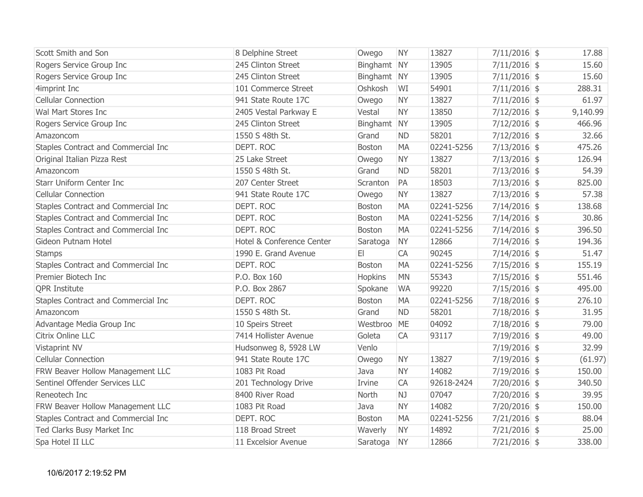| Scott Smith and Son                 | 8 Delphine Street         | Owego         | <b>NY</b> | 13827      | $7/11/2016$ \$ | 17.88    |
|-------------------------------------|---------------------------|---------------|-----------|------------|----------------|----------|
| Rogers Service Group Inc            | 245 Clinton Street        | Binghamt NY   |           | 13905      | $7/11/2016$ \$ | 15.60    |
| Rogers Service Group Inc            | 245 Clinton Street        | Binghamt NY   |           | 13905      | $7/11/2016$ \$ | 15.60    |
| 4imprint Inc                        | 101 Commerce Street       | Oshkosh       | WI        | 54901      | $7/11/2016$ \$ | 288.31   |
| <b>Cellular Connection</b>          | 941 State Route 17C       | Owego         | <b>NY</b> | 13827      | $7/11/2016$ \$ | 61.97    |
| Wal Mart Stores Inc                 | 2405 Vestal Parkway E     | Vestal        | <b>NY</b> | 13850      | $7/12/2016$ \$ | 9,140.99 |
| Rogers Service Group Inc            | 245 Clinton Street        | Binghamt NY   |           | 13905      | $7/12/2016$ \$ | 466.96   |
| Amazoncom                           | 1550 S 48th St.           | Grand         | <b>ND</b> | 58201      | $7/12/2016$ \$ | 32.66    |
| Staples Contract and Commercial Inc | DEPT. ROC                 | <b>Boston</b> | <b>MA</b> | 02241-5256 | $7/13/2016$ \$ | 475.26   |
| Original Italian Pizza Rest         | 25 Lake Street            | Owego         | <b>NY</b> | 13827      | $7/13/2016$ \$ | 126.94   |
| Amazoncom                           | 1550 S 48th St.           | Grand         | <b>ND</b> | 58201      | $7/13/2016$ \$ | 54.39    |
| <b>Starr Uniform Center Inc</b>     | 207 Center Street         | Scranton      | PA        | 18503      | $7/13/2016$ \$ | 825.00   |
| <b>Cellular Connection</b>          | 941 State Route 17C       | Owego         | <b>NY</b> | 13827      | $7/13/2016$ \$ | 57.38    |
| Staples Contract and Commercial Inc | DEPT. ROC                 | <b>Boston</b> | <b>MA</b> | 02241-5256 | $7/14/2016$ \$ | 138.68   |
| Staples Contract and Commercial Inc | DEPT. ROC                 | <b>Boston</b> | <b>MA</b> | 02241-5256 | $7/14/2016$ \$ | 30.86    |
| Staples Contract and Commercial Inc | DEPT. ROC                 | <b>Boston</b> | <b>MA</b> | 02241-5256 | 7/14/2016 \$   | 396.50   |
| Gideon Putnam Hotel                 | Hotel & Conference Center | Saratoga      | <b>NY</b> | 12866      | $7/14/2016$ \$ | 194.36   |
| <b>Stamps</b>                       | 1990 E. Grand Avenue      | E1            | CA        | 90245      | $7/14/2016$ \$ | 51.47    |
| Staples Contract and Commercial Inc | DEPT. ROC                 | <b>Boston</b> | <b>MA</b> | 02241-5256 | $7/15/2016$ \$ | 155.19   |
| Premier Biotech Inc                 | P.O. Box 160              | Hopkins       | <b>MN</b> | 55343      | $7/15/2016$ \$ | 551.46   |
| <b>QPR Institute</b>                | P.O. Box 2867             | Spokane       | <b>WA</b> | 99220      | $7/15/2016$ \$ | 495.00   |
| Staples Contract and Commercial Inc | DEPT. ROC                 | <b>Boston</b> | <b>MA</b> | 02241-5256 | $7/18/2016$ \$ | 276.10   |
| Amazoncom                           | 1550 S 48th St.           | Grand         | <b>ND</b> | 58201      | $7/18/2016$ \$ | 31.95    |
| Advantage Media Group Inc           | 10 Speirs Street          | Westbroo ME   |           | 04092      | $7/18/2016$ \$ | 79.00    |
| Citrix Online LLC                   | 7414 Hollister Avenue     | Goleta        | CA        | 93117      | $7/19/2016$ \$ | 49.00    |
| Vistaprint NV                       | Hudsonweg 8, 5928 LW      | Venlo         |           |            | $7/19/2016$ \$ | 32.99    |
| <b>Cellular Connection</b>          | 941 State Route 17C       | Owego         | <b>NY</b> | 13827      | $7/19/2016$ \$ | (61.97)  |
| FRW Beaver Hollow Management LLC    | 1083 Pit Road             | Java          | <b>NY</b> | 14082      | $7/19/2016$ \$ | 150.00   |
| Sentinel Offender Services LLC      | 201 Technology Drive      | Irvine        | CA        | 92618-2424 | $7/20/2016$ \$ | 340.50   |
| Reneotech Inc                       | 8400 River Road           | North         | NJ        | 07047      | $7/20/2016$ \$ | 39.95    |
| FRW Beaver Hollow Management LLC    | 1083 Pit Road             | Java          | <b>NY</b> | 14082      | $7/20/2016$ \$ | 150.00   |
| Staples Contract and Commercial Inc | DEPT. ROC                 | <b>Boston</b> | <b>MA</b> | 02241-5256 | $7/21/2016$ \$ | 88.04    |
| Ted Clarks Busy Market Inc          | 118 Broad Street          | Waverly       | <b>NY</b> | 14892      | $7/21/2016$ \$ | 25.00    |
| Spa Hotel II LLC                    | 11 Excelsior Avenue       | Saratoga      | <b>NY</b> | 12866      | $7/21/2016$ \$ | 338.00   |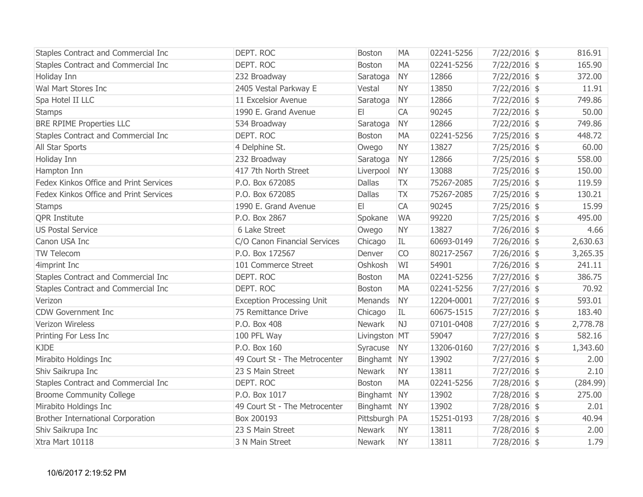| Staples Contract and Commercial Inc      | DEPT. ROC                        | <b>Boston</b> | <b>MA</b>      | 02241-5256 | $7/22/2016$ \$ | 816.91   |
|------------------------------------------|----------------------------------|---------------|----------------|------------|----------------|----------|
| Staples Contract and Commercial Inc      | DEPT. ROC                        | <b>Boston</b> | <b>MA</b>      | 02241-5256 | $7/22/2016$ \$ | 165.90   |
| Holiday Inn                              | 232 Broadway                     | Saratoga      | <b>NY</b>      | 12866      | $7/22/2016$ \$ | 372.00   |
| Wal Mart Stores Inc                      | 2405 Vestal Parkway E            | Vestal        | <b>NY</b>      | 13850      | $7/22/2016$ \$ | 11.91    |
| Spa Hotel II LLC                         | 11 Excelsior Avenue              | Saratoga      | <b>NY</b>      | 12866      | $7/22/2016$ \$ | 749.86   |
| <b>Stamps</b>                            | 1990 E. Grand Avenue             | E1            | CA             | 90245      | $7/22/2016$ \$ | 50.00    |
| <b>BRE RPIME Properties LLC</b>          | 534 Broadway                     | Saratoga      | <b>NY</b>      | 12866      | $7/22/2016$ \$ | 749.86   |
| Staples Contract and Commercial Inc      | DEPT. ROC                        | <b>Boston</b> | <b>MA</b>      | 02241-5256 | $7/25/2016$ \$ | 448.72   |
| All Star Sports                          | 4 Delphine St.                   | Owego         | <b>NY</b>      | 13827      | $7/25/2016$ \$ | 60.00    |
| Holiday Inn                              | 232 Broadway                     | Saratoga      | <b>NY</b>      | 12866      | $7/25/2016$ \$ | 558.00   |
| Hampton Inn                              | 417 7th North Street             | Liverpool     | <b>NY</b>      | 13088      | $7/25/2016$ \$ | 150.00   |
| Fedex Kinkos Office and Print Services   | P.O. Box 672085                  | <b>Dallas</b> | <b>TX</b>      | 75267-2085 | $7/25/2016$ \$ | 119.59   |
| Fedex Kinkos Office and Print Services   | P.O. Box 672085                  | <b>Dallas</b> | <b>TX</b>      | 75267-2085 | $7/25/2016$ \$ | 130.21   |
| <b>Stamps</b>                            | 1990 E. Grand Avenue             | E1            | CA             | 90245      | $7/25/2016$ \$ | 15.99    |
| <b>QPR Institute</b>                     | P.O. Box 2867                    | Spokane       | <b>WA</b>      | 99220      | $7/25/2016$ \$ | 495.00   |
| <b>US Postal Service</b>                 | 6 Lake Street                    | Owego         | <b>NY</b>      | 13827      | $7/26/2016$ \$ | 4.66     |
| Canon USA Inc                            | C/O Canon Financial Services     | Chicago       | IL             | 60693-0149 | $7/26/2016$ \$ | 2,630.63 |
| TW Telecom                               | P.O. Box 172567                  | Denver        | CO             | 80217-2567 | $7/26/2016$ \$ | 3,265.35 |
| 4imprint Inc                             | 101 Commerce Street              | Oshkosh       | WI             | 54901      | $7/26/2016$ \$ | 241.11   |
| Staples Contract and Commercial Inc      | DEPT. ROC                        | <b>Boston</b> | <b>MA</b>      | 02241-5256 | $7/27/2016$ \$ | 386.75   |
| Staples Contract and Commercial Inc      | DEPT. ROC                        | Boston        | <b>MA</b>      | 02241-5256 | $7/27/2016$ \$ | 70.92    |
| Verizon                                  | <b>Exception Processing Unit</b> | Menands       | <b>NY</b>      | 12204-0001 | $7/27/2016$ \$ | 593.01   |
| <b>CDW Government Inc</b>                | 75 Remittance Drive              | Chicago       | IL             | 60675-1515 | $7/27/2016$ \$ | 183.40   |
| Verizon Wireless                         | P.O. Box 408                     | <b>Newark</b> | N <sub>J</sub> | 07101-0408 | $7/27/2016$ \$ | 2,778.78 |
| Printing For Less Inc                    | 100 PFL Way                      | Livingston MT |                | 59047      | $7/27/2016$ \$ | 582.16   |
| <b>KJDE</b>                              | P.O. Box 160                     | Syracuse      | <b>NY</b>      | 13206-0160 | $7/27/2016$ \$ | 1,343.60 |
| Mirabito Holdings Inc                    | 49 Court St - The Metrocenter    | Binghamt NY   |                | 13902      | $7/27/2016$ \$ | 2.00     |
| Shiv Saikrupa Inc                        | 23 S Main Street                 | Newark        | <b>NY</b>      | 13811      | $7/27/2016$ \$ | 2.10     |
| Staples Contract and Commercial Inc      | DEPT. ROC                        | <b>Boston</b> | <b>MA</b>      | 02241-5256 | 7/28/2016 \$   | (284.99) |
| <b>Broome Community College</b>          | P.O. Box 1017                    | Binghamt NY   |                | 13902      | 7/28/2016 \$   | 275.00   |
| Mirabito Holdings Inc                    | 49 Court St - The Metrocenter    | Binghamt NY   |                | 13902      | $7/28/2016$ \$ | 2.01     |
| <b>Brother International Corporation</b> | Box 200193                       | Pittsburgh PA |                | 15251-0193 | $7/28/2016$ \$ | 40.94    |
| Shiv Saikrupa Inc                        | 23 S Main Street                 | Newark        | <b>NY</b>      | 13811      | $7/28/2016$ \$ | 2.00     |
| Xtra Mart 10118                          | 3 N Main Street                  | <b>Newark</b> | <b>NY</b>      | 13811      | 7/28/2016 \$   | 1.79     |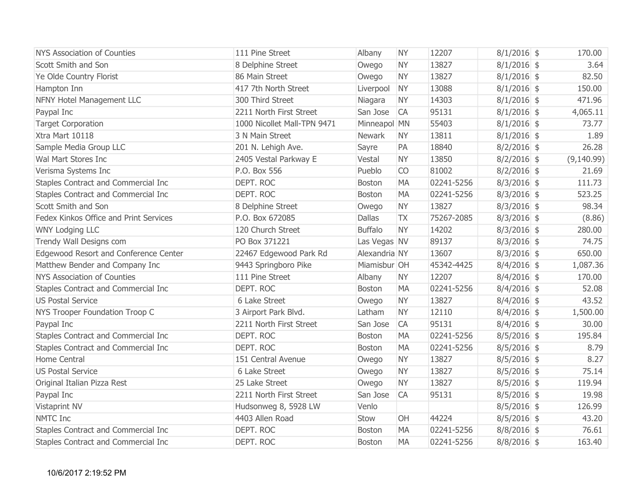| NYS Association of Counties            | 111 Pine Street             | Albany         | <b>NY</b> | 12207      | $8/1/2016$ \$ | 170.00     |
|----------------------------------------|-----------------------------|----------------|-----------|------------|---------------|------------|
| Scott Smith and Son                    | 8 Delphine Street           | Owego          | <b>NY</b> | 13827      | $8/1/2016$ \$ | 3.64       |
| Ye Olde Country Florist                | 86 Main Street              | Owego          | <b>NY</b> | 13827      | $8/1/2016$ \$ | 82.50      |
| Hampton Inn                            | 417 7th North Street        | Liverpool      | <b>NY</b> | 13088      | $8/1/2016$ \$ | 150.00     |
| NFNY Hotel Management LLC              | 300 Third Street            | Niagara        | <b>NY</b> | 14303      | $8/1/2016$ \$ | 471.96     |
| Paypal Inc                             | 2211 North First Street     | San Jose       | <b>CA</b> | 95131      | $8/1/2016$ \$ | 4,065.11   |
| <b>Target Corporation</b>              | 1000 Nicollet Mall-TPN 9471 | Minneapol MN   |           | 55403      | $8/1/2016$ \$ | 73.77      |
| Xtra Mart 10118                        | 3 N Main Street             | <b>Newark</b>  | <b>NY</b> | 13811      | $8/1/2016$ \$ | 1.89       |
| Sample Media Group LLC                 | 201 N. Lehigh Ave.          | Sayre          | PA        | 18840      | $8/2/2016$ \$ | 26.28      |
| Wal Mart Stores Inc                    | 2405 Vestal Parkway E       | Vestal         | <b>NY</b> | 13850      | $8/2/2016$ \$ | (9,140.99) |
| Verisma Systems Inc                    | P.O. Box 556                | Pueblo         | CO        | 81002      | $8/2/2016$ \$ | 21.69      |
| Staples Contract and Commercial Inc    | DEPT. ROC                   | <b>Boston</b>  | <b>MA</b> | 02241-5256 | $8/3/2016$ \$ | 111.73     |
| Staples Contract and Commercial Inc    | DEPT. ROC                   | <b>Boston</b>  | <b>MA</b> | 02241-5256 | $8/3/2016$ \$ | 523.25     |
| Scott Smith and Son                    | 8 Delphine Street           | Owego          | <b>NY</b> | 13827      | $8/3/2016$ \$ | 98.34      |
| Fedex Kinkos Office and Print Services | P.O. Box 672085             | <b>Dallas</b>  | <b>TX</b> | 75267-2085 | $8/3/2016$ \$ | (8.86)     |
| <b>WNY Lodging LLC</b>                 | 120 Church Street           | <b>Buffalo</b> | <b>NY</b> | 14202      | $8/3/2016$ \$ | 280.00     |
| Trendy Wall Designs com                | PO Box 371221               | Las Vegas NV   |           | 89137      | $8/3/2016$ \$ | 74.75      |
| Edgewood Resort and Conference Center  | 22467 Edgewood Park Rd      | Alexandria NY  |           | 13607      | $8/3/2016$ \$ | 650.00     |
| Matthew Bender and Company Inc         | 9443 Springboro Pike        | Miamisbur OH   |           | 45342-4425 | $8/4/2016$ \$ | 1,087.36   |
| <b>NYS Association of Counties</b>     | 111 Pine Street             | Albany         | <b>NY</b> | 12207      | $8/4/2016$ \$ | 170.00     |
| Staples Contract and Commercial Inc    | DEPT. ROC                   | <b>Boston</b>  | <b>MA</b> | 02241-5256 | $8/4/2016$ \$ | 52.08      |
| <b>US Postal Service</b>               | 6 Lake Street               | Owego          | <b>NY</b> | 13827      | $8/4/2016$ \$ | 43.52      |
| NYS Trooper Foundation Troop C         | 3 Airport Park Blvd.        | Latham         | <b>NY</b> | 12110      | $8/4/2016$ \$ | 1,500.00   |
| Paypal Inc                             | 2211 North First Street     | San Jose       | <b>CA</b> | 95131      | $8/4/2016$ \$ | 30.00      |
| Staples Contract and Commercial Inc    | DEPT. ROC                   | <b>Boston</b>  | <b>MA</b> | 02241-5256 | $8/5/2016$ \$ | 195.84     |
| Staples Contract and Commercial Inc    | DEPT. ROC                   | <b>Boston</b>  | <b>MA</b> | 02241-5256 | $8/5/2016$ \$ | 8.79       |
| Home Central                           | 151 Central Avenue          | Owego          | <b>NY</b> | 13827      | $8/5/2016$ \$ | 8.27       |
| <b>US Postal Service</b>               | 6 Lake Street               | Owego          | <b>NY</b> | 13827      | $8/5/2016$ \$ | 75.14      |
| Original Italian Pizza Rest            | 25 Lake Street              | Owego          | <b>NY</b> | 13827      | $8/5/2016$ \$ | 119.94     |
| Paypal Inc                             | 2211 North First Street     | San Jose       | <b>CA</b> | 95131      | $8/5/2016$ \$ | 19.98      |
| Vistaprint NV                          | Hudsonweg 8, 5928 LW        | Venlo          |           |            | $8/5/2016$ \$ | 126.99     |
| <b>NMTC</b> Inc                        | 4403 Allen Road             | Stow           | OH        | 44224      | $8/5/2016$ \$ | 43.20      |
| Staples Contract and Commercial Inc    | DEPT. ROC                   | <b>Boston</b>  | MA        | 02241-5256 | $8/8/2016$ \$ | 76.61      |
| Staples Contract and Commercial Inc    | DEPT. ROC                   | <b>Boston</b>  | <b>MA</b> | 02241-5256 | $8/8/2016$ \$ | 163.40     |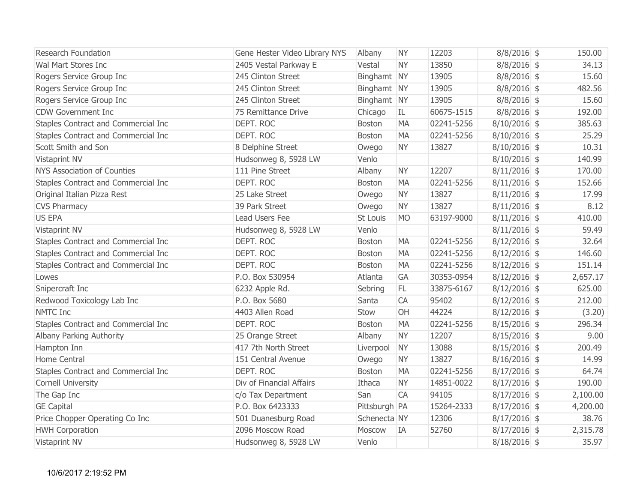| <b>Research Foundation</b>          | Gene Hester Video Library NYS | Albany        | <b>NY</b> | 12203      | $8/8/2016$ \$  | 150.00   |
|-------------------------------------|-------------------------------|---------------|-----------|------------|----------------|----------|
| Wal Mart Stores Inc                 | 2405 Vestal Parkway E         | Vestal        | <b>NY</b> | 13850      | $8/8/2016$ \$  | 34.13    |
| Rogers Service Group Inc            | 245 Clinton Street            | Binghamt NY   |           | 13905      | $8/8/2016$ \$  | 15.60    |
| Rogers Service Group Inc            | 245 Clinton Street            | Binghamt NY   |           | 13905      | $8/8/2016$ \$  | 482.56   |
| Rogers Service Group Inc            | 245 Clinton Street            | Binghamt NY   |           | 13905      | $8/8/2016$ \$  | 15.60    |
| <b>CDW Government Inc</b>           | 75 Remittance Drive           | Chicago       | IL        | 60675-1515 | $8/8/2016$ \$  | 192.00   |
| Staples Contract and Commercial Inc | DEPT. ROC                     | Boston        | <b>MA</b> | 02241-5256 | $8/10/2016$ \$ | 385.63   |
| Staples Contract and Commercial Inc | DEPT. ROC                     | <b>Boston</b> | <b>MA</b> | 02241-5256 | $8/10/2016$ \$ | 25.29    |
| Scott Smith and Son                 | 8 Delphine Street             | Owego         | <b>NY</b> | 13827      | $8/10/2016$ \$ | 10.31    |
| <b>Vistaprint NV</b>                | Hudsonweg 8, 5928 LW          | Venlo         |           |            | $8/10/2016$ \$ | 140.99   |
| <b>NYS Association of Counties</b>  | 111 Pine Street               | Albany        | <b>NY</b> | 12207      | $8/11/2016$ \$ | 170.00   |
| Staples Contract and Commercial Inc | DEPT. ROC                     | <b>Boston</b> | <b>MA</b> | 02241-5256 | $8/11/2016$ \$ | 152.66   |
| Original Italian Pizza Rest         | 25 Lake Street                | Owego         | <b>NY</b> | 13827      | $8/11/2016$ \$ | 17.99    |
| <b>CVS Pharmacy</b>                 | 39 Park Street                | Owego         | <b>NY</b> | 13827      | $8/11/2016$ \$ | 8.12     |
| <b>US EPA</b>                       | Lead Users Fee                | St Louis      | <b>MO</b> | 63197-9000 | $8/11/2016$ \$ | 410.00   |
| Vistaprint NV                       | Hudsonweg 8, 5928 LW          | Venlo         |           |            | $8/11/2016$ \$ | 59.49    |
| Staples Contract and Commercial Inc | DEPT. ROC                     | <b>Boston</b> | <b>MA</b> | 02241-5256 | $8/12/2016$ \$ | 32.64    |
| Staples Contract and Commercial Inc | DEPT. ROC                     | <b>Boston</b> | <b>MA</b> | 02241-5256 | $8/12/2016$ \$ | 146.60   |
| Staples Contract and Commercial Inc | DEPT. ROC                     | Boston        | <b>MA</b> | 02241-5256 | $8/12/2016$ \$ | 151.14   |
| Lowes                               | P.O. Box 530954               | Atlanta       | GA        | 30353-0954 | $8/12/2016$ \$ | 2,657.17 |
| Snipercraft Inc                     | 6232 Apple Rd.                | Sebring       | FL.       | 33875-6167 | $8/12/2016$ \$ | 625.00   |
| Redwood Toxicology Lab Inc          | P.O. Box 5680                 | Santa         | CA        | 95402      | $8/12/2016$ \$ | 212.00   |
| <b>NMTC Inc</b>                     | 4403 Allen Road               | Stow          | OH        | 44224      | $8/12/2016$ \$ | (3.20)   |
| Staples Contract and Commercial Inc | DEPT. ROC                     | <b>Boston</b> | <b>MA</b> | 02241-5256 | $8/15/2016$ \$ | 296.34   |
| Albany Parking Authority            | 25 Orange Street              | Albany        | <b>NY</b> | 12207      | $8/15/2016$ \$ | 9.00     |
| Hampton Inn                         | 417 7th North Street          | Liverpool     | <b>NY</b> | 13088      | $8/15/2016$ \$ | 200.49   |
| Home Central                        | 151 Central Avenue            | Owego         | <b>NY</b> | 13827      | $8/16/2016$ \$ | 14.99    |
| Staples Contract and Commercial Inc | DEPT. ROC                     | Boston        | <b>MA</b> | 02241-5256 | $8/17/2016$ \$ | 64.74    |
| Cornell University                  | Div of Financial Affairs      | Ithaca        | <b>NY</b> | 14851-0022 | $8/17/2016$ \$ | 190.00   |
| The Gap Inc                         | c/o Tax Department            | San           | <b>CA</b> | 94105      | $8/17/2016$ \$ | 2,100.00 |
| <b>GE Capital</b>                   | P.O. Box 6423333              | Pittsburgh PA |           | 15264-2333 | $8/17/2016$ \$ | 4,200.00 |
| Price Chopper Operating Co Inc      | 501 Duanesburg Road           | Schenecta NY  |           | 12306      | $8/17/2016$ \$ | 38.76    |
| <b>HWH Corporation</b>              | 2096 Moscow Road              | Moscow        | IA        | 52760      | $8/17/2016$ \$ | 2,315.78 |
| Vistaprint NV                       | Hudsonweg 8, 5928 LW          | Venlo         |           |            | $8/18/2016$ \$ | 35.97    |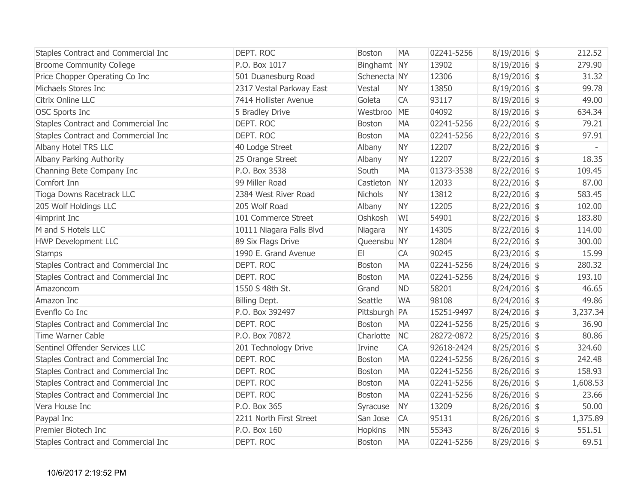| Staples Contract and Commercial Inc | DEPT. ROC                | <b>Boston</b>  | <b>MA</b> | 02241-5256 | $8/19/2016$ \$ | 212.52   |
|-------------------------------------|--------------------------|----------------|-----------|------------|----------------|----------|
| <b>Broome Community College</b>     | P.O. Box 1017            | Binghamt NY    |           | 13902      | $8/19/2016$ \$ | 279.90   |
| Price Chopper Operating Co Inc      | 501 Duanesburg Road      | Schenecta NY   |           | 12306      | $8/19/2016$ \$ | 31.32    |
| Michaels Stores Inc                 | 2317 Vestal Parkway East | Vestal         | <b>NY</b> | 13850      | $8/19/2016$ \$ | 99.78    |
| Citrix Online LLC                   | 7414 Hollister Avenue    | Goleta         | CA        | 93117      | $8/19/2016$ \$ | 49.00    |
| <b>OSC Sports Inc</b>               | 5 Bradley Drive          | Westbroo       | ME        | 04092      | $8/19/2016$ \$ | 634.34   |
| Staples Contract and Commercial Inc | DEPT. ROC                | <b>Boston</b>  | <b>MA</b> | 02241-5256 | $8/22/2016$ \$ | 79.21    |
| Staples Contract and Commercial Inc | DEPT. ROC                | <b>Boston</b>  | <b>MA</b> | 02241-5256 | $8/22/2016$ \$ | 97.91    |
| Albany Hotel TRS LLC                | 40 Lodge Street          | Albany         | <b>NY</b> | 12207      | $8/22/2016$ \$ | $\sim$   |
| Albany Parking Authority            | 25 Orange Street         | Albany         | <b>NY</b> | 12207      | $8/22/2016$ \$ | 18.35    |
| Channing Bete Company Inc           | P.O. Box 3538            | South          | <b>MA</b> | 01373-3538 | $8/22/2016$ \$ | 109.45   |
| Comfort Inn                         | 99 Miller Road           | Castleton      | <b>NY</b> | 12033      | $8/22/2016$ \$ | 87.00    |
| Tioga Downs Racetrack LLC           | 2384 West River Road     | <b>Nichols</b> | <b>NY</b> | 13812      | $8/22/2016$ \$ | 583.45   |
| 205 Wolf Holdings LLC               | 205 Wolf Road            | Albany         | <b>NY</b> | 12205      | $8/22/2016$ \$ | 102.00   |
| 4imprint Inc                        | 101 Commerce Street      | Oshkosh        | WI        | 54901      | $8/22/2016$ \$ | 183.80   |
| M and S Hotels LLC                  | 10111 Niagara Falls Blvd | Niagara        | <b>NY</b> | 14305      | $8/22/2016$ \$ | 114.00   |
| <b>HWP Development LLC</b>          | 89 Six Flags Drive       | Queensbu NY    |           | 12804      | $8/22/2016$ \$ | 300.00   |
| <b>Stamps</b>                       | 1990 E. Grand Avenue     | E1             | CA        | 90245      | $8/23/2016$ \$ | 15.99    |
| Staples Contract and Commercial Inc | DEPT. ROC                | <b>Boston</b>  | <b>MA</b> | 02241-5256 | $8/24/2016$ \$ | 280.32   |
| Staples Contract and Commercial Inc | DEPT. ROC                | Boston         | <b>MA</b> | 02241-5256 | $8/24/2016$ \$ | 193.10   |
| Amazoncom                           | 1550 S 48th St.          | Grand          | <b>ND</b> | 58201      | $8/24/2016$ \$ | 46.65    |
| Amazon Inc                          | Billing Dept.            | Seattle        | <b>WA</b> | 98108      | $8/24/2016$ \$ | 49.86    |
| Evenflo Co Inc                      | P.O. Box 392497          | Pittsburgh PA  |           | 15251-9497 | $8/24/2016$ \$ | 3,237.34 |
| Staples Contract and Commercial Inc | DEPT. ROC                | <b>Boston</b>  | <b>MA</b> | 02241-5256 | $8/25/2016$ \$ | 36.90    |
| Time Warner Cable                   | P.O. Box 70872           | Charlotte      | <b>NC</b> | 28272-0872 | $8/25/2016$ \$ | 80.86    |
| Sentinel Offender Services LLC      | 201 Technology Drive     | Irvine         | CA        | 92618-2424 | $8/25/2016$ \$ | 324.60   |
| Staples Contract and Commercial Inc | DEPT. ROC                | Boston         | <b>MA</b> | 02241-5256 | $8/26/2016$ \$ | 242.48   |
| Staples Contract and Commercial Inc | DEPT. ROC                | Boston         | <b>MA</b> | 02241-5256 | $8/26/2016$ \$ | 158.93   |
| Staples Contract and Commercial Inc | DEPT. ROC                | <b>Boston</b>  | <b>MA</b> | 02241-5256 | $8/26/2016$ \$ | 1,608.53 |
| Staples Contract and Commercial Inc | DEPT. ROC                | <b>Boston</b>  | <b>MA</b> | 02241-5256 | $8/26/2016$ \$ | 23.66    |
| Vera House Inc                      | P.O. Box 365             | Syracuse       | <b>NY</b> | 13209      | $8/26/2016$ \$ | 50.00    |
| Paypal Inc                          | 2211 North First Street  | San Jose       | CA        | 95131      | $8/26/2016$ \$ | 1,375.89 |
| Premier Biotech Inc                 | P.O. Box 160             | Hopkins        | <b>MN</b> | 55343      | $8/26/2016$ \$ | 551.51   |
| Staples Contract and Commercial Inc | DEPT. ROC                | <b>Boston</b>  | <b>MA</b> | 02241-5256 | $8/29/2016$ \$ | 69.51    |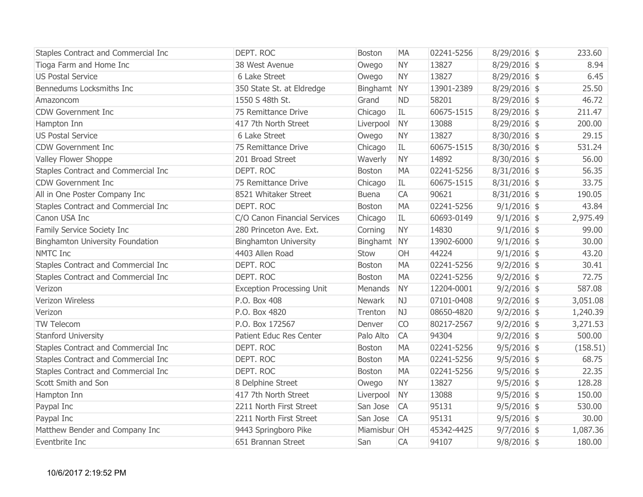| Staples Contract and Commercial Inc     | DEPT. ROC                        | <b>Boston</b> | <b>MA</b> | 02241-5256 | $8/29/2016$ \$ | 233.60   |
|-----------------------------------------|----------------------------------|---------------|-----------|------------|----------------|----------|
| Tioga Farm and Home Inc                 | 38 West Avenue                   | Owego         | <b>NY</b> | 13827      | $8/29/2016$ \$ | 8.94     |
| <b>US Postal Service</b>                | 6 Lake Street                    | Owego         | <b>NY</b> | 13827      | $8/29/2016$ \$ | 6.45     |
| Bennedums Locksmiths Inc                | 350 State St. at Eldredge        | Binghamt NY   |           | 13901-2389 | 8/29/2016 \$   | 25.50    |
| Amazoncom                               | 1550 S 48th St.                  | Grand         | <b>ND</b> | 58201      | $8/29/2016$ \$ | 46.72    |
| <b>CDW Government Inc</b>               | 75 Remittance Drive              | Chicago       | IL        | 60675-1515 | $8/29/2016$ \$ | 211.47   |
| Hampton Inn                             | 417 7th North Street             | Liverpool     | <b>NY</b> | 13088      | $8/29/2016$ \$ | 200.00   |
| <b>US Postal Service</b>                | 6 Lake Street                    | Owego         | <b>NY</b> | 13827      | $8/30/2016$ \$ | 29.15    |
| <b>CDW Government Inc</b>               | 75 Remittance Drive              | Chicago       | IL        | 60675-1515 | $8/30/2016$ \$ | 531.24   |
| Valley Flower Shoppe                    | 201 Broad Street                 | Waverly       | <b>NY</b> | 14892      | $8/30/2016$ \$ | 56.00    |
| Staples Contract and Commercial Inc     | DEPT. ROC                        | <b>Boston</b> | <b>MA</b> | 02241-5256 | $8/31/2016$ \$ | 56.35    |
| <b>CDW Government Inc</b>               | 75 Remittance Drive              | Chicago       | IL        | 60675-1515 | $8/31/2016$ \$ | 33.75    |
| All in One Poster Company Inc           | 8521 Whitaker Street             | <b>Buena</b>  | CA        | 90621      | $8/31/2016$ \$ | 190.05   |
| Staples Contract and Commercial Inc     | DEPT. ROC                        | Boston        | <b>MA</b> | 02241-5256 | $9/1/2016$ \$  | 43.84    |
| Canon USA Inc                           | C/O Canon Financial Services     | Chicago       | IL        | 60693-0149 | $9/1/2016$ \$  | 2,975.49 |
| Family Service Society Inc              | 280 Princeton Ave. Ext.          | Corning       | <b>NY</b> | 14830      | $9/1/2016$ \$  | 99.00    |
| <b>Binghamton University Foundation</b> | <b>Binghamton University</b>     | Binghamt NY   |           | 13902-6000 | $9/1/2016$ \$  | 30.00    |
| <b>NMTC Inc</b>                         | 4403 Allen Road                  | Stow          | OH        | 44224      | $9/1/2016$ \$  | 43.20    |
| Staples Contract and Commercial Inc     | DEPT. ROC                        | <b>Boston</b> | <b>MA</b> | 02241-5256 | $9/2/2016$ \$  | 30.41    |
| Staples Contract and Commercial Inc     | DEPT. ROC                        | <b>Boston</b> | <b>MA</b> | 02241-5256 | $9/2/2016$ \$  | 72.75    |
| Verizon                                 | <b>Exception Processing Unit</b> | Menands       | <b>NY</b> | 12204-0001 | $9/2/2016$ \$  | 587.08   |
| Verizon Wireless                        | P.O. Box 408                     | <b>Newark</b> | NJ        | 07101-0408 | $9/2/2016$ \$  | 3,051.08 |
| Verizon                                 | P.O. Box 4820                    | Trenton       | NJ        | 08650-4820 | $9/2/2016$ \$  | 1,240.39 |
| TW Telecom                              | P.O. Box 172567                  | Denver        | CO        | 80217-2567 | $9/2/2016$ \$  | 3,271.53 |
| <b>Stanford University</b>              | <b>Patient Educ Res Center</b>   | Palo Alto     | CA        | 94304      | $9/2/2016$ \$  | 500.00   |
| Staples Contract and Commercial Inc     | DEPT. ROC                        | <b>Boston</b> | <b>MA</b> | 02241-5256 | $9/5/2016$ \$  | (158.51) |
| Staples Contract and Commercial Inc     | DEPT. ROC                        | <b>Boston</b> | <b>MA</b> | 02241-5256 | $9/5/2016$ \$  | 68.75    |
| Staples Contract and Commercial Inc     | DEPT. ROC                        | <b>Boston</b> | <b>MA</b> | 02241-5256 | $9/5/2016$ \$  | 22.35    |
| Scott Smith and Son                     | 8 Delphine Street                | Owego         | <b>NY</b> | 13827      | $9/5/2016$ \$  | 128.28   |
| Hampton Inn                             | 417 7th North Street             | Liverpool     | <b>NY</b> | 13088      | $9/5/2016$ \$  | 150.00   |
| Paypal Inc                              | 2211 North First Street          | San Jose      | <b>CA</b> | 95131      | $9/5/2016$ \$  | 530.00   |
| Paypal Inc                              | 2211 North First Street          | San Jose      | <b>CA</b> | 95131      | $9/5/2016$ \$  | 30.00    |
| Matthew Bender and Company Inc          | 9443 Springboro Pike             | Miamisbur OH  |           | 45342-4425 | $9/7/2016$ \$  | 1,087.36 |
| Eventbrite Inc                          | 651 Brannan Street               | San           | CA        | 94107      | $9/8/2016$ \$  | 180.00   |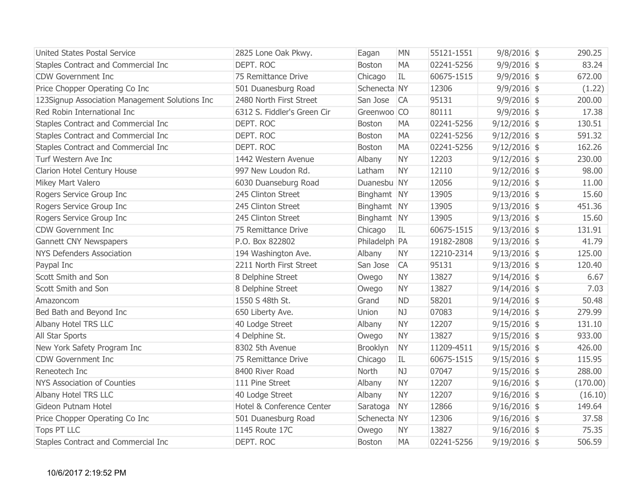| <b>United States Postal Service</b>            | 2825 Lone Oak Pkwy.         | Eagan         | <b>MN</b> | 55121-1551 | $9/8/2016$ \$  | 290.25   |
|------------------------------------------------|-----------------------------|---------------|-----------|------------|----------------|----------|
| Staples Contract and Commercial Inc            | DEPT, ROC                   | <b>Boston</b> | <b>MA</b> | 02241-5256 | $9/9/2016$ \$  | 83.24    |
| <b>CDW Government Inc</b>                      | 75 Remittance Drive         | Chicago       | IL        | 60675-1515 | $9/9/2016$ \$  | 672.00   |
| Price Chopper Operating Co Inc                 | 501 Duanesburg Road         | Schenecta NY  |           | 12306      | $9/9/2016$ \$  | (1.22)   |
| 123Signup Association Management Solutions Inc | 2480 North First Street     | San Jose      | CA        | 95131      | $9/9/2016$ \$  | 200.00   |
| Red Robin International Inc                    | 6312 S. Fiddler's Green Cir | Greenwoo CO   |           | 80111      | $9/9/2016$ \$  | 17.38    |
| Staples Contract and Commercial Inc            | DEPT. ROC                   | <b>Boston</b> | <b>MA</b> | 02241-5256 | $9/12/2016$ \$ | 130.51   |
| Staples Contract and Commercial Inc            | DEPT. ROC                   | <b>Boston</b> | <b>MA</b> | 02241-5256 | $9/12/2016$ \$ | 591.32   |
| Staples Contract and Commercial Inc            | DEPT. ROC                   | <b>Boston</b> | <b>MA</b> | 02241-5256 | $9/12/2016$ \$ | 162.26   |
| Turf Western Ave Inc                           | 1442 Western Avenue         | Albany        | <b>NY</b> | 12203      | $9/12/2016$ \$ | 230.00   |
| Clarion Hotel Century House                    | 997 New Loudon Rd.          | Latham        | <b>NY</b> | 12110      | $9/12/2016$ \$ | 98.00    |
| Mikey Mart Valero                              | 6030 Duanseburg Road        | Duanesbu NY   |           | 12056      | $9/12/2016$ \$ | 11.00    |
| Rogers Service Group Inc                       | 245 Clinton Street          | Binghamt NY   |           | 13905      | $9/13/2016$ \$ | 15.60    |
| Rogers Service Group Inc                       | 245 Clinton Street          | Binghamt NY   |           | 13905      | $9/13/2016$ \$ | 451.36   |
| Rogers Service Group Inc                       | 245 Clinton Street          | Binghamt NY   |           | 13905      | $9/13/2016$ \$ | 15.60    |
| <b>CDW Government Inc</b>                      | 75 Remittance Drive         | Chicago       | IL        | 60675-1515 | $9/13/2016$ \$ | 131.91   |
| Gannett CNY Newspapers                         | P.O. Box 822802             | Philadelph PA |           | 19182-2808 | $9/13/2016$ \$ | 41.79    |
| <b>NYS Defenders Association</b>               | 194 Washington Ave.         | Albany        | <b>NY</b> | 12210-2314 | $9/13/2016$ \$ | 125.00   |
| Paypal Inc                                     | 2211 North First Street     | San Jose      | <b>CA</b> | 95131      | $9/13/2016$ \$ | 120.40   |
| Scott Smith and Son                            | 8 Delphine Street           | Owego         | <b>NY</b> | 13827      | $9/14/2016$ \$ | 6.67     |
| Scott Smith and Son                            | 8 Delphine Street           | Owego         | <b>NY</b> | 13827      | $9/14/2016$ \$ | 7.03     |
| Amazoncom                                      | 1550 S 48th St.             | Grand         | <b>ND</b> | 58201      | $9/14/2016$ \$ | 50.48    |
| Bed Bath and Beyond Inc                        | 650 Liberty Ave.            | Union         | NJ        | 07083      | $9/14/2016$ \$ | 279.99   |
| Albany Hotel TRS LLC                           | 40 Lodge Street             | Albany        | <b>NY</b> | 12207      | $9/15/2016$ \$ | 131.10   |
| All Star Sports                                | 4 Delphine St.              | Owego         | <b>NY</b> | 13827      | $9/15/2016$ \$ | 933.00   |
| New York Safety Program Inc                    | 8302 5th Avenue             | Brooklyn      | <b>NY</b> | 11209-4511 | $9/15/2016$ \$ | 426.00   |
| <b>CDW Government Inc</b>                      | 75 Remittance Drive         | Chicago       | IL        | 60675-1515 | $9/15/2016$ \$ | 115.95   |
| Reneotech Inc                                  | 8400 River Road             | North         | NJ        | 07047      | $9/15/2016$ \$ | 288.00   |
| <b>NYS Association of Counties</b>             | 111 Pine Street             | Albany        | <b>NY</b> | 12207      | $9/16/2016$ \$ | (170.00) |
| Albany Hotel TRS LLC                           | 40 Lodge Street             | Albany        | <b>NY</b> | 12207      | $9/16/2016$ \$ | (16.10)  |
| Gideon Putnam Hotel                            | Hotel & Conference Center   | Saratoga      | <b>NY</b> | 12866      | $9/16/2016$ \$ | 149.64   |
| Price Chopper Operating Co Inc                 | 501 Duanesburg Road         | Schenecta NY  |           | 12306      | $9/16/2016$ \$ | 37.58    |
| <b>Tops PT LLC</b>                             | 1145 Route 17C              | Owego         | <b>NY</b> | 13827      | $9/16/2016$ \$ | 75.35    |
| Staples Contract and Commercial Inc            | DEPT. ROC                   | <b>Boston</b> | <b>MA</b> | 02241-5256 | $9/19/2016$ \$ | 506.59   |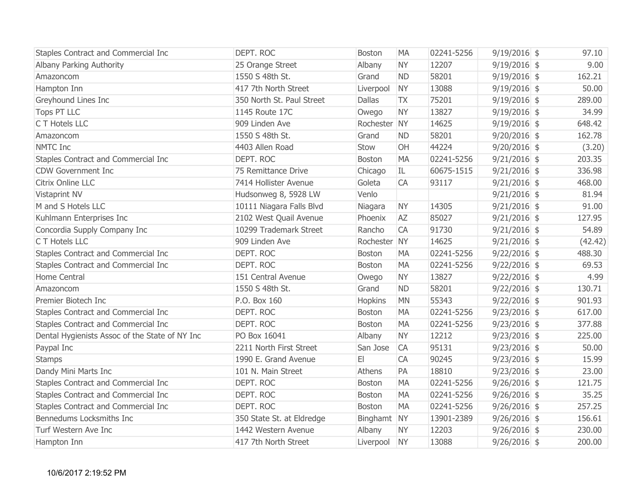| Staples Contract and Commercial Inc            | DEPT. ROC                 | <b>Boston</b> | <b>MA</b> | 02241-5256 | $9/19/2016$ \$ | 97.10   |
|------------------------------------------------|---------------------------|---------------|-----------|------------|----------------|---------|
| Albany Parking Authority                       | 25 Orange Street          | Albany        | <b>NY</b> | 12207      | $9/19/2016$ \$ | 9.00    |
| Amazoncom                                      | 1550 S 48th St.           | Grand         | <b>ND</b> | 58201      | $9/19/2016$ \$ | 162.21  |
| Hampton Inn                                    | 417 7th North Street      | Liverpool     | <b>NY</b> | 13088      | $9/19/2016$ \$ | 50.00   |
| Greyhound Lines Inc                            | 350 North St. Paul Street | <b>Dallas</b> | <b>TX</b> | 75201      | $9/19/2016$ \$ | 289.00  |
| Tops PT LLC                                    | 1145 Route 17C            | Owego         | <b>NY</b> | 13827      | $9/19/2016$ \$ | 34.99   |
| C T Hotels LLC                                 | 909 Linden Ave            | Rochester NY  |           | 14625      | $9/19/2016$ \$ | 648.42  |
| Amazoncom                                      | 1550 S 48th St.           | Grand         | <b>ND</b> | 58201      | $9/20/2016$ \$ | 162.78  |
| NMTC Inc                                       | 4403 Allen Road           | Stow          | OH        | 44224      | $9/20/2016$ \$ | (3.20)  |
| Staples Contract and Commercial Inc            | DEPT. ROC                 | <b>Boston</b> | <b>MA</b> | 02241-5256 | $9/21/2016$ \$ | 203.35  |
| <b>CDW Government Inc</b>                      | 75 Remittance Drive       | Chicago       | IL        | 60675-1515 | $9/21/2016$ \$ | 336.98  |
| Citrix Online LLC                              | 7414 Hollister Avenue     | Goleta        | CA        | 93117      | $9/21/2016$ \$ | 468.00  |
| Vistaprint NV                                  | Hudsonweg 8, 5928 LW      | Venlo         |           |            | $9/21/2016$ \$ | 81.94   |
| M and S Hotels LLC                             | 10111 Niagara Falls Blvd  | Niagara       | <b>NY</b> | 14305      | $9/21/2016$ \$ | 91.00   |
| Kuhlmann Enterprises Inc                       | 2102 West Quail Avenue    | Phoenix       | <b>AZ</b> | 85027      | $9/21/2016$ \$ | 127.95  |
| Concordia Supply Company Inc                   | 10299 Trademark Street    | Rancho        | <b>CA</b> | 91730      | $9/21/2016$ \$ | 54.89   |
| C T Hotels LLC                                 | 909 Linden Ave            | Rochester NY  |           | 14625      | $9/21/2016$ \$ | (42.42) |
| Staples Contract and Commercial Inc            | DEPT. ROC                 | <b>Boston</b> | <b>MA</b> | 02241-5256 | $9/22/2016$ \$ | 488.30  |
| Staples Contract and Commercial Inc            | DEPT. ROC                 | Boston        | <b>MA</b> | 02241-5256 | $9/22/2016$ \$ | 69.53   |
| Home Central                                   | 151 Central Avenue        | Owego         | <b>NY</b> | 13827      | $9/22/2016$ \$ | 4.99    |
| Amazoncom                                      | 1550 S 48th St.           | Grand         | <b>ND</b> | 58201      | $9/22/2016$ \$ | 130.71  |
| Premier Biotech Inc                            | P.O. Box 160              | Hopkins       | <b>MN</b> | 55343      | $9/22/2016$ \$ | 901.93  |
| Staples Contract and Commercial Inc            | DEPT. ROC                 | <b>Boston</b> | <b>MA</b> | 02241-5256 | $9/23/2016$ \$ | 617.00  |
| Staples Contract and Commercial Inc            | DEPT. ROC                 | <b>Boston</b> | <b>MA</b> | 02241-5256 | $9/23/2016$ \$ | 377.88  |
| Dental Hygienists Assoc of the State of NY Inc | PO Box 16041              | Albany        | <b>NY</b> | 12212      | $9/23/2016$ \$ | 225.00  |
| Paypal Inc                                     | 2211 North First Street   | San Jose      | <b>CA</b> | 95131      | $9/23/2016$ \$ | 50.00   |
| <b>Stamps</b>                                  | 1990 E. Grand Avenue      | E1            | <b>CA</b> | 90245      | $9/23/2016$ \$ | 15.99   |
| Dandy Mini Marts Inc                           | 101 N. Main Street        | Athens        | PA        | 18810      | $9/23/2016$ \$ | 23.00   |
| Staples Contract and Commercial Inc            | DEPT. ROC                 | <b>Boston</b> | <b>MA</b> | 02241-5256 | $9/26/2016$ \$ | 121.75  |
| Staples Contract and Commercial Inc            | DEPT. ROC                 | Boston        | <b>MA</b> | 02241-5256 | $9/26/2016$ \$ | 35.25   |
| Staples Contract and Commercial Inc            | DEPT. ROC                 | <b>Boston</b> | <b>MA</b> | 02241-5256 | $9/26/2016$ \$ | 257.25  |
| Bennedums Locksmiths Inc                       | 350 State St. at Eldredge | Binghamt NY   |           | 13901-2389 | $9/26/2016$ \$ | 156.61  |
| Turf Western Ave Inc                           | 1442 Western Avenue       | Albany        | <b>NY</b> | 12203      | $9/26/2016$ \$ | 230.00  |
| Hampton Inn                                    | 417 7th North Street      | Liverpool NY  |           | 13088      | $9/26/2016$ \$ | 200.00  |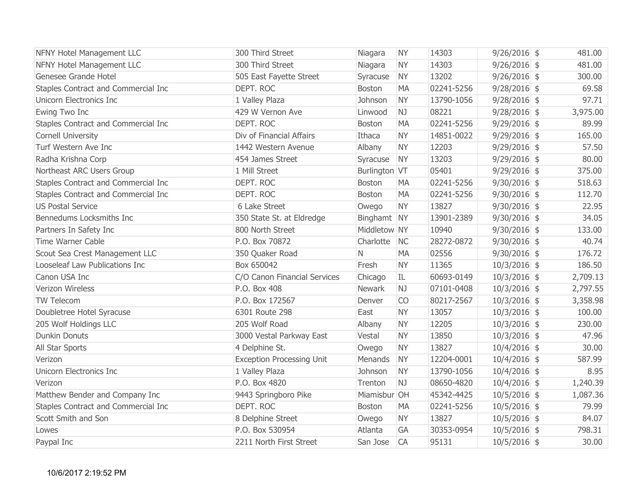| <b>NFNY Hotel Management LLC</b>    | 300 Third Street                 | Niagara       | <b>NY</b> | 14303      | $9/26/2016$ \$ | 481.00   |
|-------------------------------------|----------------------------------|---------------|-----------|------------|----------------|----------|
| <b>NFNY Hotel Management LLC</b>    | 300 Third Street                 | Niagara       | <b>NY</b> | 14303      | $9/26/2016$ \$ | 481.00   |
| Genesee Grande Hotel                | 505 East Fayette Street          | Syracuse      | <b>NY</b> | 13202      | $9/26/2016$ \$ | 300.00   |
| Staples Contract and Commercial Inc | DEPT. ROC                        | <b>Boston</b> | <b>MA</b> | 02241-5256 | $9/28/2016$ \$ | 69.58    |
| Unicorn Electronics Inc             | 1 Valley Plaza                   | Johnson       | <b>NY</b> | 13790-1056 | $9/28/2016$ \$ | 97.71    |
| Ewing Two Inc                       | 429 W Vernon Ave                 | Linwood       | NJ        | 08221      | $9/28/2016$ \$ | 3,975.00 |
| Staples Contract and Commercial Inc | DEPT. ROC                        | Boston        | <b>MA</b> | 02241-5256 | $9/29/2016$ \$ | 89.99    |
| <b>Cornell University</b>           | Div of Financial Affairs         | Ithaca        | <b>NY</b> | 14851-0022 | $9/29/2016$ \$ | 165.00   |
| Turf Western Ave Inc                | 1442 Western Avenue              | Albany        | <b>NY</b> | 12203      | $9/29/2016$ \$ | 57.50    |
| Radha Krishna Corp                  | 454 James Street                 | Syracuse      | <b>NY</b> | 13203      | $9/29/2016$ \$ | 80.00    |
| Northeast ARC Users Group           | 1 Mill Street                    | Burlington VT |           | 05401      | $9/29/2016$ \$ | 375.00   |
| Staples Contract and Commercial Inc | DEPT. ROC                        | Boston        | <b>MA</b> | 02241-5256 | $9/30/2016$ \$ | 518.63   |
| Staples Contract and Commercial Inc | DEPT. ROC                        | <b>Boston</b> | <b>MA</b> | 02241-5256 | $9/30/2016$ \$ | 112.70   |
| <b>US Postal Service</b>            | 6 Lake Street                    | Owego         | <b>NY</b> | 13827      | $9/30/2016$ \$ | 22.95    |
| Bennedums Locksmiths Inc            | 350 State St. at Eldredge        | Binghamt NY   |           | 13901-2389 | $9/30/2016$ \$ | 34.05    |
| Partners In Safety Inc              | 800 North Street                 | Middletow NY  |           | 10940      | $9/30/2016$ \$ | 133.00   |
| Time Warner Cable                   | P.O. Box 70872                   | Charlotte     | <b>NC</b> | 28272-0872 | $9/30/2016$ \$ | 40.74    |
| Scout Sea Crest Management LLC      | 350 Quaker Road                  | $\mathsf{N}$  | <b>MA</b> | 02556      | $9/30/2016$ \$ | 176.72   |
| Looseleaf Law Publications Inc      | Box 650042                       | Fresh         | <b>NY</b> | 11365      | $10/3/2016$ \$ | 186.50   |
| Canon USA Inc                       | C/O Canon Financial Services     | Chicago       | IL        | 60693-0149 | $10/3/2016$ \$ | 2,709.13 |
| Verizon Wireless                    | P.O. Box 408                     | <b>Newark</b> | <b>NJ</b> | 07101-0408 | $10/3/2016$ \$ | 2,797.55 |
| <b>TW Telecom</b>                   | P.O. Box 172567                  | Denver        | CO        | 80217-2567 | $10/3/2016$ \$ | 3,358.98 |
| Doubletree Hotel Syracuse           | 6301 Route 298                   | East          | <b>NY</b> | 13057      | $10/3/2016$ \$ | 100.00   |
| 205 Wolf Holdings LLC               | 205 Wolf Road                    | Albany        | <b>NY</b> | 12205      | $10/3/2016$ \$ | 230.00   |
| <b>Dunkin Donuts</b>                | 3000 Vestal Parkway East         | Vestal        | <b>NY</b> | 13850      | $10/3/2016$ \$ | 47.96    |
| All Star Sports                     | 4 Delphine St.                   | Owego         | <b>NY</b> | 13827      | $10/4/2016$ \$ | 30.00    |
| Verizon                             | <b>Exception Processing Unit</b> | Menands       | <b>NY</b> | 12204-0001 | $10/4/2016$ \$ | 587.99   |
| Unicorn Electronics Inc             | 1 Valley Plaza                   | Johnson       | <b>NY</b> | 13790-1056 | $10/4/2016$ \$ | 8.95     |
| Verizon                             | P.O. Box 4820                    | Trenton       | NJ        | 08650-4820 | $10/4/2016$ \$ | 1,240.39 |
| Matthew Bender and Company Inc      | 9443 Springboro Pike             | Miamisbur OH  |           | 45342-4425 | $10/5/2016$ \$ | 1,087.36 |
| Staples Contract and Commercial Inc | DEPT. ROC                        | Boston        | <b>MA</b> | 02241-5256 | $10/5/2016$ \$ | 79.99    |
| Scott Smith and Son                 | 8 Delphine Street                | Owego         | <b>NY</b> | 13827      | $10/5/2016$ \$ | 84.07    |
| Lowes                               | P.O. Box 530954                  | Atlanta       | GA        | 30353-0954 | $10/5/2016$ \$ | 798.31   |
| Paypal Inc                          | 2211 North First Street          | San Jose      | <b>CA</b> | 95131      | $10/5/2016$ \$ | 30.00    |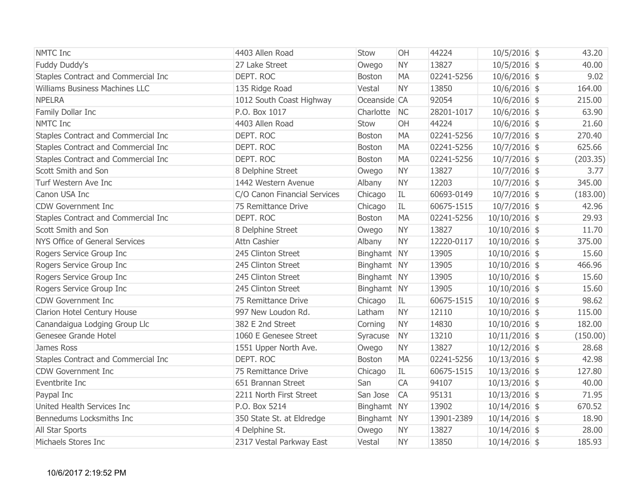| <b>NMTC</b> Inc                     | 4403 Allen Road              | Stow          | OH        | 44224      | $10/5/2016$ \$  | 43.20    |      |
|-------------------------------------|------------------------------|---------------|-----------|------------|-----------------|----------|------|
| Fuddy Duddy's                       | 27 Lake Street               | Owego         | <b>NY</b> | 13827      | $10/5/2016$ \$  | 40.00    |      |
| Staples Contract and Commercial Inc | DEPT. ROC                    | Boston        | <b>MA</b> | 02241-5256 | $10/6/2016$ \$  |          | 9.02 |
| Williams Business Machines LLC      | 135 Ridge Road               | Vestal        | <b>NY</b> | 13850      | $10/6/2016$ \$  | 164.00   |      |
| <b>NPELRA</b>                       | 1012 South Coast Highway     | Oceanside CA  |           | 92054      | $10/6/2016$ \$  | 215.00   |      |
| Family Dollar Inc                   | P.O. Box 1017                | Charlotte     | <b>NC</b> | 28201-1017 | $10/6/2016$ \$  | 63.90    |      |
| <b>NMTC</b> Inc                     | 4403 Allen Road              | Stow          | OH        | 44224      | $10/6/2016$ \$  | 21.60    |      |
| Staples Contract and Commercial Inc | DEPT. ROC                    | <b>Boston</b> | <b>MA</b> | 02241-5256 | $10/7/2016$ \$  | 270.40   |      |
| Staples Contract and Commercial Inc | DEPT. ROC                    | Boston        | <b>MA</b> | 02241-5256 | $10/7/2016$ \$  | 625.66   |      |
| Staples Contract and Commercial Inc | DEPT. ROC                    | <b>Boston</b> | <b>MA</b> | 02241-5256 | $10/7/2016$ \$  | (203.35) |      |
| Scott Smith and Son                 | 8 Delphine Street            | Owego         | <b>NY</b> | 13827      | $10/7/2016$ \$  |          | 3.77 |
| Turf Western Ave Inc                | 1442 Western Avenue          | Albany        | <b>NY</b> | 12203      | $10/7/2016$ \$  | 345.00   |      |
| Canon USA Inc                       | C/O Canon Financial Services | Chicago       | IL        | 60693-0149 | $10/7/2016$ \$  | (183.00) |      |
| <b>CDW Government Inc</b>           | 75 Remittance Drive          | Chicago       | IL        | 60675-1515 | $10/7/2016$ \$  | 42.96    |      |
| Staples Contract and Commercial Inc | DEPT. ROC                    | <b>Boston</b> | <b>MA</b> | 02241-5256 | $10/10/2016$ \$ | 29.93    |      |
| Scott Smith and Son                 | 8 Delphine Street            | Owego         | <b>NY</b> | 13827      | $10/10/2016$ \$ | 11.70    |      |
| NYS Office of General Services      | Attn Cashier                 | Albany        | <b>NY</b> | 12220-0117 | $10/10/2016$ \$ | 375.00   |      |
| Rogers Service Group Inc            | 245 Clinton Street           | Binghamt NY   |           | 13905      | $10/10/2016$ \$ | 15.60    |      |
| Rogers Service Group Inc            | 245 Clinton Street           | Binghamt NY   |           | 13905      | $10/10/2016$ \$ | 466.96   |      |
| Rogers Service Group Inc            | 245 Clinton Street           | Binghamt NY   |           | 13905      | $10/10/2016$ \$ | 15.60    |      |
| Rogers Service Group Inc            | 245 Clinton Street           | Binghamt NY   |           | 13905      | $10/10/2016$ \$ | 15.60    |      |
| <b>CDW Government Inc</b>           | 75 Remittance Drive          | Chicago       | IL        | 60675-1515 | $10/10/2016$ \$ | 98.62    |      |
| Clarion Hotel Century House         | 997 New Loudon Rd.           | Latham        | <b>NY</b> | 12110      | $10/10/2016$ \$ | 115.00   |      |
| Canandaigua Lodging Group Llc       | 382 E 2nd Street             | Corning       | <b>NY</b> | 14830      | $10/10/2016$ \$ | 182.00   |      |
| Genesee Grande Hotel                | 1060 E Genesee Street        | Syracuse      | <b>NY</b> | 13210      | $10/11/2016$ \$ | (150.00) |      |
| James Ross                          | 1551 Upper North Ave.        | Owego         | <b>NY</b> | 13827      | $10/12/2016$ \$ | 28.68    |      |
| Staples Contract and Commercial Inc | DEPT, ROC                    | <b>Boston</b> | <b>MA</b> | 02241-5256 | $10/13/2016$ \$ | 42.98    |      |
| <b>CDW Government Inc</b>           | 75 Remittance Drive          | Chicago       | IL        | 60675-1515 | $10/13/2016$ \$ | 127.80   |      |
| Eventbrite Inc                      | 651 Brannan Street           | San           | CA        | 94107      | $10/13/2016$ \$ | 40.00    |      |
| Paypal Inc                          | 2211 North First Street      | San Jose      | <b>CA</b> | 95131      | $10/13/2016$ \$ | 71.95    |      |
| United Health Services Inc          | P.O. Box 5214                | Binghamt NY   |           | 13902      | $10/14/2016$ \$ | 670.52   |      |
| Bennedums Locksmiths Inc            | 350 State St. at Eldredge    | Binghamt NY   |           | 13901-2389 | $10/14/2016$ \$ | 18.90    |      |
| All Star Sports                     | 4 Delphine St.               | Owego         | <b>NY</b> | 13827      | $10/14/2016$ \$ | 28.00    |      |
| Michaels Stores Inc                 | 2317 Vestal Parkway East     | Vestal        | <b>NY</b> | 13850      | $10/14/2016$ \$ | 185.93   |      |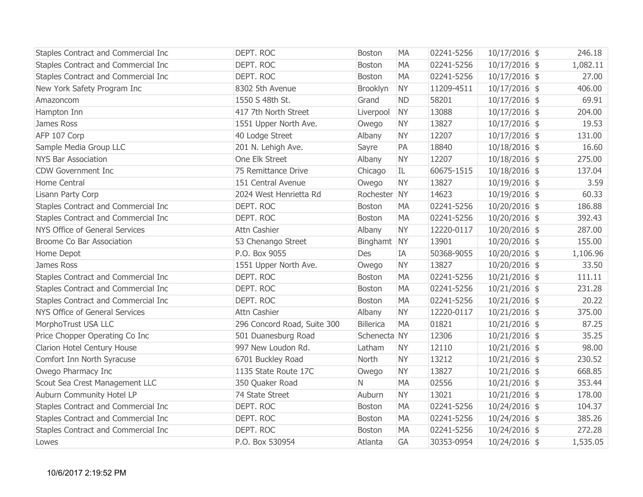| Staples Contract and Commercial Inc | DEPT. ROC                   | <b>Boston</b>    | <b>MA</b> | 02241-5256 | $10/17/2016$ \$ | 246.18   |
|-------------------------------------|-----------------------------|------------------|-----------|------------|-----------------|----------|
| Staples Contract and Commercial Inc | DEPT. ROC                   | Boston           | <b>MA</b> | 02241-5256 | $10/17/2016$ \$ | 1,082.11 |
| Staples Contract and Commercial Inc | DEPT. ROC                   | <b>Boston</b>    | <b>MA</b> | 02241-5256 | $10/17/2016$ \$ | 27.00    |
| New York Safety Program Inc         | 8302 5th Avenue             | Brooklyn         | <b>NY</b> | 11209-4511 | $10/17/2016$ \$ | 406.00   |
| Amazoncom                           | 1550 S 48th St.             | Grand            | <b>ND</b> | 58201      | $10/17/2016$ \$ | 69.91    |
| Hampton Inn                         | 417 7th North Street        | Liverpool        | <b>NY</b> | 13088      | $10/17/2016$ \$ | 204.00   |
| James Ross                          | 1551 Upper North Ave.       | Owego            | <b>NY</b> | 13827      | $10/17/2016$ \$ | 19.53    |
| AFP 107 Corp                        | 40 Lodge Street             | Albany           | <b>NY</b> | 12207      | $10/17/2016$ \$ | 131.00   |
| Sample Media Group LLC              | 201 N. Lehigh Ave.          | Sayre            | PA        | 18840      | $10/18/2016$ \$ | 16.60    |
| <b>NYS Bar Association</b>          | One Elk Street              | Albany           | <b>NY</b> | 12207      | $10/18/2016$ \$ | 275.00   |
| <b>CDW Government Inc</b>           | 75 Remittance Drive         | Chicago          | IL        | 60675-1515 | $10/18/2016$ \$ | 137.04   |
| Home Central                        | 151 Central Avenue          | Owego            | <b>NY</b> | 13827      | $10/19/2016$ \$ | 3.59     |
| Lisann Party Corp                   | 2024 West Henrietta Rd      | Rochester NY     |           | 14623      | $10/19/2016$ \$ | 60.33    |
| Staples Contract and Commercial Inc | DEPT. ROC                   | Boston           | <b>MA</b> | 02241-5256 | $10/20/2016$ \$ | 186.88   |
| Staples Contract and Commercial Inc | DEPT. ROC                   | Boston           | <b>MA</b> | 02241-5256 | $10/20/2016$ \$ | 392.43   |
| NYS Office of General Services      | Attn Cashier                | Albany           | <b>NY</b> | 12220-0117 | $10/20/2016$ \$ | 287.00   |
| Broome Co Bar Association           | 53 Chenango Street          | Binghamt NY      |           | 13901      | $10/20/2016$ \$ | 155.00   |
| Home Depot                          | P.O. Box 9055               | Des              | IA        | 50368-9055 | $10/20/2016$ \$ | 1,106.96 |
| James Ross                          | 1551 Upper North Ave.       | Owego            | <b>NY</b> | 13827      | $10/20/2016$ \$ | 33.50    |
| Staples Contract and Commercial Inc | DEPT. ROC                   | Boston           | <b>MA</b> | 02241-5256 | $10/21/2016$ \$ | 111.11   |
| Staples Contract and Commercial Inc | DEPT. ROC                   | Boston           | <b>MA</b> | 02241-5256 | $10/21/2016$ \$ | 231.28   |
| Staples Contract and Commercial Inc | DEPT. ROC                   | <b>Boston</b>    | <b>MA</b> | 02241-5256 | $10/21/2016$ \$ | 20.22    |
| NYS Office of General Services      | Attn Cashier                | Albany           | <b>NY</b> | 12220-0117 | $10/21/2016$ \$ | 375.00   |
| MorphoTrust USA LLC                 | 296 Concord Road, Suite 300 | <b>Billerica</b> | <b>MA</b> | 01821      | $10/21/2016$ \$ | 87.25    |
| Price Chopper Operating Co Inc      | 501 Duanesburg Road         | Schenecta NY     |           | 12306      | $10/21/2016$ \$ | 35.25    |
| Clarion Hotel Century House         | 997 New Loudon Rd.          | Latham           | <b>NY</b> | 12110      | $10/21/2016$ \$ | 98.00    |
| Comfort Inn North Syracuse          | 6701 Buckley Road           | North            | <b>NY</b> | 13212      | $10/21/2016$ \$ | 230.52   |
| Owego Pharmacy Inc                  | 1135 State Route 17C        | Owego            | <b>NY</b> | 13827      | $10/21/2016$ \$ | 668.85   |
| Scout Sea Crest Management LLC      | 350 Quaker Road             | $\mathsf{N}$     | <b>MA</b> | 02556      | $10/21/2016$ \$ | 353.44   |
| Auburn Community Hotel LP           | 74 State Street             | Auburn           | <b>NY</b> | 13021      | $10/21/2016$ \$ | 178.00   |
| Staples Contract and Commercial Inc | DEPT. ROC                   | Boston           | <b>MA</b> | 02241-5256 | $10/24/2016$ \$ | 104.37   |
| Staples Contract and Commercial Inc | DEPT. ROC                   | Boston           | <b>MA</b> | 02241-5256 | $10/24/2016$ \$ | 385.26   |
| Staples Contract and Commercial Inc | DEPT. ROC                   | Boston           | <b>MA</b> | 02241-5256 | $10/24/2016$ \$ | 272.28   |
| Lowes                               | P.O. Box 530954             | Atlanta          | GA        | 30353-0954 | $10/24/2016$ \$ | 1,535.05 |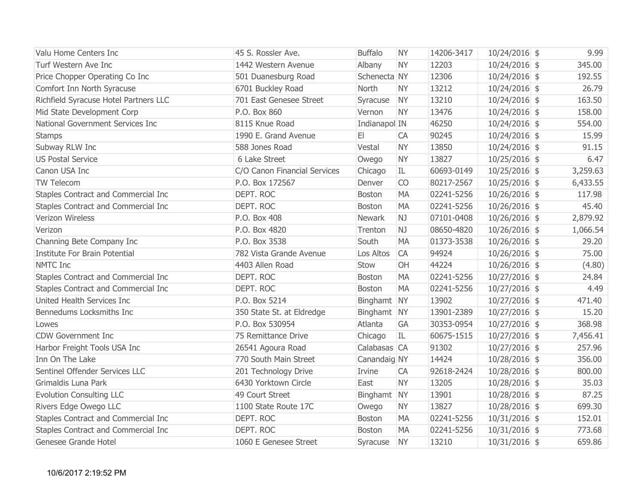| Valu Home Centers Inc                 | 45 S. Rossler Ave.           | <b>Buffalo</b> | <b>NY</b> | 14206-3417 | $10/24/2016$ \$ | 9.99     |
|---------------------------------------|------------------------------|----------------|-----------|------------|-----------------|----------|
| Turf Western Ave Inc                  | 1442 Western Avenue          | Albany         | <b>NY</b> | 12203      | 10/24/2016 \$   | 345.00   |
| Price Chopper Operating Co Inc        | 501 Duanesburg Road          | Schenecta NY   |           | 12306      | 10/24/2016 \$   | 192.55   |
| Comfort Inn North Syracuse            | 6701 Buckley Road            | North          | <b>NY</b> | 13212      | $10/24/2016$ \$ | 26.79    |
| Richfield Syracuse Hotel Partners LLC | 701 East Genesee Street      | Syracuse       | <b>NY</b> | 13210      | $10/24/2016$ \$ | 163.50   |
| Mid State Development Corp            | P.O. Box 860                 | Vernon         | <b>NY</b> | 13476      | 10/24/2016 \$   | 158.00   |
| National Government Services Inc      | 8115 Knue Road               | Indianapol IN  |           | 46250      | 10/24/2016 \$   | 554.00   |
| <b>Stamps</b>                         | 1990 E. Grand Avenue         | E1             | <b>CA</b> | 90245      | $10/24/2016$ \$ | 15.99    |
| Subway RLW Inc                        | 588 Jones Road               | Vestal         | <b>NY</b> | 13850      | $10/24/2016$ \$ | 91.15    |
| <b>US Postal Service</b>              | 6 Lake Street                | Owego          | <b>NY</b> | 13827      | $10/25/2016$ \$ | 6.47     |
| Canon USA Inc                         | C/O Canon Financial Services | Chicago        | IL        | 60693-0149 | 10/25/2016 \$   | 3,259.63 |
| TW Telecom                            | P.O. Box 172567              | Denver         | <b>CO</b> | 80217-2567 | $10/25/2016$ \$ | 6,433.55 |
| Staples Contract and Commercial Inc   | DEPT. ROC                    | Boston         | <b>MA</b> | 02241-5256 | $10/26/2016$ \$ | 117.98   |
| Staples Contract and Commercial Inc   | DEPT. ROC                    | <b>Boston</b>  | <b>MA</b> | 02241-5256 | $10/26/2016$ \$ | 45.40    |
| Verizon Wireless                      | P.O. Box 408                 | <b>Newark</b>  | NJ        | 07101-0408 | $10/26/2016$ \$ | 2,879.92 |
| Verizon                               | P.O. Box 4820                | Trenton        | NJ        | 08650-4820 | 10/26/2016 \$   | 1,066.54 |
| Channing Bete Company Inc             | P.O. Box 3538                | South          | <b>MA</b> | 01373-3538 | $10/26/2016$ \$ | 29.20    |
| Institute For Brain Potential         | 782 Vista Grande Avenue      | Los Altos      | <b>CA</b> | 94924      | $10/26/2016$ \$ | 75.00    |
| <b>NMTC Inc</b>                       | 4403 Allen Road              | Stow           | OH        | 44224      | $10/26/2016$ \$ | (4.80)   |
| Staples Contract and Commercial Inc   | DEPT. ROC                    | <b>Boston</b>  | <b>MA</b> | 02241-5256 | $10/27/2016$ \$ | 24.84    |
| Staples Contract and Commercial Inc   | DEPT. ROC                    | Boston         | <b>MA</b> | 02241-5256 | $10/27/2016$ \$ | 4.49     |
| United Health Services Inc            | P.O. Box 5214                | Binghamt NY    |           | 13902      | $10/27/2016$ \$ | 471.40   |
| Bennedums Locksmiths Inc              | 350 State St. at Eldredge    | Binghamt NY    |           | 13901-2389 | $10/27/2016$ \$ | 15.20    |
| Lowes                                 | P.O. Box 530954              | Atlanta        | GA        | 30353-0954 | $10/27/2016$ \$ | 368.98   |
| <b>CDW Government Inc</b>             | 75 Remittance Drive          | Chicago        | IL        | 60675-1515 | $10/27/2016$ \$ | 7,456.41 |
| Harbor Freight Tools USA Inc          | 26541 Agoura Road            | Calabasas CA   |           | 91302      | $10/27/2016$ \$ | 257.96   |
| Inn On The Lake                       | 770 South Main Street        | Canandaig NY   |           | 14424      | 10/28/2016 \$   | 356.00   |
| Sentinel Offender Services LLC        | 201 Technology Drive         | Irvine         | CA        | 92618-2424 | $10/28/2016$ \$ | 800.00   |
| Grimaldis Luna Park                   | 6430 Yorktown Circle         | East           | <b>NY</b> | 13205      | $10/28/2016$ \$ | 35.03    |
| <b>Evolution Consulting LLC</b>       | 49 Court Street              | Binghamt NY    |           | 13901      | $10/28/2016$ \$ | 87.25    |
| Rivers Edge Owego LLC                 | 1100 State Route 17C         | Owego          | <b>NY</b> | 13827      | 10/28/2016 \$   | 699.30   |
| Staples Contract and Commercial Inc   | DEPT. ROC                    | <b>Boston</b>  | <b>MA</b> | 02241-5256 | $10/31/2016$ \$ | 152.01   |
| Staples Contract and Commercial Inc   | DEPT. ROC                    | <b>Boston</b>  | <b>MA</b> | 02241-5256 | $10/31/2016$ \$ | 773.68   |
| Genesee Grande Hotel                  | 1060 E Genesee Street        | Syracuse       | <b>NY</b> | 13210      | $10/31/2016$ \$ | 659.86   |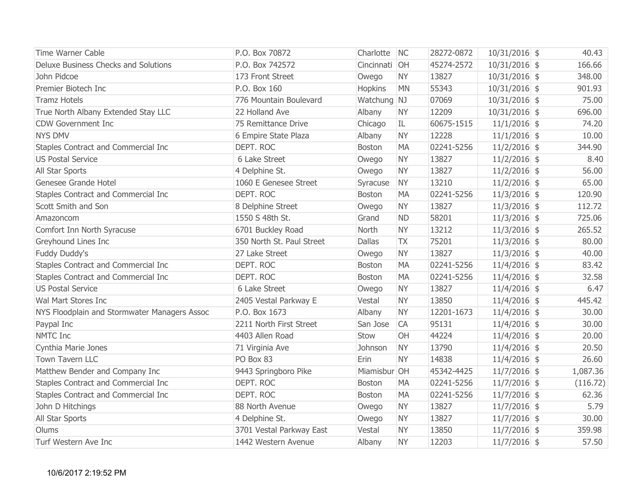| <b>Time Warner Cable</b>                     | P.O. Box 70872            | Charlotte     | NC        | 28272-0872 | $10/31/2016$ \$ | 40.43    |
|----------------------------------------------|---------------------------|---------------|-----------|------------|-----------------|----------|
| Deluxe Business Checks and Solutions         | P.O. Box 742572           | Cincinnati OH |           | 45274-2572 | $10/31/2016$ \$ | 166.66   |
| John Pidcoe                                  | 173 Front Street          | Owego         | <b>NY</b> | 13827      | $10/31/2016$ \$ | 348.00   |
| Premier Biotech Inc                          | P.O. Box 160              | Hopkins       | <b>MN</b> | 55343      | $10/31/2016$ \$ | 901.93   |
| <b>Tramz Hotels</b>                          | 776 Mountain Boulevard    | Watchung NJ   |           | 07069      | $10/31/2016$ \$ | 75.00    |
| True North Albany Extended Stay LLC          | 22 Holland Ave            | Albany        | <b>NY</b> | 12209      | $10/31/2016$ \$ | 696.00   |
| <b>CDW Government Inc</b>                    | 75 Remittance Drive       | Chicago       | IL.       | 60675-1515 | $11/1/2016$ \$  | 74.20    |
| <b>NYS DMV</b>                               | 6 Empire State Plaza      | Albany        | <b>NY</b> | 12228      | $11/1/2016$ \$  | 10.00    |
| Staples Contract and Commercial Inc          | DEPT. ROC                 | <b>Boston</b> | MA        | 02241-5256 | $11/2/2016$ \$  | 344.90   |
| <b>US Postal Service</b>                     | 6 Lake Street             | Owego         | <b>NY</b> | 13827      | $11/2/2016$ \$  | 8.40     |
| All Star Sports                              | 4 Delphine St.            | Owego         | <b>NY</b> | 13827      | $11/2/2016$ \$  | 56.00    |
| Genesee Grande Hotel                         | 1060 E Genesee Street     | Syracuse      | <b>NY</b> | 13210      | $11/2/2016$ \$  | 65.00    |
| Staples Contract and Commercial Inc          | DEPT. ROC                 | <b>Boston</b> | <b>MA</b> | 02241-5256 | $11/3/2016$ \$  | 120.90   |
| Scott Smith and Son                          | 8 Delphine Street         | Owego         | <b>NY</b> | 13827      | $11/3/2016$ \$  | 112.72   |
| Amazoncom                                    | 1550 S 48th St.           | Grand         | <b>ND</b> | 58201      | $11/3/2016$ \$  | 725.06   |
| Comfort Inn North Syracuse                   | 6701 Buckley Road         | North         | <b>NY</b> | 13212      | $11/3/2016$ \$  | 265.52   |
| Greyhound Lines Inc                          | 350 North St. Paul Street | <b>Dallas</b> | <b>TX</b> | 75201      | $11/3/2016$ \$  | 80.00    |
| Fuddy Duddy's                                | 27 Lake Street            | Owego         | <b>NY</b> | 13827      | $11/3/2016$ \$  | 40.00    |
| Staples Contract and Commercial Inc          | DEPT. ROC                 | <b>Boston</b> | <b>MA</b> | 02241-5256 | $11/4/2016$ \$  | 83.42    |
| Staples Contract and Commercial Inc          | DEPT. ROC                 | <b>Boston</b> | <b>MA</b> | 02241-5256 | $11/4/2016$ \$  | 32.58    |
| <b>US Postal Service</b>                     | 6 Lake Street             | Owego         | <b>NY</b> | 13827      | $11/4/2016$ \$  | 6.47     |
| Wal Mart Stores Inc                          | 2405 Vestal Parkway E     | Vestal        | <b>NY</b> | 13850      | $11/4/2016$ \$  | 445.42   |
| NYS Floodplain and Stormwater Managers Assoc | P.O. Box 1673             | Albany        | <b>NY</b> | 12201-1673 | $11/4/2016$ \$  | 30.00    |
| Paypal Inc                                   | 2211 North First Street   | San Jose      | <b>CA</b> | 95131      | $11/4/2016$ \$  | 30.00    |
| NMTC Inc                                     | 4403 Allen Road           | Stow          | <b>OH</b> | 44224      | $11/4/2016$ \$  | 20.00    |
| Cynthia Marie Jones                          | 71 Virginia Ave           | Johnson       | <b>NY</b> | 13790      | $11/4/2016$ \$  | 20.50    |
| Town Tavern LLC                              | PO Box 83                 | Erin          | <b>NY</b> | 14838      | $11/4/2016$ \$  | 26.60    |
| Matthew Bender and Company Inc               | 9443 Springboro Pike      | Miamisbur OH  |           | 45342-4425 | $11/7/2016$ \$  | 1,087.36 |
| Staples Contract and Commercial Inc          | DEPT. ROC                 | Boston        | <b>MA</b> | 02241-5256 | $11/7/2016$ \$  | (116.72) |
| Staples Contract and Commercial Inc          | DEPT. ROC                 | <b>Boston</b> | MA        | 02241-5256 | $11/7/2016$ \$  | 62.36    |
| John D Hitchings                             | 88 North Avenue           | Owego         | <b>NY</b> | 13827      | $11/7/2016$ \$  | 5.79     |
| All Star Sports                              | 4 Delphine St.            | Owego         | <b>NY</b> | 13827      | $11/7/2016$ \$  | 30.00    |
| Olums                                        | 3701 Vestal Parkway East  | Vestal        | <b>NY</b> | 13850      | $11/7/2016$ \$  | 359.98   |
| Turf Western Ave Inc                         | 1442 Western Avenue       | Albany        | <b>NY</b> | 12203      | $11/7/2016$ \$  | 57.50    |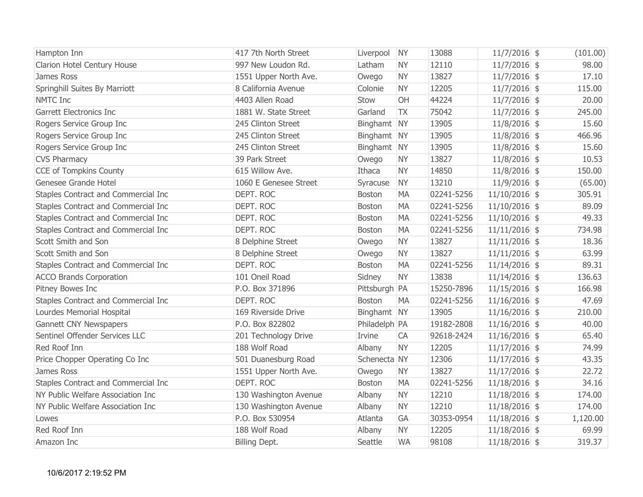| Hampton Inn                         | 417 7th North Street  | Liverpool     | <b>NY</b> | 13088      | $11/7/2016$ \$  | (101.00) |
|-------------------------------------|-----------------------|---------------|-----------|------------|-----------------|----------|
| Clarion Hotel Century House         | 997 New Loudon Rd.    | Latham        | <b>NY</b> | 12110      | $11/7/2016$ \$  | 98.00    |
| James Ross                          | 1551 Upper North Ave. | Owego         | <b>NY</b> | 13827      | $11/7/2016$ \$  | 17.10    |
| Springhill Suites By Marriott       | 8 California Avenue   | Colonie       | <b>NY</b> | 12205      | $11/7/2016$ \$  | 115.00   |
| <b>NMTC</b> Inc                     | 4403 Allen Road       | Stow          | OH        | 44224      | $11/7/2016$ \$  | 20.00    |
| <b>Garrett Electronics Inc</b>      | 1881 W. State Street  | Garland       | <b>TX</b> | 75042      | $11/7/2016$ \$  | 245.00   |
| Rogers Service Group Inc            | 245 Clinton Street    | Binghamt NY   |           | 13905      | $11/8/2016$ \$  | 15.60    |
| Rogers Service Group Inc            | 245 Clinton Street    | Binghamt NY   |           | 13905      | $11/8/2016$ \$  | 466.96   |
| Rogers Service Group Inc            | 245 Clinton Street    | Binghamt NY   |           | 13905      | $11/8/2016$ \$  | 15.60    |
| <b>CVS Pharmacy</b>                 | 39 Park Street        | Owego         | <b>NY</b> | 13827      | $11/8/2016$ \$  | 10.53    |
| <b>CCE of Tompkins County</b>       | 615 Willow Ave.       | Ithaca        | <b>NY</b> | 14850      | $11/8/2016$ \$  | 150.00   |
| Genesee Grande Hotel                | 1060 E Genesee Street | Syracuse      | <b>NY</b> | 13210      | $11/9/2016$ \$  | (65.00)  |
| Staples Contract and Commercial Inc | DEPT. ROC             | <b>Boston</b> | <b>MA</b> | 02241-5256 | $11/10/2016$ \$ | 305.91   |
| Staples Contract and Commercial Inc | DEPT. ROC             | Boston        | <b>MA</b> | 02241-5256 | $11/10/2016$ \$ | 89.09    |
| Staples Contract and Commercial Inc | DEPT. ROC             | Boston        | <b>MA</b> | 02241-5256 | $11/10/2016$ \$ | 49.33    |
| Staples Contract and Commercial Inc | DEPT. ROC             | <b>Boston</b> | <b>MA</b> | 02241-5256 | $11/11/2016$ \$ | 734.98   |
| Scott Smith and Son                 | 8 Delphine Street     | Owego         | <b>NY</b> | 13827      | $11/11/2016$ \$ | 18.36    |
| Scott Smith and Son                 | 8 Delphine Street     | Owego         | <b>NY</b> | 13827      | $11/11/2016$ \$ | 63.99    |
| Staples Contract and Commercial Inc | DEPT. ROC             | <b>Boston</b> | MA        | 02241-5256 | $11/14/2016$ \$ | 89.31    |
| <b>ACCO Brands Corporation</b>      | 101 Oneil Road        | Sidney        | <b>NY</b> | 13838      | $11/14/2016$ \$ | 136.63   |
| Pitney Bowes Inc                    | P.O. Box 371896       | Pittsburgh PA |           | 15250-7896 | $11/15/2016$ \$ | 166.98   |
| Staples Contract and Commercial Inc | DEPT. ROC             | Boston        | <b>MA</b> | 02241-5256 | $11/16/2016$ \$ | 47.69    |
| Lourdes Memorial Hospital           | 169 Riverside Drive   | Binghamt NY   |           | 13905      | $11/16/2016$ \$ | 210.00   |
| <b>Gannett CNY Newspapers</b>       | P.O. Box 822802       | Philadelph PA |           | 19182-2808 | $11/16/2016$ \$ | 40.00    |
| Sentinel Offender Services LLC      | 201 Technology Drive  | Irvine        | CA        | 92618-2424 | $11/16/2016$ \$ | 65.40    |
| Red Roof Inn                        | 188 Wolf Road         | Albany        | <b>NY</b> | 12205      | $11/17/2016$ \$ | 74.99    |
| Price Chopper Operating Co Inc      | 501 Duanesburg Road   | Schenecta NY  |           | 12306      | $11/17/2016$ \$ | 43.35    |
| James Ross                          | 1551 Upper North Ave. | Owego         | <b>NY</b> | 13827      | $11/17/2016$ \$ | 22.72    |
| Staples Contract and Commercial Inc | DEPT. ROC             | <b>Boston</b> | MA        | 02241-5256 | $11/18/2016$ \$ | 34.16    |
| NY Public Welfare Association Inc   | 130 Washington Avenue | Albany        | <b>NY</b> | 12210      | $11/18/2016$ \$ | 174.00   |
| NY Public Welfare Association Inc   | 130 Washington Avenue | Albany        | <b>NY</b> | 12210      | $11/18/2016$ \$ | 174.00   |
| Lowes                               | P.O. Box 530954       | Atlanta       | GA        | 30353-0954 | $11/18/2016$ \$ | 1,120.00 |
| Red Roof Inn                        | 188 Wolf Road         | Albany        | <b>NY</b> | 12205      | $11/18/2016$ \$ | 69.99    |
| Amazon Inc                          | Billing Dept.         | Seattle       | <b>WA</b> | 98108      | $11/18/2016$ \$ | 319.37   |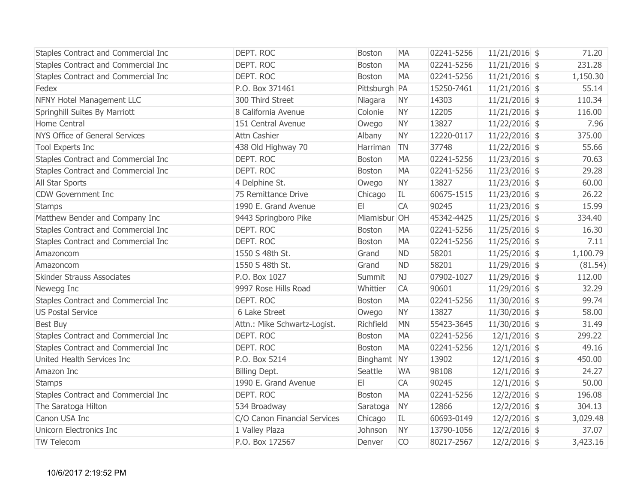| Staples Contract and Commercial Inc | DEPT. ROC                    | <b>Boston</b> | <b>MA</b> | 02241-5256 | $11/21/2016$ \$ | 71.20    |
|-------------------------------------|------------------------------|---------------|-----------|------------|-----------------|----------|
| Staples Contract and Commercial Inc | DEPT. ROC                    | Boston        | <b>MA</b> | 02241-5256 | $11/21/2016$ \$ | 231.28   |
| Staples Contract and Commercial Inc | DEPT. ROC                    | <b>Boston</b> | <b>MA</b> | 02241-5256 | $11/21/2016$ \$ | 1,150.30 |
| Fedex                               | P.O. Box 371461              | Pittsburgh PA |           | 15250-7461 | $11/21/2016$ \$ | 55.14    |
| NFNY Hotel Management LLC           | 300 Third Street             | Niagara       | <b>NY</b> | 14303      | $11/21/2016$ \$ | 110.34   |
| Springhill Suites By Marriott       | 8 California Avenue          | Colonie       | <b>NY</b> | 12205      | $11/21/2016$ \$ | 116.00   |
| Home Central                        | 151 Central Avenue           | Owego         | <b>NY</b> | 13827      | $11/22/2016$ \$ | 7.96     |
| NYS Office of General Services      | <b>Attn Cashier</b>          | Albany        | <b>NY</b> | 12220-0117 | $11/22/2016$ \$ | 375.00   |
| Tool Experts Inc                    | 438 Old Highway 70           | Harriman      | <b>TN</b> | 37748      | $11/22/2016$ \$ | 55.66    |
| Staples Contract and Commercial Inc | DEPT. ROC                    | Boston        | <b>MA</b> | 02241-5256 | $11/23/2016$ \$ | 70.63    |
| Staples Contract and Commercial Inc | DEPT. ROC                    | Boston        | <b>MA</b> | 02241-5256 | $11/23/2016$ \$ | 29.28    |
| All Star Sports                     | 4 Delphine St.               | Owego         | <b>NY</b> | 13827      | $11/23/2016$ \$ | 60.00    |
| <b>CDW Government Inc</b>           | 75 Remittance Drive          | Chicago       | IL        | 60675-1515 | $11/23/2016$ \$ | 26.22    |
| <b>Stamps</b>                       | 1990 E. Grand Avenue         | E             | CA        | 90245      | $11/23/2016$ \$ | 15.99    |
| Matthew Bender and Company Inc      | 9443 Springboro Pike         | Miamisbur OH  |           | 45342-4425 | $11/25/2016$ \$ | 334.40   |
| Staples Contract and Commercial Inc | DEPT. ROC                    | <b>Boston</b> | <b>MA</b> | 02241-5256 | $11/25/2016$ \$ | 16.30    |
| Staples Contract and Commercial Inc | DEPT. ROC                    | Boston        | <b>MA</b> | 02241-5256 | $11/25/2016$ \$ | 7.11     |
| Amazoncom                           | 1550 S 48th St.              | Grand         | <b>ND</b> | 58201      | $11/25/2016$ \$ | 1,100.79 |
| Amazoncom                           | 1550 S 48th St.              | Grand         | <b>ND</b> | 58201      | $11/29/2016$ \$ | (81.54)  |
| Skinder Strauss Associates          | P.O. Box 1027                | Summit        | NJ        | 07902-1027 | $11/29/2016$ \$ | 112.00   |
| Newegg Inc                          | 9997 Rose Hills Road         | Whittier      | CA        | 90601      | $11/29/2016$ \$ | 32.29    |
| Staples Contract and Commercial Inc | DEPT. ROC                    | <b>Boston</b> | <b>MA</b> | 02241-5256 | $11/30/2016$ \$ | 99.74    |
| <b>US Postal Service</b>            | 6 Lake Street                | Owego         | <b>NY</b> | 13827      | $11/30/2016$ \$ | 58.00    |
| Best Buy                            | Attn.: Mike Schwartz-Logist. | Richfield     | <b>MN</b> | 55423-3645 | $11/30/2016$ \$ | 31.49    |
| Staples Contract and Commercial Inc | DEPT. ROC                    | Boston        | <b>MA</b> | 02241-5256 | $12/1/2016$ \$  | 299.22   |
| Staples Contract and Commercial Inc | DEPT. ROC                    | Boston        | <b>MA</b> | 02241-5256 | $12/1/2016$ \$  | 49.16    |
| United Health Services Inc          | P.O. Box 5214                | Binghamt NY   |           | 13902      | $12/1/2016$ \$  | 450.00   |
| Amazon Inc                          | Billing Dept.                | Seattle       | <b>WA</b> | 98108      | $12/1/2016$ \$  | 24.27    |
| <b>Stamps</b>                       | 1990 E. Grand Avenue         | E             | <b>CA</b> | 90245      | $12/1/2016$ \$  | 50.00    |
| Staples Contract and Commercial Inc | DEPT. ROC                    | <b>Boston</b> | <b>MA</b> | 02241-5256 | $12/2/2016$ \$  | 196.08   |
| The Saratoga Hilton                 | 534 Broadway                 | Saratoga      | <b>NY</b> | 12866      | $12/2/2016$ \$  | 304.13   |
| Canon USA Inc                       | C/O Canon Financial Services | Chicago       | IL        | 60693-0149 | $12/2/2016$ \$  | 3,029.48 |
| Unicorn Electronics Inc             | 1 Valley Plaza               | Johnson       | <b>NY</b> | 13790-1056 | $12/2/2016$ \$  | 37.07    |
| TW Telecom                          | P.O. Box 172567              | Denver        | <b>CO</b> | 80217-2567 | $12/2/2016$ \$  | 3,423.16 |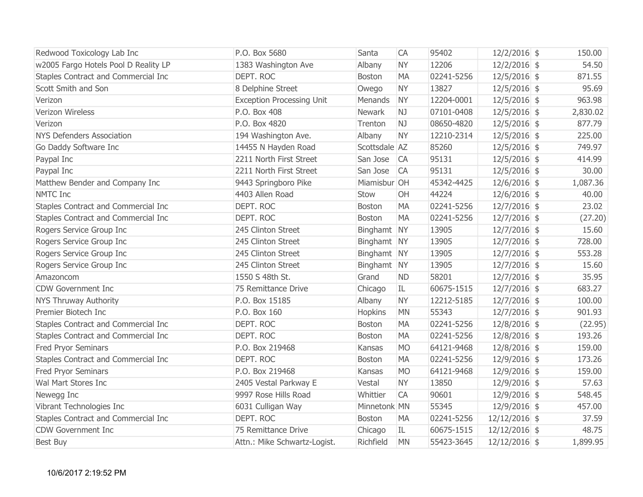| Redwood Toxicology Lab Inc           | P.O. Box 5680                    | Santa         | <b>CA</b> | 95402      | $12/2/2016$ \$  | 150.00   |
|--------------------------------------|----------------------------------|---------------|-----------|------------|-----------------|----------|
| w2005 Fargo Hotels Pool D Reality LP | 1383 Washington Ave              | Albany        | <b>NY</b> | 12206      | $12/2/2016$ \$  | 54.50    |
| Staples Contract and Commercial Inc  | DEPT. ROC                        | <b>Boston</b> | <b>MA</b> | 02241-5256 | $12/5/2016$ \$  | 871.55   |
| Scott Smith and Son                  | 8 Delphine Street                | Owego         | <b>NY</b> | 13827      | $12/5/2016$ \$  | 95.69    |
| Verizon                              | <b>Exception Processing Unit</b> | Menands       | <b>NY</b> | 12204-0001 | $12/5/2016$ \$  | 963.98   |
| Verizon Wireless                     | P.O. Box 408                     | Newark        | NJ        | 07101-0408 | $12/5/2016$ \$  | 2,830.02 |
| Verizon                              | P.O. Box 4820                    | Trenton       | NJ        | 08650-4820 | $12/5/2016$ \$  | 877.79   |
| <b>NYS Defenders Association</b>     | 194 Washington Ave.              | Albany        | <b>NY</b> | 12210-2314 | $12/5/2016$ \$  | 225.00   |
| Go Daddy Software Inc                | 14455 N Hayden Road              | Scottsdale AZ |           | 85260      | $12/5/2016$ \$  | 749.97   |
| Paypal Inc                           | 2211 North First Street          | San Jose      | <b>CA</b> | 95131      | $12/5/2016$ \$  | 414.99   |
| Paypal Inc                           | 2211 North First Street          | San Jose      | <b>CA</b> | 95131      | $12/5/2016$ \$  | 30.00    |
| Matthew Bender and Company Inc       | 9443 Springboro Pike             | Miamisbur OH  |           | 45342-4425 | $12/6/2016$ \$  | 1,087.36 |
| NMTC Inc                             | 4403 Allen Road                  | Stow          | OH        | 44224      | $12/6/2016$ \$  | 40.00    |
| Staples Contract and Commercial Inc  | DEPT. ROC                        | <b>Boston</b> | <b>MA</b> | 02241-5256 | $12/7/2016$ \$  | 23.02    |
| Staples Contract and Commercial Inc  | DEPT. ROC                        | Boston        | <b>MA</b> | 02241-5256 | $12/7/2016$ \$  | (27.20)  |
| Rogers Service Group Inc             | 245 Clinton Street               | Binghamt NY   |           | 13905      | $12/7/2016$ \$  | 15.60    |
| Rogers Service Group Inc             | 245 Clinton Street               | Binghamt NY   |           | 13905      | $12/7/2016$ \$  | 728.00   |
| Rogers Service Group Inc             | 245 Clinton Street               | Binghamt NY   |           | 13905      | $12/7/2016$ \$  | 553.28   |
| Rogers Service Group Inc             | 245 Clinton Street               | Binghamt NY   |           | 13905      | $12/7/2016$ \$  | 15.60    |
| Amazoncom                            | 1550 S 48th St.                  | Grand         | <b>ND</b> | 58201      | $12/7/2016$ \$  | 35.95    |
| <b>CDW Government Inc</b>            | 75 Remittance Drive              | Chicago       | IL        | 60675-1515 | $12/7/2016$ \$  | 683.27   |
| NYS Thruway Authority                | P.O. Box 15185                   | Albany        | <b>NY</b> | 12212-5185 | $12/7/2016$ \$  | 100.00   |
| Premier Biotech Inc                  | P.O. Box 160                     | Hopkins       | <b>MN</b> | 55343      | $12/7/2016$ \$  | 901.93   |
| Staples Contract and Commercial Inc  | DEPT. ROC                        | Boston        | <b>MA</b> | 02241-5256 | $12/8/2016$ \$  | (22.95)  |
| Staples Contract and Commercial Inc  | DEPT. ROC                        | <b>Boston</b> | <b>MA</b> | 02241-5256 | $12/8/2016$ \$  | 193.26   |
| <b>Fred Pryor Seminars</b>           | P.O. Box 219468                  | Kansas        | <b>MO</b> | 64121-9468 | $12/8/2016$ \$  | 159.00   |
| Staples Contract and Commercial Inc  | DEPT. ROC                        | <b>Boston</b> | <b>MA</b> | 02241-5256 | $12/9/2016$ \$  | 173.26   |
| <b>Fred Pryor Seminars</b>           | P.O. Box 219468                  | Kansas        | <b>MO</b> | 64121-9468 | $12/9/2016$ \$  | 159.00   |
| Wal Mart Stores Inc                  | 2405 Vestal Parkway E            | Vestal        | <b>NY</b> | 13850      | $12/9/2016$ \$  | 57.63    |
| Newegg Inc                           | 9997 Rose Hills Road             | Whittier      | <b>CA</b> | 90601      | $12/9/2016$ \$  | 548.45   |
| Vibrant Technologies Inc             | 6031 Culligan Way                | Minnetonk MN  |           | 55345      | $12/9/2016$ \$  | 457.00   |
| Staples Contract and Commercial Inc  | DEPT. ROC                        | <b>Boston</b> | <b>MA</b> | 02241-5256 | $12/12/2016$ \$ | 37.59    |
| <b>CDW Government Inc</b>            | 75 Remittance Drive              | Chicago       | IL        | 60675-1515 | $12/12/2016$ \$ | 48.75    |
| Best Buy                             | Attn.: Mike Schwartz-Logist.     | Richfield     | <b>MN</b> | 55423-3645 | $12/12/2016$ \$ | 1,899.95 |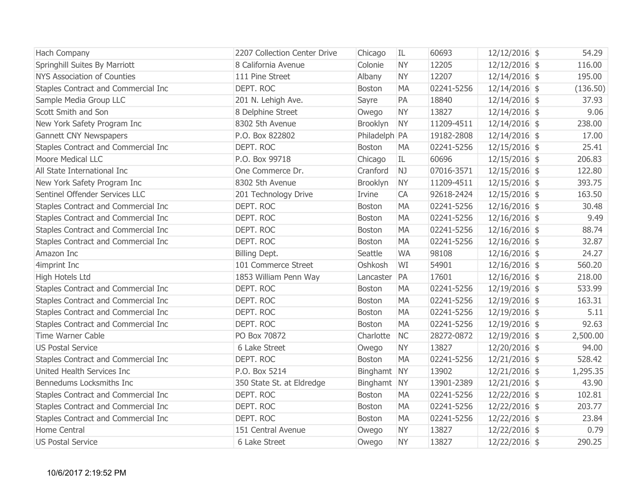| Hach Company                        | 2207 Collection Center Drive | Chicago       | IL        | 60693      | 12/12/2016 \$   | 54.29    |
|-------------------------------------|------------------------------|---------------|-----------|------------|-----------------|----------|
| Springhill Suites By Marriott       | 8 California Avenue          | Colonie       | <b>NY</b> | 12205      | $12/12/2016$ \$ | 116.00   |
| <b>NYS Association of Counties</b>  | 111 Pine Street              | Albany        | <b>NY</b> | 12207      | 12/14/2016 \$   | 195.00   |
| Staples Contract and Commercial Inc | DEPT. ROC                    | Boston        | <b>MA</b> | 02241-5256 | $12/14/2016$ \$ | (136.50) |
| Sample Media Group LLC              | 201 N. Lehigh Ave.           | Sayre         | PA        | 18840      | $12/14/2016$ \$ | 37.93    |
| Scott Smith and Son                 | 8 Delphine Street            | Owego         | <b>NY</b> | 13827      | 12/14/2016 \$   | 9.06     |
| New York Safety Program Inc         | 8302 5th Avenue              | Brooklyn      | <b>NY</b> | 11209-4511 | $12/14/2016$ \$ | 238.00   |
| <b>Gannett CNY Newspapers</b>       | P.O. Box 822802              | Philadelph PA |           | 19182-2808 | $12/14/2016$ \$ | 17.00    |
| Staples Contract and Commercial Inc | DEPT. ROC                    | <b>Boston</b> | <b>MA</b> | 02241-5256 | $12/15/2016$ \$ | 25.41    |
| <b>Moore Medical LLC</b>            | P.O. Box 99718               | Chicago       | IL        | 60696      | $12/15/2016$ \$ | 206.83   |
| All State International Inc         | One Commerce Dr.             | Cranford      | NJ        | 07016-3571 | $12/15/2016$ \$ | 122.80   |
| New York Safety Program Inc         | 8302 5th Avenue              | Brooklyn      | <b>NY</b> | 11209-4511 | $12/15/2016$ \$ | 393.75   |
| Sentinel Offender Services LLC      | 201 Technology Drive         | Irvine        | <b>CA</b> | 92618-2424 | $12/15/2016$ \$ | 163.50   |
| Staples Contract and Commercial Inc | DEPT. ROC                    | <b>Boston</b> | <b>MA</b> | 02241-5256 | $12/16/2016$ \$ | 30.48    |
| Staples Contract and Commercial Inc | DEPT. ROC                    | Boston        | <b>MA</b> | 02241-5256 | $12/16/2016$ \$ | 9.49     |
| Staples Contract and Commercial Inc | DEPT. ROC                    | Boston        | <b>MA</b> | 02241-5256 | 12/16/2016 \$   | 88.74    |
| Staples Contract and Commercial Inc | DEPT. ROC                    | <b>Boston</b> | <b>MA</b> | 02241-5256 | $12/16/2016$ \$ | 32.87    |
| Amazon Inc                          | Billing Dept.                | Seattle       | <b>WA</b> | 98108      | $12/16/2016$ \$ | 24.27    |
| 4imprint Inc                        | 101 Commerce Street          | Oshkosh       | WI        | 54901      | $12/16/2016$ \$ | 560.20   |
| High Hotels Ltd                     | 1853 William Penn Way        | Lancaster     | PA        | 17601      | $12/16/2016$ \$ | 218.00   |
| Staples Contract and Commercial Inc | DEPT. ROC                    | Boston        | <b>MA</b> | 02241-5256 | 12/19/2016 \$   | 533.99   |
| Staples Contract and Commercial Inc | DEPT. ROC                    | Boston        | <b>MA</b> | 02241-5256 | 12/19/2016 \$   | 163.31   |
| Staples Contract and Commercial Inc | DEPT. ROC                    | <b>Boston</b> | <b>MA</b> | 02241-5256 | $12/19/2016$ \$ | 5.11     |
| Staples Contract and Commercial Inc | DEPT. ROC                    | Boston        | <b>MA</b> | 02241-5256 | $12/19/2016$ \$ | 92.63    |
| Time Warner Cable                   | PO Box 70872                 | Charlotte     | <b>NC</b> | 28272-0872 | $12/19/2016$ \$ | 2,500.00 |
| <b>US Postal Service</b>            | 6 Lake Street                | Owego         | <b>NY</b> | 13827      | 12/20/2016 \$   | 94.00    |
| Staples Contract and Commercial Inc | DEPT. ROC                    | <b>Boston</b> | <b>MA</b> | 02241-5256 | $12/21/2016$ \$ | 528.42   |
| United Health Services Inc          | P.O. Box 5214                | Binghamt NY   |           | 13902      | $12/21/2016$ \$ | 1,295.35 |
| Bennedums Locksmiths Inc            | 350 State St. at Eldredge    | Binghamt NY   |           | 13901-2389 | $12/21/2016$ \$ | 43.90    |
| Staples Contract and Commercial Inc | DEPT. ROC                    | Boston        | <b>MA</b> | 02241-5256 | $12/22/2016$ \$ | 102.81   |
| Staples Contract and Commercial Inc | DEPT. ROC                    | <b>Boston</b> | <b>MA</b> | 02241-5256 | 12/22/2016 \$   | 203.77   |
| Staples Contract and Commercial Inc | DEPT. ROC                    | <b>Boston</b> | <b>MA</b> | 02241-5256 | 12/22/2016 \$   | 23.84    |
| Home Central                        | 151 Central Avenue           | Owego         | <b>NY</b> | 13827      | 12/22/2016 \$   | 0.79     |
| <b>US Postal Service</b>            | 6 Lake Street                | Owego         | <b>NY</b> | 13827      | 12/22/2016 \$   | 290.25   |